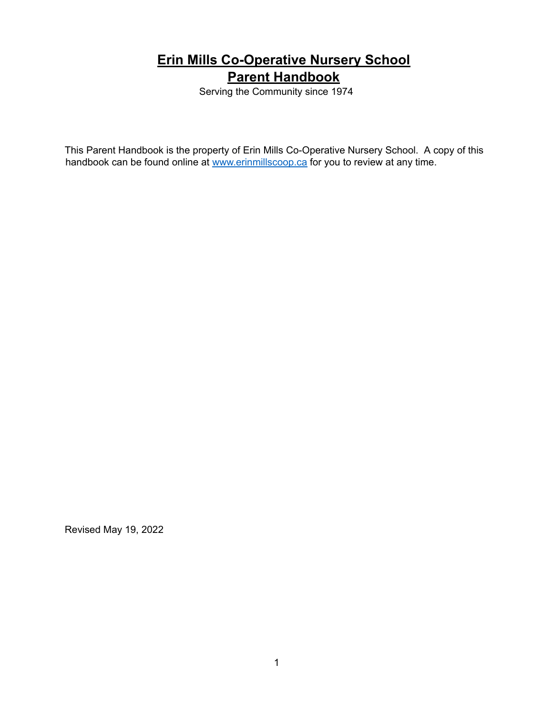# **Erin Mills Co-Operative Nursery School Parent Handbook**

Serving the Community since 1974

This Parent Handbook is the property of Erin Mills Co-Operative Nursery School. A copy of this handbook can be found online at [www.erinmillscoop.ca](http://www.erinmillscoop.ca/) for you to review at any time.

Revised May 19, 2022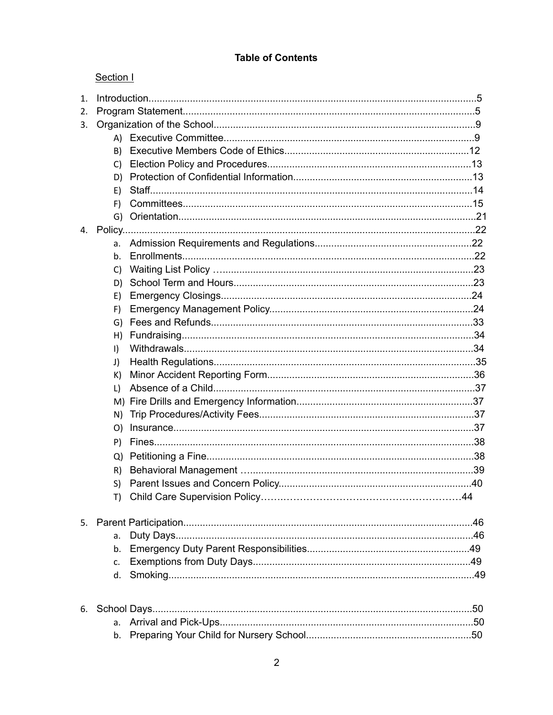## **Table of Contents**

## Section I

| 1. |                |  |  |
|----|----------------|--|--|
| 2. |                |  |  |
| 3. |                |  |  |
|    |                |  |  |
|    | B)             |  |  |
|    | C)             |  |  |
|    | D)             |  |  |
|    | E)             |  |  |
|    | F)             |  |  |
|    |                |  |  |
|    |                |  |  |
|    | a.             |  |  |
|    | b <sub>1</sub> |  |  |
|    | C)             |  |  |
|    | D)             |  |  |
|    | E)             |  |  |
|    | F)             |  |  |
|    | G)             |  |  |
|    | H)             |  |  |
|    | $\vert$        |  |  |
|    | J)             |  |  |
|    | K)             |  |  |
|    | L)             |  |  |
|    |                |  |  |
|    | N)             |  |  |
|    | O)             |  |  |
|    | P)             |  |  |
|    | Q)             |  |  |
|    | R)             |  |  |
|    | S)             |  |  |
|    |                |  |  |
| 5. |                |  |  |
|    | a.             |  |  |
|    | b.             |  |  |
|    | C.             |  |  |
|    |                |  |  |
|    |                |  |  |
| 6. | a.             |  |  |
|    |                |  |  |
|    |                |  |  |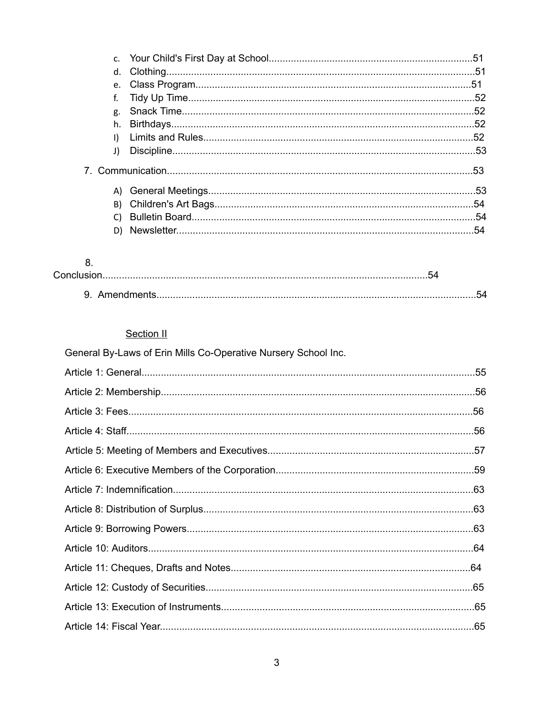| J) |  |
|----|--|
|    |  |
|    |  |
|    |  |
| C) |  |
| D) |  |
|    |  |

## 8.

| Conclus          |  |
|------------------|--|
| 9.<br>Amendments |  |

# Section II

| General By-Laws of Erin Mills Co-Operative Nursery School Inc. |  |
|----------------------------------------------------------------|--|
|                                                                |  |
|                                                                |  |
|                                                                |  |
|                                                                |  |
|                                                                |  |
|                                                                |  |
|                                                                |  |
|                                                                |  |
|                                                                |  |
|                                                                |  |
|                                                                |  |
|                                                                |  |
|                                                                |  |
|                                                                |  |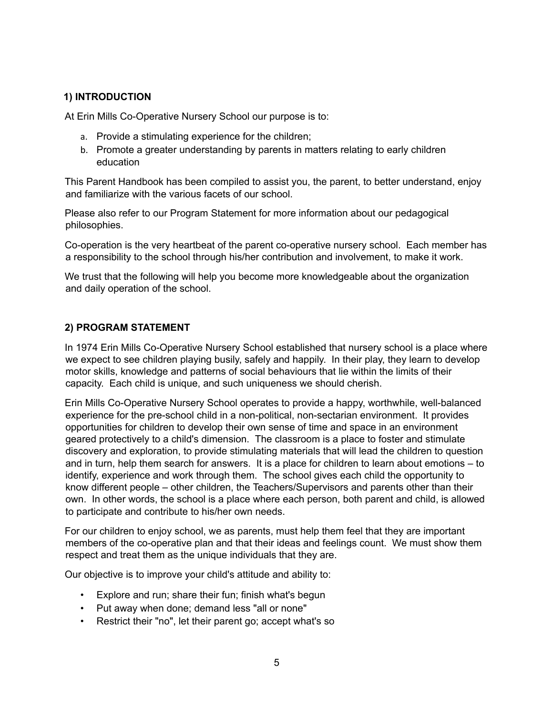#### **1) INTRODUCTION**

At Erin Mills Co-Operative Nursery School our purpose is to:

- a. Provide a stimulating experience for the children;
- b. Promote a greater understanding by parents in matters relating to early children education

This Parent Handbook has been compiled to assist you, the parent, to better understand, enjoy and familiarize with the various facets of our school.

Please also refer to our Program Statement for more information about our pedagogical philosophies.

Co-operation is the very heartbeat of the parent co-operative nursery school. Each member has a responsibility to the school through his/her contribution and involvement, to make it work.

We trust that the following will help you become more knowledgeable about the organization and daily operation of the school.

#### **2) PROGRAM STATEMENT**

In 1974 Erin Mills Co-Operative Nursery School established that nursery school is a place where we expect to see children playing busily, safely and happily. In their play, they learn to develop motor skills, knowledge and patterns of social behaviours that lie within the limits of their capacity. Each child is unique, and such uniqueness we should cherish.

Erin Mills Co-Operative Nursery School operates to provide a happy, worthwhile, well-balanced experience for the pre-school child in a non-political, non-sectarian environment. It provides opportunities for children to develop their own sense of time and space in an environment geared protectively to a child's dimension. The classroom is a place to foster and stimulate discovery and exploration, to provide stimulating materials that will lead the children to question and in turn, help them search for answers. It is a place for children to learn about emotions – to identify, experience and work through them. The school gives each child the opportunity to know different people – other children, the Teachers/Supervisors and parents other than their own. In other words, the school is a place where each person, both parent and child, is allowed to participate and contribute to his/her own needs.

For our children to enjoy school, we as parents, must help them feel that they are important members of the co-operative plan and that their ideas and feelings count. We must show them respect and treat them as the unique individuals that they are.

Our objective is to improve your child's attitude and ability to:

- Explore and run; share their fun; finish what's begun
- Put away when done; demand less "all or none"
- Restrict their "no", let their parent go; accept what's so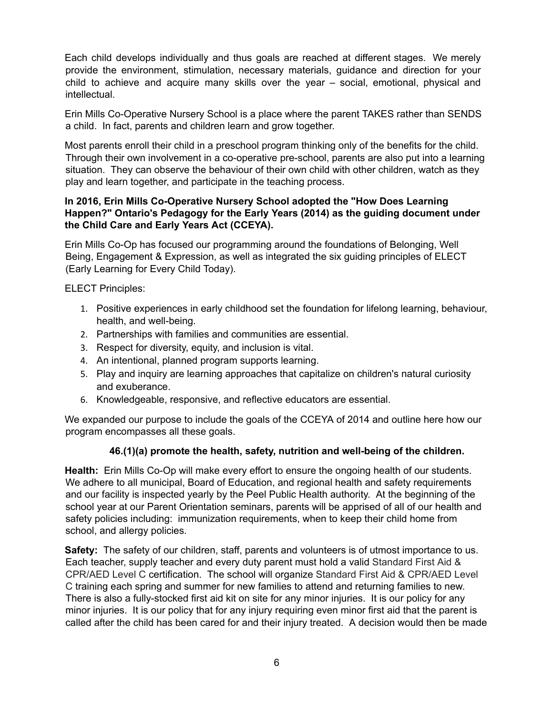Each child develops individually and thus goals are reached at different stages. We merely provide the environment, stimulation, necessary materials, guidance and direction for your child to achieve and acquire many skills over the year – social, emotional, physical and intellectual.

Erin Mills Co-Operative Nursery School is a place where the parent TAKES rather than SENDS a child. In fact, parents and children learn and grow together.

Most parents enroll their child in a preschool program thinking only of the benefits for the child. Through their own involvement in a co-operative pre-school, parents are also put into a learning situation. They can observe the behaviour of their own child with other children, watch as they play and learn together, and participate in the teaching process.

#### **In 2016, Erin Mills Co-Operative Nursery School adopted the "How Does Learning Happen?" Ontario's Pedagogy for the Early Years (2014) as the guiding document under the Child Care and Early Years Act (CCEYA).**

Erin Mills Co-Op has focused our programming around the foundations of Belonging, Well Being, Engagement & Expression, as well as integrated the six guiding principles of ELECT (Early Learning for Every Child Today).

ELECT Principles:

- 1. Positive experiences in early childhood set the foundation for lifelong learning, behaviour, health, and well-being.
- 2. Partnerships with families and communities are essential.
- 3. Respect for diversity, equity, and inclusion is vital.
- 4. An intentional, planned program supports learning.
- 5. Play and inquiry are learning approaches that capitalize on children's natural curiosity and exuberance.
- 6. Knowledgeable, responsive, and reflective educators are essential.

We expanded our purpose to include the goals of the CCEYA of 2014 and outline here how our program encompasses all these goals.

#### **46.(1)(a) promote the health, safety, nutrition and well-being of the children.**

**Health:** Erin Mills Co-Op will make every effort to ensure the ongoing health of our students. We adhere to all municipal, Board of Education, and regional health and safety requirements and our facility is inspected yearly by the Peel Public Health authority. At the beginning of the school year at our Parent Orientation seminars, parents will be apprised of all of our health and safety policies including: immunization requirements, when to keep their child home from school, and allergy policies.

**Safety:** The safety of our children, staff, parents and volunteers is of utmost importance to us. Each teacher, supply teacher and every duty parent must hold a valid Standard First Aid & CPR/AED Level C certification. The school will organize Standard First Aid & CPR/AED Level C training each spring and summer for new families to attend and returning families to new. There is also a fully-stocked first aid kit on site for any minor injuries. It is our policy for any minor injuries. It is our policy that for any injury requiring even minor first aid that the parent is called after the child has been cared for and their injury treated. A decision would then be made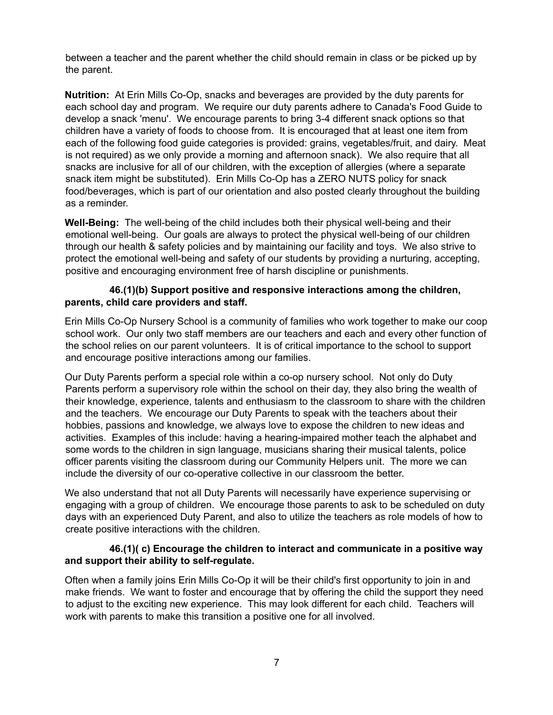between a teacher and the parent whether the child should remain in class or be picked up by the parent.

**Nutrition:** At Erin Mills Co-Op, snacks and beverages are provided by the duty parents for each school day and program. We require our duty parents adhere to Canada's Food Guide to develop a snack 'menu'. We encourage parents to bring 3-4 different snack options so that children have a variety of foods to choose from. It is encouraged that at least one item from each of the following food guide categories is provided: grains, vegetables/fruit, and dairy. Meat is not required) as we only provide a morning and afternoon snack). We also require that all snacks are inclusive for all of our children, with the exception of allergies (where a separate snack item might be substituted). Erin Mills Co-Op has a ZERO NUTS policy for snack food/beverages, which is part of our orientation and also posted clearly throughout the building as a reminder.

**Well-Being:** The well-being of the child includes both their physical well-being and their emotional well-being. Our goals are always to protect the physical well-being of our children through our health & safety policies and by maintaining our facility and toys. We also strive to protect the emotional well-being and safety of our students by providing a nurturing, accepting, positive and encouraging environment free of harsh discipline or punishments.

#### **46.(1)(b) Support positive and responsive interactions among the children, parents, child care providers and staff.**

Erin Mills Co-Op Nursery School is a community of families who work together to make our coop school work. Our only two staff members are our teachers and each and every other function of the school relies on our parent volunteers. It is of critical importance to the school to support and encourage positive interactions among our families.

Our Duty Parents perform a special role within a co-op nursery school. Not only do Duty Parents perform a supervisory role within the school on their day, they also bring the wealth of their knowledge, experience, talents and enthusiasm to the classroom to share with the children and the teachers. We encourage our Duty Parents to speak with the teachers about their hobbies, passions and knowledge, we always love to expose the children to new ideas and activities. Examples of this include: having a hearing-impaired mother teach the alphabet and some words to the children in sign language, musicians sharing their musical talents, police officer parents visiting the classroom during our Community Helpers unit. The more we can include the diversity of our co-operative collective in our classroom the better.

We also understand that not all Duty Parents will necessarily have experience supervising or engaging with a group of children. We encourage those parents to ask to be scheduled on duty days with an experienced Duty Parent, and also to utilize the teachers as role models of how to create positive interactions with the children.

#### **46.(1)( c) Encourage the children to interact and communicate in a positive way and support their ability to self-regulate.**

Often when a family joins Erin Mills Co-Op it will be their child's first opportunity to join in and make friends. We want to foster and encourage that by offering the child the support they need to adjust to the exciting new experience. This may look different for each child. Teachers will work with parents to make this transition a positive one for all involved.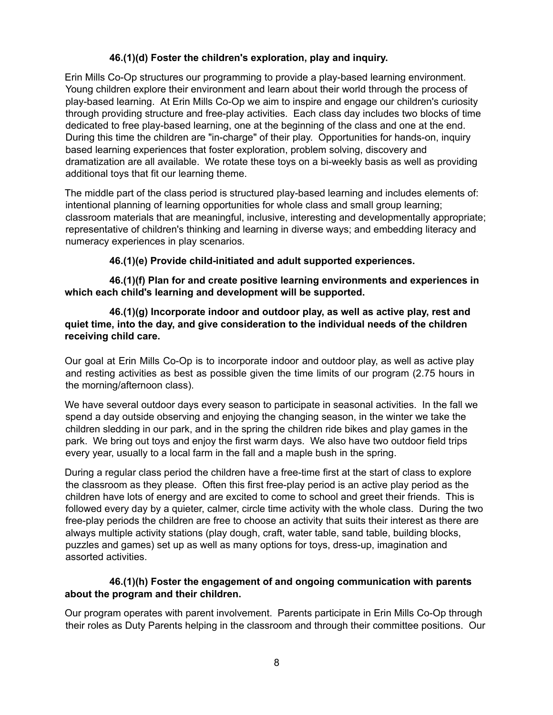## **46.(1)(d) Foster the children's exploration, play and inquiry.**

Erin Mills Co-Op structures our programming to provide a play-based learning environment. Young children explore their environment and learn about their world through the process of play-based learning. At Erin Mills Co-Op we aim to inspire and engage our children's curiosity through providing structure and free-play activities. Each class day includes two blocks of time dedicated to free play-based learning, one at the beginning of the class and one at the end. During this time the children are "in-charge" of their play. Opportunities for hands-on, inquiry based learning experiences that foster exploration, problem solving, discovery and dramatization are all available. We rotate these toys on a bi-weekly basis as well as providing additional toys that fit our learning theme.

The middle part of the class period is structured play-based learning and includes elements of: intentional planning of learning opportunities for whole class and small group learning; classroom materials that are meaningful, inclusive, interesting and developmentally appropriate; representative of children's thinking and learning in diverse ways; and embedding literacy and numeracy experiences in play scenarios.

#### **46.(1)(e) Provide child-initiated and adult supported experiences.**

**46.(1)(f) Plan for and create positive learning environments and experiences in which each child's learning and development will be supported.**

#### **46.(1)(g) Incorporate indoor and outdoor play, as well as active play, rest and quiet time, into the day, and give consideration to the individual needs of the children receiving child care.**

Our goal at Erin Mills Co-Op is to incorporate indoor and outdoor play, as well as active play and resting activities as best as possible given the time limits of our program (2.75 hours in the morning/afternoon class).

We have several outdoor days every season to participate in seasonal activities. In the fall we spend a day outside observing and enjoying the changing season, in the winter we take the children sledding in our park, and in the spring the children ride bikes and play games in the park. We bring out toys and enjoy the first warm days. We also have two outdoor field trips every year, usually to a local farm in the fall and a maple bush in the spring.

During a regular class period the children have a free-time first at the start of class to explore the classroom as they please. Often this first free-play period is an active play period as the children have lots of energy and are excited to come to school and greet their friends. This is followed every day by a quieter, calmer, circle time activity with the whole class. During the two free-play periods the children are free to choose an activity that suits their interest as there are always multiple activity stations (play dough, craft, water table, sand table, building blocks, puzzles and games) set up as well as many options for toys, dress-up, imagination and assorted activities.

#### **46.(1)(h) Foster the engagement of and ongoing communication with parents about the program and their children.**

Our program operates with parent involvement. Parents participate in Erin Mills Co-Op through their roles as Duty Parents helping in the classroom and through their committee positions. Our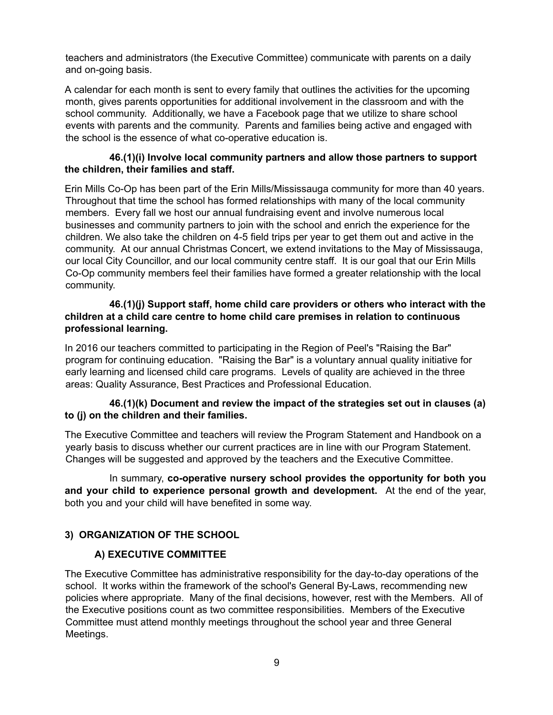teachers and administrators (the Executive Committee) communicate with parents on a daily and on-going basis.

A calendar for each month is sent to every family that outlines the activities for the upcoming month, gives parents opportunities for additional involvement in the classroom and with the school community. Additionally, we have a Facebook page that we utilize to share school events with parents and the community. Parents and families being active and engaged with the school is the essence of what co-operative education is.

#### **46.(1)(i) Involve local community partners and allow those partners to support the children, their families and staff.**

Erin Mills Co-Op has been part of the Erin Mills/Mississauga community for more than 40 years. Throughout that time the school has formed relationships with many of the local community members. Every fall we host our annual fundraising event and involve numerous local businesses and community partners to join with the school and enrich the experience for the children. We also take the children on 4-5 field trips per year to get them out and active in the community. At our annual Christmas Concert, we extend invitations to the May of Mississauga, our local City Councillor, and our local community centre staff. It is our goal that our Erin Mills Co-Op community members feel their families have formed a greater relationship with the local community.

#### **46.(1)(j) Support staff, home child care providers or others who interact with the children at a child care centre to home child care premises in relation to continuous professional learning.**

In 2016 our teachers committed to participating in the Region of Peel's "Raising the Bar" program for continuing education. "Raising the Bar" is a voluntary annual quality initiative for early learning and licensed child care programs. Levels of quality are achieved in the three areas: Quality Assurance, Best Practices and Professional Education.

#### **46.(1)(k) Document and review the impact of the strategies set out in clauses (a) to (j) on the children and their families.**

The Executive Committee and teachers will review the Program Statement and Handbook on a yearly basis to discuss whether our current practices are in line with our Program Statement. Changes will be suggested and approved by the teachers and the Executive Committee.

In summary, **co-operative nursery school provides the opportunity for both you and your child to experience personal growth and development.** At the end of the year, both you and your child will have benefited in some way.

## **3) ORGANIZATION OF THE SCHOOL**

## **A) EXECUTIVE COMMITTEE**

The Executive Committee has administrative responsibility for the day-to-day operations of the school. It works within the framework of the school's General By-Laws, recommending new policies where appropriate. Many of the final decisions, however, rest with the Members. All of the Executive positions count as two committee responsibilities. Members of the Executive Committee must attend monthly meetings throughout the school year and three General Meetings.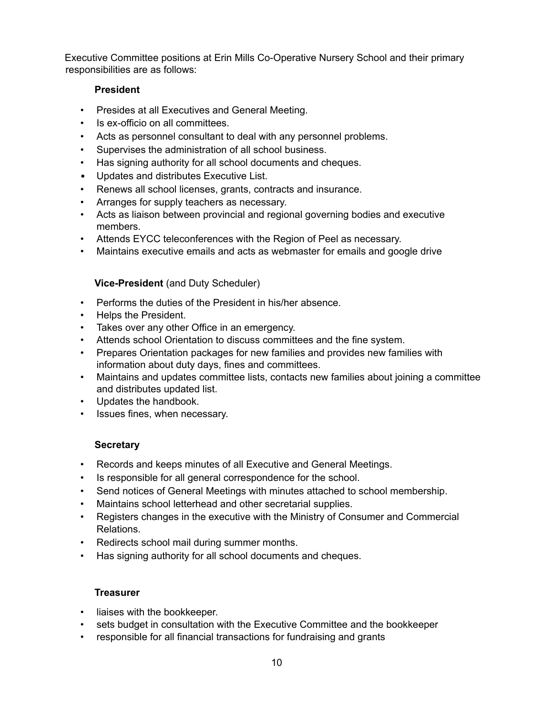Executive Committee positions at Erin Mills Co-Operative Nursery School and their primary responsibilities are as follows:

## **President**

- Presides at all Executives and General Meeting.
- Is ex-officio on all committees.
- Acts as personnel consultant to deal with any personnel problems.
- Supervises the administration of all school business.
- Has signing authority for all school documents and cheques.
- Updates and distributes Executive List.
- Renews all school licenses, grants, contracts and insurance.
- Arranges for supply teachers as necessary.
- Acts as liaison between provincial and regional governing bodies and executive members.
- Attends EYCC teleconferences with the Region of Peel as necessary.
- Maintains executive emails and acts as webmaster for emails and google drive

#### **Vice-President** (and Duty Scheduler)

- Performs the duties of the President in his/her absence.
- Helps the President.
- Takes over any other Office in an emergency.
- Attends school Orientation to discuss committees and the fine system.
- Prepares Orientation packages for new families and provides new families with information about duty days, fines and committees.
- Maintains and updates committee lists, contacts new families about joining a committee and distributes updated list.
- Updates the handbook.
- Issues fines, when necessary.

## **Secretary**

- Records and keeps minutes of all Executive and General Meetings.
- Is responsible for all general correspondence for the school.
- Send notices of General Meetings with minutes attached to school membership.
- Maintains school letterhead and other secretarial supplies.
- Registers changes in the executive with the Ministry of Consumer and Commercial Relations.
- Redirects school mail during summer months.
- Has signing authority for all school documents and cheques.

#### **Treasurer**

- liaises with the bookkeeper.
- sets budget in consultation with the Executive Committee and the bookkeeper
- responsible for all financial transactions for fundraising and grants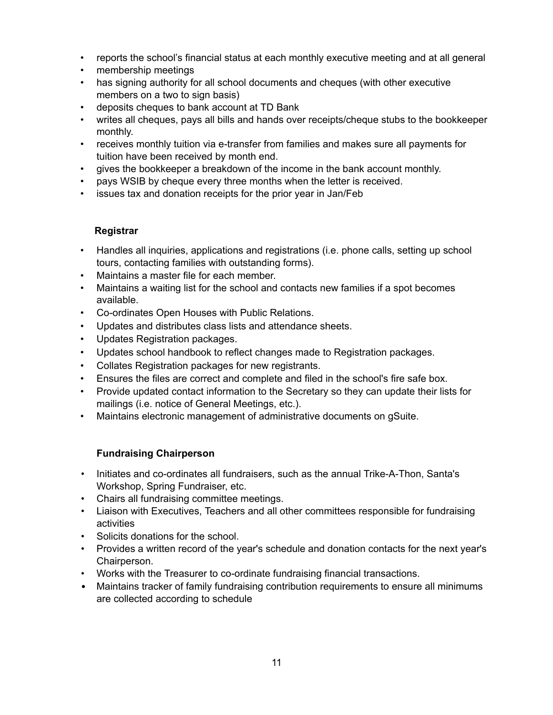- reports the school's financial status at each monthly executive meeting and at all general
- membership meetings
- has signing authority for all school documents and cheques (with other executive members on a two to sign basis)
- deposits cheques to bank account at TD Bank
- writes all cheques, pays all bills and hands over receipts/cheque stubs to the bookkeeper monthly.
- receives monthly tuition via e-transfer from families and makes sure all payments for tuition have been received by month end.
- gives the bookkeeper a breakdown of the income in the bank account monthly.
- pays WSIB by cheque every three months when the letter is received.
- issues tax and donation receipts for the prior year in Jan/Feb

#### **Registrar**

- Handles all inquiries, applications and registrations (i.e. phone calls, setting up school tours, contacting families with outstanding forms).
- Maintains a master file for each member.
- Maintains a waiting list for the school and contacts new families if a spot becomes available.
- Co-ordinates Open Houses with Public Relations.
- Updates and distributes class lists and attendance sheets.
- Updates Registration packages.
- Updates school handbook to reflect changes made to Registration packages.
- Collates Registration packages for new registrants.
- Ensures the files are correct and complete and filed in the school's fire safe box.
- Provide updated contact information to the Secretary so they can update their lists for mailings (i.e. notice of General Meetings, etc.).
- Maintains electronic management of administrative documents on gSuite.

## **Fundraising Chairperson**

- Initiates and co-ordinates all fundraisers, such as the annual Trike-A-Thon, Santa's Workshop, Spring Fundraiser, etc.
- Chairs all fundraising committee meetings.
- Liaison with Executives, Teachers and all other committees responsible for fundraising activities
- Solicits donations for the school.
- Provides a written record of the year's schedule and donation contacts for the next year's Chairperson.
- Works with the Treasurer to co-ordinate fundraising financial transactions.
- Maintains tracker of family fundraising contribution requirements to ensure all minimums are collected according to schedule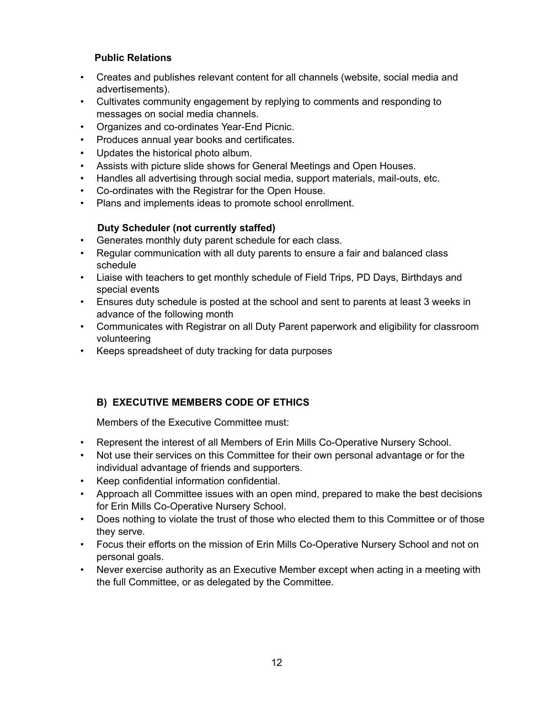## **Public Relations**

- Creates and publishes relevant content for all channels (website, social media and advertisements).
- Cultivates community engagement by replying to comments and responding to messages on social media channels.
- Organizes and co-ordinates Year-End Picnic.
- Produces annual year books and certificates.
- Updates the historical photo album.
- Assists with picture slide shows for General Meetings and Open Houses.
- Handles all advertising through social media, support materials, mail-outs, etc.
- Co-ordinates with the Registrar for the Open House.
- Plans and implements ideas to promote school enrollment.

#### **Duty Scheduler (not currently staffed)**

- Generates monthly duty parent schedule for each class.
- Regular communication with all duty parents to ensure a fair and balanced class schedule
- Liaise with teachers to get monthly schedule of Field Trips, PD Days, Birthdays and special events
- Ensures duty schedule is posted at the school and sent to parents at least 3 weeks in advance of the following month
- Communicates with Registrar on all Duty Parent paperwork and eligibility for classroom volunteering
- Keeps spreadsheet of duty tracking for data purposes

## **B) EXECUTIVE MEMBERS CODE OF ETHICS**

Members of the Executive Committee must:

- Represent the interest of all Members of Erin Mills Co-Operative Nursery School.
- Not use their services on this Committee for their own personal advantage or for the individual advantage of friends and supporters.
- Keep confidential information confidential.
- Approach all Committee issues with an open mind, prepared to make the best decisions for Erin Mills Co-Operative Nursery School.
- Does nothing to violate the trust of those who elected them to this Committee or of those they serve.
- Focus their efforts on the mission of Erin Mills Co-Operative Nursery School and not on personal goals.
- Never exercise authority as an Executive Member except when acting in a meeting with the full Committee, or as delegated by the Committee.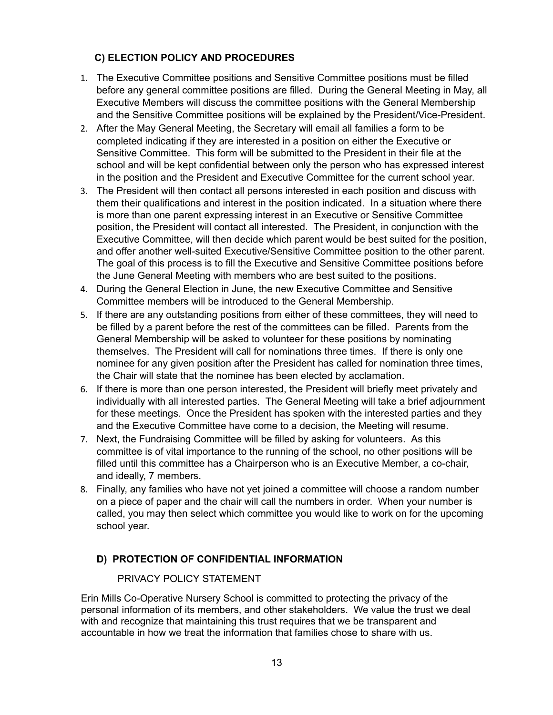## **C) ELECTION POLICY AND PROCEDURES**

- 1. The Executive Committee positions and Sensitive Committee positions must be filled before any general committee positions are filled. During the General Meeting in May, all Executive Members will discuss the committee positions with the General Membership and the Sensitive Committee positions will be explained by the President/Vice-President.
- 2. After the May General Meeting, the Secretary will email all families a form to be completed indicating if they are interested in a position on either the Executive or Sensitive Committee. This form will be submitted to the President in their file at the school and will be kept confidential between only the person who has expressed interest in the position and the President and Executive Committee for the current school year.
- 3. The President will then contact all persons interested in each position and discuss with them their qualifications and interest in the position indicated. In a situation where there is more than one parent expressing interest in an Executive or Sensitive Committee position, the President will contact all interested. The President, in conjunction with the Executive Committee, will then decide which parent would be best suited for the position, and offer another well-suited Executive/Sensitive Committee position to the other parent. The goal of this process is to fill the Executive and Sensitive Committee positions before the June General Meeting with members who are best suited to the positions.
- 4. During the General Election in June, the new Executive Committee and Sensitive Committee members will be introduced to the General Membership.
- 5. If there are any outstanding positions from either of these committees, they will need to be filled by a parent before the rest of the committees can be filled. Parents from the General Membership will be asked to volunteer for these positions by nominating themselves. The President will call for nominations three times. If there is only one nominee for any given position after the President has called for nomination three times, the Chair will state that the nominee has been elected by acclamation.
- 6. If there is more than one person interested, the President will briefly meet privately and individually with all interested parties. The General Meeting will take a brief adjournment for these meetings. Once the President has spoken with the interested parties and they and the Executive Committee have come to a decision, the Meeting will resume.
- 7. Next, the Fundraising Committee will be filled by asking for volunteers. As this committee is of vital importance to the running of the school, no other positions will be filled until this committee has a Chairperson who is an Executive Member, a co-chair, and ideally, 7 members.
- 8. Finally, any families who have not yet joined a committee will choose a random number on a piece of paper and the chair will call the numbers in order. When your number is called, you may then select which committee you would like to work on for the upcoming school year.

## **D) PROTECTION OF CONFIDENTIAL INFORMATION**

## PRIVACY POLICY STATEMENT

Erin Mills Co-Operative Nursery School is committed to protecting the privacy of the personal information of its members, and other stakeholders. We value the trust we deal with and recognize that maintaining this trust requires that we be transparent and accountable in how we treat the information that families chose to share with us.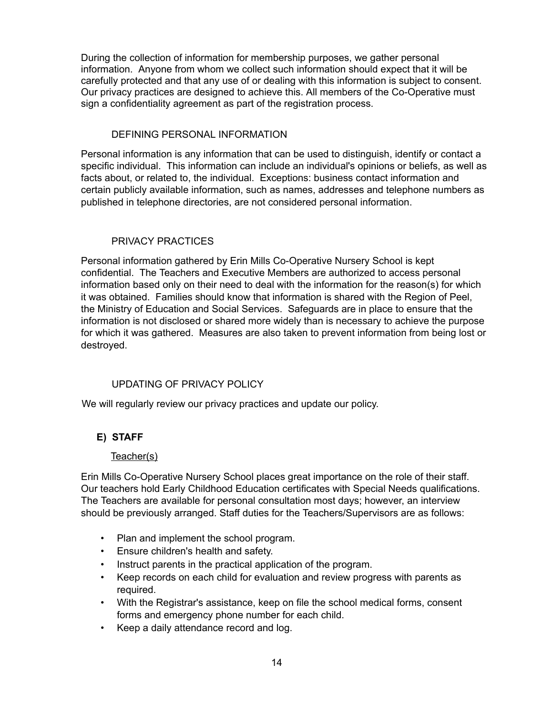During the collection of information for membership purposes, we gather personal information. Anyone from whom we collect such information should expect that it will be carefully protected and that any use of or dealing with this information is subject to consent. Our privacy practices are designed to achieve this. All members of the Co-Operative must sign a confidentiality agreement as part of the registration process.

#### DEFINING PERSONAL INFORMATION

Personal information is any information that can be used to distinguish, identify or contact a specific individual. This information can include an individual's opinions or beliefs, as well as facts about, or related to, the individual. Exceptions: business contact information and certain publicly available information, such as names, addresses and telephone numbers as published in telephone directories, are not considered personal information.

#### PRIVACY PRACTICES

Personal information gathered by Erin Mills Co-Operative Nursery School is kept confidential. The Teachers and Executive Members are authorized to access personal information based only on their need to deal with the information for the reason(s) for which it was obtained. Families should know that information is shared with the Region of Peel, the Ministry of Education and Social Services. Safeguards are in place to ensure that the information is not disclosed or shared more widely than is necessary to achieve the purpose for which it was gathered. Measures are also taken to prevent information from being lost or destroyed.

## UPDATING OF PRIVACY POLICY

We will regularly review our privacy practices and update our policy.

## **E) STAFF**

#### Teacher(s)

Erin Mills Co-Operative Nursery School places great importance on the role of their staff. Our teachers hold Early Childhood Education certificates with Special Needs qualifications. The Teachers are available for personal consultation most days; however, an interview should be previously arranged. Staff duties for the Teachers/Supervisors are as follows:

- Plan and implement the school program.
- Ensure children's health and safety.
- Instruct parents in the practical application of the program.
- Keep records on each child for evaluation and review progress with parents as required.
- With the Registrar's assistance, keep on file the school medical forms, consent forms and emergency phone number for each child.
- Keep a daily attendance record and log.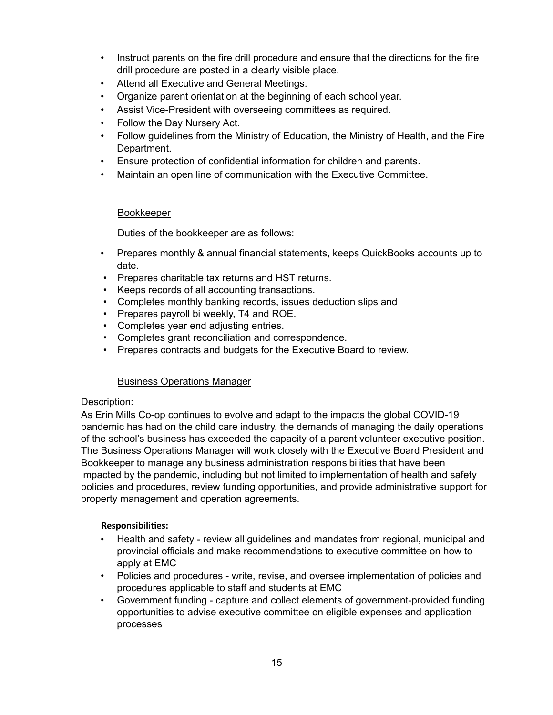- Instruct parents on the fire drill procedure and ensure that the directions for the fire drill procedure are posted in a clearly visible place.
- Attend all Executive and General Meetings.
- Organize parent orientation at the beginning of each school year.
- Assist Vice-President with overseeing committees as required.
- Follow the Day Nursery Act.
- Follow guidelines from the Ministry of Education, the Ministry of Health, and the Fire Department.
- Ensure protection of confidential information for children and parents.
- Maintain an open line of communication with the Executive Committee.

## **Bookkeeper**

Duties of the bookkeeper are as follows:

- Prepares monthly & annual financial statements, keeps QuickBooks accounts up to date.
- Prepares charitable tax returns and HST returns.
- Keeps records of all accounting transactions.
- Completes monthly banking records, issues deduction slips and
- Prepares payroll bi weekly, T4 and ROE.
- Completes year end adjusting entries.
- Completes grant reconciliation and correspondence.
- Prepares contracts and budgets for the Executive Board to review.

## Business Operations Manager

## Description:

As Erin Mills Co-op continues to evolve and adapt to the impacts the global COVID-19 pandemic has had on the child care industry, the demands of managing the daily operations of the school's business has exceeded the capacity of a parent volunteer executive position. The Business Operations Manager will work closely with the Executive Board President and Bookkeeper to manage any business administration responsibilities that have been impacted by the pandemic, including but not limited to implementation of health and safety policies and procedures, review funding opportunities, and provide administrative support for property management and operation agreements.

## **Responsibilies:**

- Health and safety review all guidelines and mandates from regional, municipal and provincial officials and make recommendations to executive committee on how to apply at EMC
- Policies and procedures write, revise, and oversee implementation of policies and procedures applicable to staff and students at EMC
- Government funding capture and collect elements of government-provided funding opportunities to advise executive committee on eligible expenses and application processes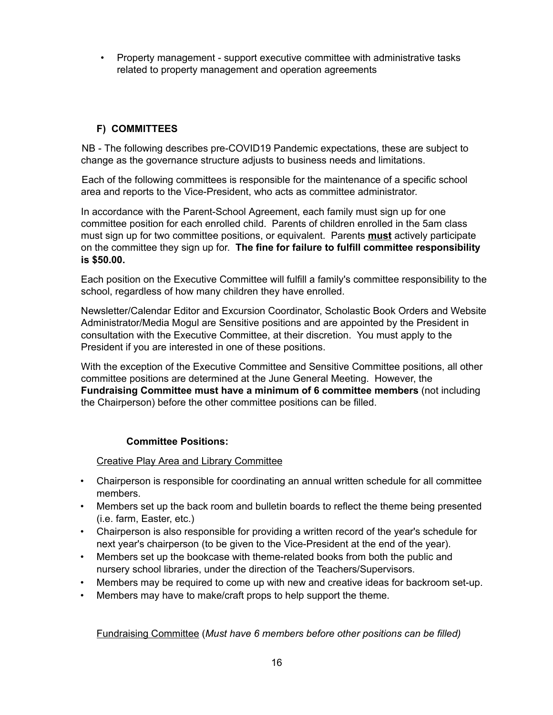• Property management - support executive committee with administrative tasks related to property management and operation agreements

## **F) COMMITTEES**

NB - The following describes pre-COVID19 Pandemic expectations, these are subject to change as the governance structure adjusts to business needs and limitations.

Each of the following committees is responsible for the maintenance of a specific school area and reports to the Vice-President, who acts as committee administrator.

In accordance with the Parent-School Agreement, each family must sign up for one committee position for each enrolled child. Parents of children enrolled in the 5am class must sign up for two committee positions, or equivalent. Parents **must** actively participate on the committee they sign up for. **The fine for failure to fulfill committee responsibility is \$50.00.**

Each position on the Executive Committee will fulfill a family's committee responsibility to the school, regardless of how many children they have enrolled.

Newsletter/Calendar Editor and Excursion Coordinator, Scholastic Book Orders and Website Administrator/Media Mogul are Sensitive positions and are appointed by the President in consultation with the Executive Committee, at their discretion. You must apply to the President if you are interested in one of these positions.

With the exception of the Executive Committee and Sensitive Committee positions, all other committee positions are determined at the June General Meeting. However, the **Fundraising Committee must have a minimum of 6 committee members** (not including the Chairperson) before the other committee positions can be filled.

## **Committee Positions:**

Creative Play Area and Library Committee

- Chairperson is responsible for coordinating an annual written schedule for all committee members.
- Members set up the back room and bulletin boards to reflect the theme being presented (i.e. farm, Easter, etc.)
- Chairperson is also responsible for providing a written record of the year's schedule for next year's chairperson (to be given to the Vice-President at the end of the year).
- Members set up the bookcase with theme-related books from both the public and nursery school libraries, under the direction of the Teachers/Supervisors.
- Members may be required to come up with new and creative ideas for backroom set-up.
- Members may have to make/craft props to help support the theme.

Fundraising Committee (*Must have 6 members before other positions can be filled)*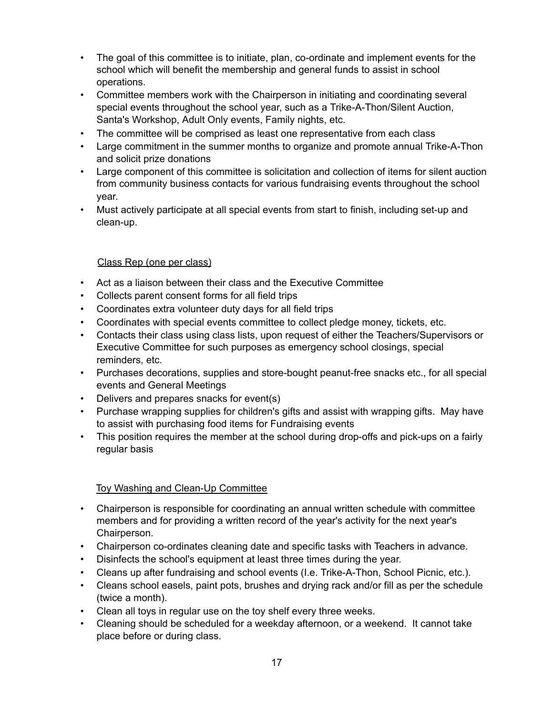- The goal of this committee is to initiate, plan, co-ordinate and implement events for the school which will benefit the membership and general funds to assist in school operations.
- Committee members work with the Chairperson in initiating and coordinating several special events throughout the school year, such as a Trike-A-Thon/Silent Auction, Santa's Workshop, Adult Only events, Family nights, etc.
- The committee will be comprised as least one representative from each class
- Large commitment in the summer months to organize and promote annual Trike-A-Thon and solicit prize donations
- Large component of this committee is solicitation and collection of items for silent auction from community business contacts for various fundraising events throughout the school year.
- Must actively participate at all special events from start to finish, including set-up and clean-up.

## Class Rep (one per class)

- Act as a liaison between their class and the Executive Committee
- Collects parent consent forms for all field trips
- Coordinates extra volunteer duty days for all field trips
- Coordinates with special events committee to collect pledge money, tickets, etc.
- Contacts their class using class lists, upon request of either the Teachers/Supervisors or Executive Committee for such purposes as emergency school closings, special reminders, etc.
- Purchases decorations, supplies and store-bought peanut-free snacks etc., for all special events and General Meetings
- Delivers and prepares snacks for event(s)
- Purchase wrapping supplies for children's gifts and assist with wrapping gifts. May have to assist with purchasing food items for Fundraising events
- This position requires the member at the school during drop-offs and pick-ups on a fairly regular basis

## Toy Washing and Clean-Up Committee

- Chairperson is responsible for coordinating an annual written schedule with committee members and for providing a written record of the year's activity for the next year's Chairperson.
- Chairperson co-ordinates cleaning date and specific tasks with Teachers in advance.
- Disinfects the school's equipment at least three times during the year.
- Cleans up after fundraising and school events (I.e. Trike-A-Thon, School Picnic, etc.).
- Cleans school easels, paint pots, brushes and drying rack and/or fill as per the schedule (twice a month).
- Clean all toys in regular use on the toy shelf every three weeks.
- Cleaning should be scheduled for a weekday afternoon, or a weekend. It cannot take place before or during class.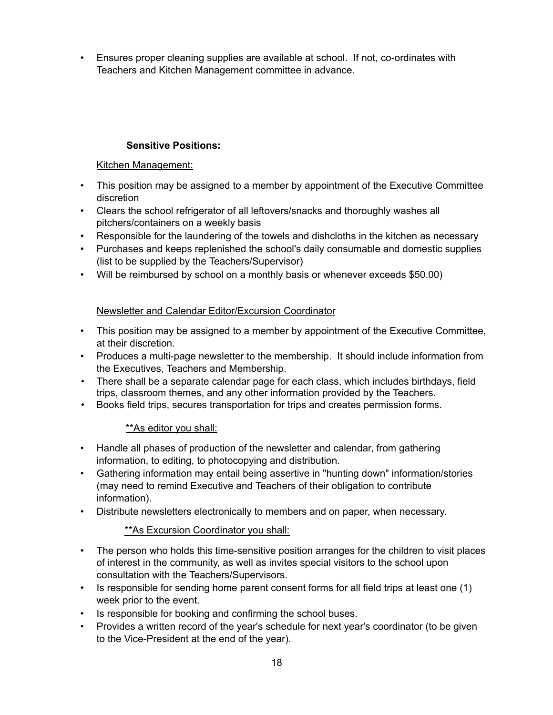• Ensures proper cleaning supplies are available at school. If not, co-ordinates with Teachers and Kitchen Management committee in advance.

## **Sensitive Positions:**

## Kitchen Management:

- This position may be assigned to a member by appointment of the Executive Committee discretion
- Clears the school refrigerator of all leftovers/snacks and thoroughly washes all pitchers/containers on a weekly basis
- Responsible for the laundering of the towels and dishcloths in the kitchen as necessary
- Purchases and keeps replenished the school's daily consumable and domestic supplies (list to be supplied by the Teachers/Supervisor)
- Will be reimbursed by school on a monthly basis or whenever exceeds \$50.00)

## Newsletter and Calendar Editor/Excursion Coordinator

- This position may be assigned to a member by appointment of the Executive Committee, at their discretion.
- Produces a multi-page newsletter to the membership. It should include information from the Executives, Teachers and Membership.
- There shall be a separate calendar page for each class, which includes birthdays, field trips, classroom themes, and any other information provided by the Teachers.
- Books field trips, secures transportation for trips and creates permission forms.

## \*\*As editor you shall:

- Handle all phases of production of the newsletter and calendar, from gathering information, to editing, to photocopying and distribution.
- Gathering information may entail being assertive in "hunting down" information/stories (may need to remind Executive and Teachers of their obligation to contribute information).
- Distribute newsletters electronically to members and on paper, when necessary.

## \*\*As Excursion Coordinator you shall:

- The person who holds this time-sensitive position arranges for the children to visit places of interest in the community, as well as invites special visitors to the school upon consultation with the Teachers/Supervisors.
- Is responsible for sending home parent consent forms for all field trips at least one (1) week prior to the event.
- Is responsible for booking and confirming the school buses.
- Provides a written record of the year's schedule for next year's coordinator (to be given to the Vice-President at the end of the year).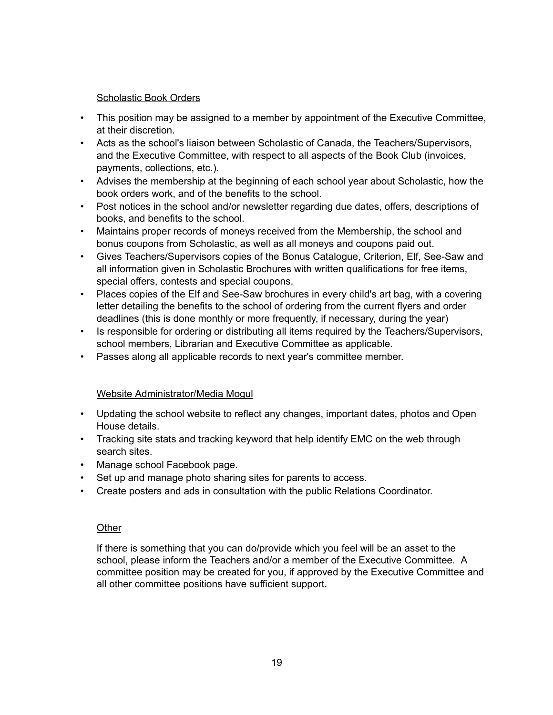#### Scholastic Book Orders

- This position may be assigned to a member by appointment of the Executive Committee, at their discretion.
- Acts as the school's liaison between Scholastic of Canada, the Teachers/Supervisors, and the Executive Committee, with respect to all aspects of the Book Club (invoices, payments, collections, etc.).
- Advises the membership at the beginning of each school year about Scholastic, how the book orders work, and of the benefits to the school.
- Post notices in the school and/or newsletter regarding due dates, offers, descriptions of books, and benefits to the school.
- Maintains proper records of moneys received from the Membership, the school and bonus coupons from Scholastic, as well as all moneys and coupons paid out.
- Gives Teachers/Supervisors copies of the Bonus Catalogue, Criterion, Elf, See-Saw and all information given in Scholastic Brochures with written qualifications for free items, special offers, contests and special coupons.
- Places copies of the Elf and See-Saw brochures in every child's art bag, with a covering letter detailing the benefits to the school of ordering from the current flyers and order deadlines (this is done monthly or more frequently, if necessary, during the year)
- Is responsible for ordering or distributing all items required by the Teachers/Supervisors, school members, Librarian and Executive Committee as applicable.
- Passes along all applicable records to next year's committee member.

## Website Administrator/Media Mogul

- Updating the school website to reflect any changes, important dates, photos and Open House details.
- Tracking site stats and tracking keyword that help identify EMC on the web through search sites.
- Manage school Facebook page.
- Set up and manage photo sharing sites for parents to access.
- Create posters and ads in consultation with the public Relations Coordinator.

## **Other**

If there is something that you can do/provide which you feel will be an asset to the school, please inform the Teachers and/or a member of the Executive Committee. A committee position may be created for you, if approved by the Executive Committee and all other committee positions have sufficient support.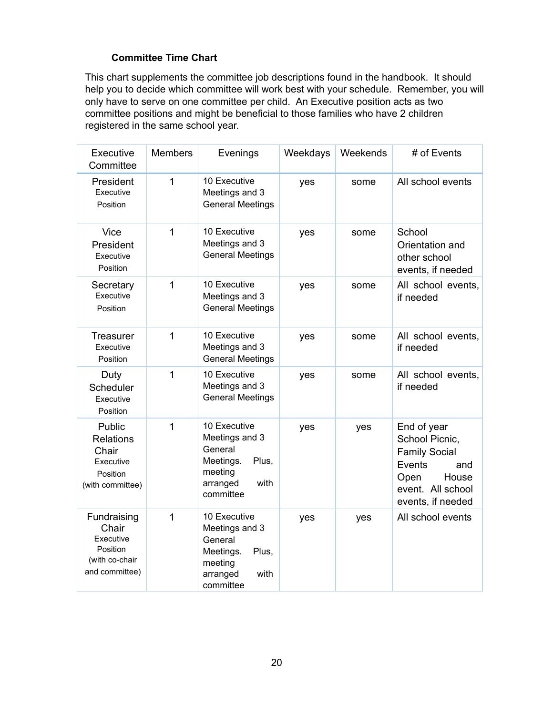## **Committee Time Chart**

This chart supplements the committee job descriptions found in the handbook. It should help you to decide which committee will work best with your schedule. Remember, you will only have to serve on one committee per child. An Executive position acts as two committee positions and might be beneficial to those families who have 2 children registered in the same school year.

| Executive<br>Committee                                                            | <b>Members</b> | Evenings                                                                                                    | Weekdays | Weekends | # of Events                                                                                                                       |
|-----------------------------------------------------------------------------------|----------------|-------------------------------------------------------------------------------------------------------------|----------|----------|-----------------------------------------------------------------------------------------------------------------------------------|
| President<br>Executive<br>Position                                                | $\mathbf 1$    | 10 Executive<br>Meetings and 3<br><b>General Meetings</b>                                                   | yes      | some     | All school events                                                                                                                 |
| <b>Vice</b><br>President<br>Executive<br>Position                                 | 1              | 10 Executive<br>Meetings and 3<br><b>General Meetings</b>                                                   | yes      | some     | School<br>Orientation and<br>other school<br>events, if needed                                                                    |
| Secretary<br>Executive<br>Position                                                | 1              | 10 Executive<br>Meetings and 3<br><b>General Meetings</b>                                                   | yes      | some     | All school events,<br>if needed                                                                                                   |
| <b>Treasurer</b><br>Executive<br>Position                                         | $\mathbf{1}$   | 10 Executive<br>Meetings and 3<br><b>General Meetings</b>                                                   | yes      | some     | All school events,<br>if needed                                                                                                   |
| Duty<br>Scheduler<br>Executive<br>Position                                        | $\overline{1}$ | 10 Executive<br>Meetings and 3<br><b>General Meetings</b>                                                   | yes      | some     | All school events,<br>if needed                                                                                                   |
| Public<br><b>Relations</b><br>Chair<br>Executive<br>Position<br>(with committee)  | $\mathbf{1}$   | 10 Executive<br>Meetings and 3<br>General<br>Meetings.<br>Plus,<br>meeting<br>arranged<br>with<br>committee | yes      | yes      | End of year<br>School Picnic,<br><b>Family Social</b><br>Events<br>and<br>Open<br>House<br>event. All school<br>events, if needed |
| Fundraising<br>Chair<br>Executive<br>Position<br>(with co-chair<br>and committee) | 1              | 10 Executive<br>Meetings and 3<br>General<br>Plus,<br>Meetings.<br>meeting<br>arranged<br>with<br>committee | yes      | yes      | All school events                                                                                                                 |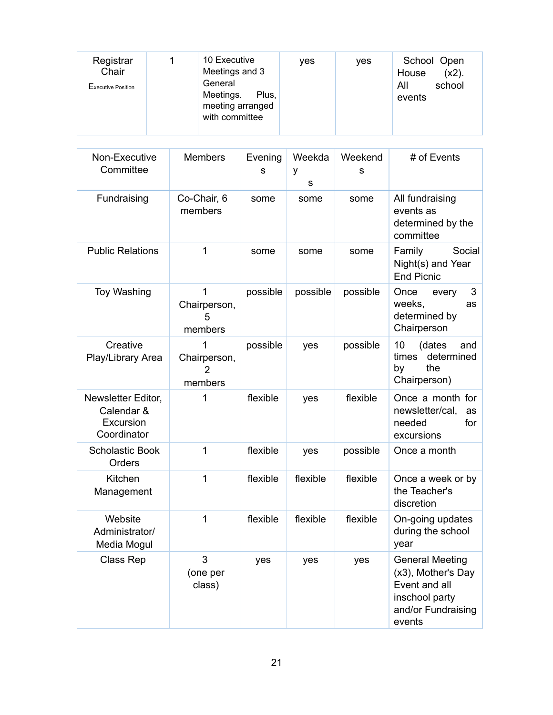| Registrar<br>Chair<br>Executive Position |  | 10 Executive<br>Meetings and 3<br>General<br>Meetings.<br>Plus,<br>meeting arranged<br>with committee | ves | yes | School Open<br>$(x2)$ .<br>House<br>school<br>All<br>events |
|------------------------------------------|--|-------------------------------------------------------------------------------------------------------|-----|-----|-------------------------------------------------------------|
|------------------------------------------|--|-------------------------------------------------------------------------------------------------------|-----|-----|-------------------------------------------------------------|

| Non-Executive<br>Committee                                   | <b>Members</b>                                 | Evening<br>s | Weekda<br>у<br>S | Weekend<br>s | # of Events                                                                                                     |
|--------------------------------------------------------------|------------------------------------------------|--------------|------------------|--------------|-----------------------------------------------------------------------------------------------------------------|
| Fundraising                                                  | Co-Chair, 6<br>members                         | some         | some             | some         | All fundraising<br>events as<br>determined by the<br>committee                                                  |
| <b>Public Relations</b>                                      | 1                                              | some         | some             | some         | Family<br>Social<br>Night(s) and Year<br><b>End Picnic</b>                                                      |
| <b>Toy Washing</b>                                           | 1<br>Chairperson,<br>5<br>members              | possible     | possible         | possible     | Once<br>3<br>every<br>weeks,<br>as<br>determined by<br>Chairperson                                              |
| Creative<br>Play/Library Area                                | 1<br>Chairperson,<br>$\overline{2}$<br>members | possible     | yes              | possible     | 10<br>(dates<br>and<br>times<br>determined<br>the<br>by<br>Chairperson)                                         |
| Newsletter Editor,<br>Calendar &<br>Excursion<br>Coordinator | 1                                              | flexible     | yes              | flexible     | Once a month for<br>newsletter/cal,<br>as<br>needed<br>for<br>excursions                                        |
| <b>Scholastic Book</b><br>Orders                             | 1                                              | flexible     | yes              | possible     | Once a month                                                                                                    |
| Kitchen<br>Management                                        | 1                                              | flexible     | flexible         | flexible     | Once a week or by<br>the Teacher's<br>discretion                                                                |
| Website<br>Administrator/<br>Media Mogul                     | 1                                              | flexible     | flexible         | flexible     | On-going updates<br>during the school<br>year                                                                   |
| Class Rep                                                    | 3<br>(one per<br>class)                        | yes          | yes              | yes          | <b>General Meeting</b><br>(x3), Mother's Day<br>Event and all<br>inschool party<br>and/or Fundraising<br>events |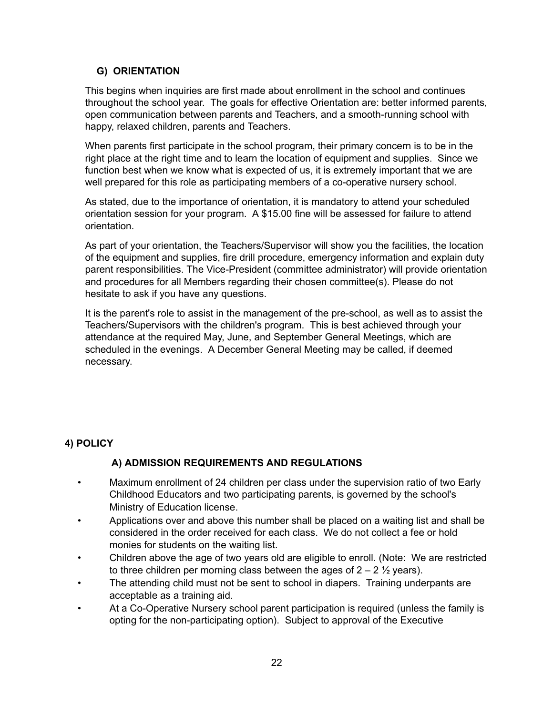## **G) ORIENTATION**

This begins when inquiries are first made about enrollment in the school and continues throughout the school year. The goals for effective Orientation are: better informed parents, open communication between parents and Teachers, and a smooth-running school with happy, relaxed children, parents and Teachers.

When parents first participate in the school program, their primary concern is to be in the right place at the right time and to learn the location of equipment and supplies. Since we function best when we know what is expected of us, it is extremely important that we are well prepared for this role as participating members of a co-operative nursery school.

As stated, due to the importance of orientation, it is mandatory to attend your scheduled orientation session for your program. A \$15.00 fine will be assessed for failure to attend orientation.

As part of your orientation, the Teachers/Supervisor will show you the facilities, the location of the equipment and supplies, fire drill procedure, emergency information and explain duty parent responsibilities. The Vice-President (committee administrator) will provide orientation and procedures for all Members regarding their chosen committee(s). Please do not hesitate to ask if you have any questions.

It is the parent's role to assist in the management of the pre-school, as well as to assist the Teachers/Supervisors with the children's program. This is best achieved through your attendance at the required May, June, and September General Meetings, which are scheduled in the evenings. A December General Meeting may be called, if deemed necessary.

## **4) POLICY**

## **A) ADMISSION REQUIREMENTS AND REGULATIONS**

- Maximum enrollment of 24 children per class under the supervision ratio of two Early Childhood Educators and two participating parents, is governed by the school's Ministry of Education license.
- Applications over and above this number shall be placed on a waiting list and shall be considered in the order received for each class. We do not collect a fee or hold monies for students on the waiting list.
- Children above the age of two years old are eligible to enroll. (Note: We are restricted to three children per morning class between the ages of  $2 - 2 \frac{1}{2}$  years).
- The attending child must not be sent to school in diapers. Training underpants are acceptable as a training aid.
- At a Co-Operative Nursery school parent participation is required (unless the family is opting for the non-participating option). Subject to approval of the Executive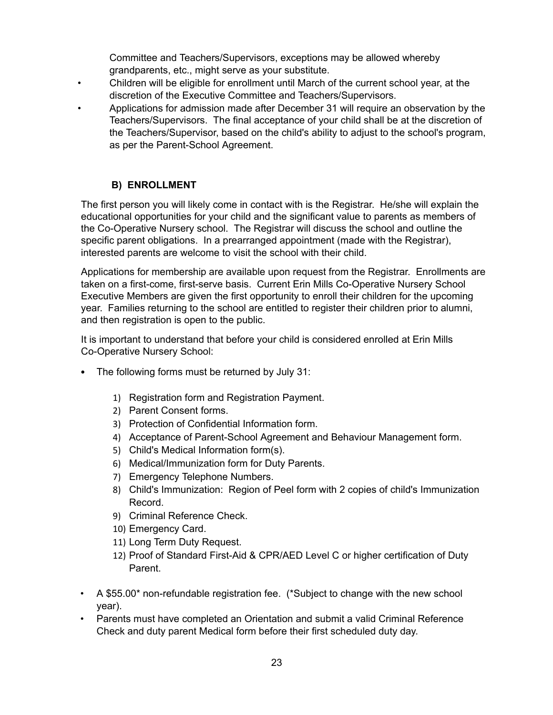Committee and Teachers/Supervisors, exceptions may be allowed whereby grandparents, etc., might serve as your substitute.

- Children will be eligible for enrollment until March of the current school year, at the discretion of the Executive Committee and Teachers/Supervisors.
- Applications for admission made after December 31 will require an observation by the Teachers/Supervisors. The final acceptance of your child shall be at the discretion of the Teachers/Supervisor, based on the child's ability to adjust to the school's program, as per the Parent-School Agreement.

## **B) ENROLLMENT**

The first person you will likely come in contact with is the Registrar. He/she will explain the educational opportunities for your child and the significant value to parents as members of the Co-Operative Nursery school. The Registrar will discuss the school and outline the specific parent obligations. In a prearranged appointment (made with the Registrar), interested parents are welcome to visit the school with their child.

Applications for membership are available upon request from the Registrar. Enrollments are taken on a first-come, first-serve basis. Current Erin Mills Co-Operative Nursery School Executive Members are given the first opportunity to enroll their children for the upcoming year. Families returning to the school are entitled to register their children prior to alumni, and then registration is open to the public.

It is important to understand that before your child is considered enrolled at Erin Mills Co-Operative Nursery School:

- The following forms must be returned by July 31:
	- 1) Registration form and Registration Payment.
	- 2) Parent Consent forms.
	- 3) Protection of Confidential Information form.
	- 4) Acceptance of Parent-School Agreement and Behaviour Management form.
	- 5) Child's Medical Information form(s).
	- 6) Medical/Immunization form for Duty Parents.
	- 7) Emergency Telephone Numbers.
	- 8) Child's Immunization: Region of Peel form with 2 copies of child's Immunization Record.
	- 9) Criminal Reference Check.
	- 10) Emergency Card.
	- 11) Long Term Duty Request.
	- 12) Proof of Standard First-Aid & CPR/AED Level C or higher certification of Duty Parent.
- A \$55.00\* non-refundable registration fee. (\*Subject to change with the new school year).
- Parents must have completed an Orientation and submit a valid Criminal Reference Check and duty parent Medical form before their first scheduled duty day.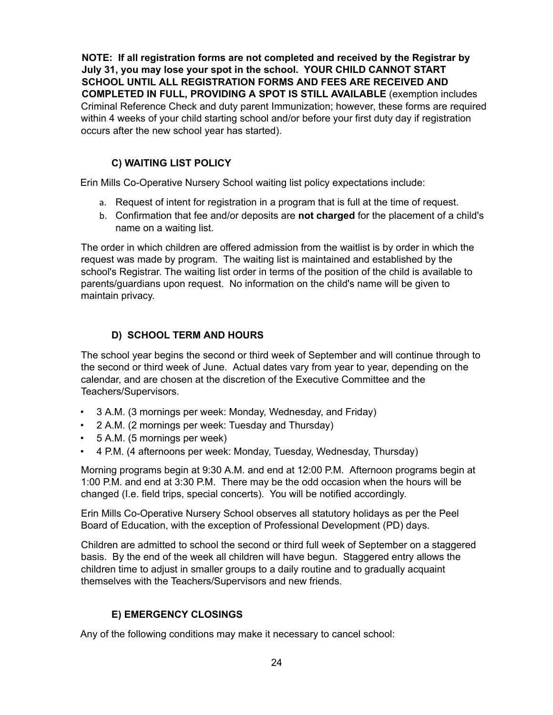**NOTE: If all registration forms are not completed and received by the Registrar by July 31, you may lose your spot in the school. YOUR CHILD CANNOT START SCHOOL UNTIL ALL REGISTRATION FORMS AND FEES ARE RECEIVED AND COMPLETED IN FULL, PROVIDING A SPOT IS STILL AVAILABLE** (exemption includes Criminal Reference Check and duty parent Immunization; however, these forms are required within 4 weeks of your child starting school and/or before your first duty day if registration occurs after the new school year has started).

### **C) WAITING LIST POLICY**

Erin Mills Co-Operative Nursery School waiting list policy expectations include:

- a. Request of intent for registration in a program that is full at the time of request.
- b. Confirmation that fee and/or deposits are **not charged** for the placement of a child's name on a waiting list.

The order in which children are offered admission from the waitlist is by order in which the request was made by program. The waiting list is maintained and established by the school's Registrar. The waiting list order in terms of the position of the child is available to parents/guardians upon request. No information on the child's name will be given to maintain privacy.

#### **D) SCHOOL TERM AND HOURS**

The school year begins the second or third week of September and will continue through to the second or third week of June. Actual dates vary from year to year, depending on the calendar, and are chosen at the discretion of the Executive Committee and the Teachers/Supervisors.

- 3 A.M. (3 mornings per week: Monday, Wednesday, and Friday)
- 2 A.M. (2 mornings per week: Tuesday and Thursday)
- 5 A.M. (5 mornings per week)
- 4 P.M. (4 afternoons per week: Monday, Tuesday, Wednesday, Thursday)

Morning programs begin at 9:30 A.M. and end at 12:00 P.M. Afternoon programs begin at 1:00 P.M. and end at 3:30 P.M. There may be the odd occasion when the hours will be changed (I.e. field trips, special concerts). You will be notified accordingly.

Erin Mills Co-Operative Nursery School observes all statutory holidays as per the Peel Board of Education, with the exception of Professional Development (PD) days.

Children are admitted to school the second or third full week of September on a staggered basis. By the end of the week all children will have begun. Staggered entry allows the children time to adjust in smaller groups to a daily routine and to gradually acquaint themselves with the Teachers/Supervisors and new friends.

#### **E) EMERGENCY CLOSINGS**

Any of the following conditions may make it necessary to cancel school: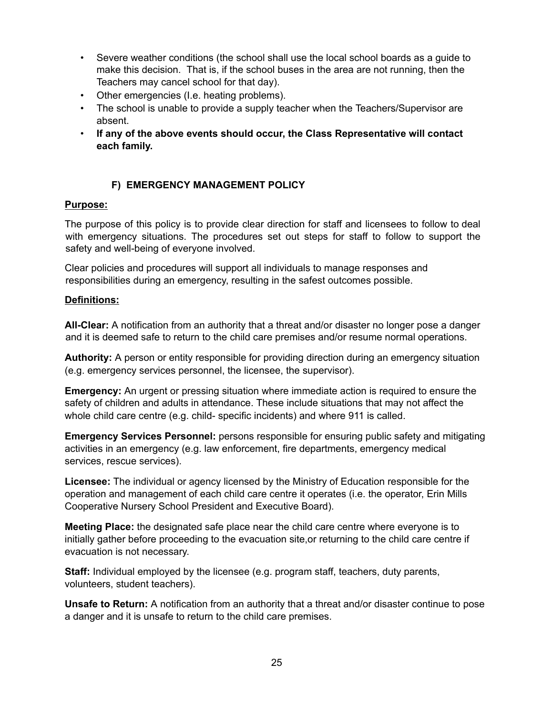- Severe weather conditions (the school shall use the local school boards as a guide to make this decision. That is, if the school buses in the area are not running, then the Teachers may cancel school for that day).
- Other emergencies (I.e. heating problems).
- The school is unable to provide a supply teacher when the Teachers/Supervisor are absent.
- **If any of the above events should occur, the Class Representative will contact each family.**

## **F) EMERGENCY MANAGEMENT POLICY**

## **Purpose:**

The purpose of this policy is to provide clear direction for staff and licensees to follow to deal with emergency situations. The procedures set out steps for staff to follow to support the safety and well-being of everyone involved.

Clear policies and procedures will support all individuals to manage responses and responsibilities during an emergency, resulting in the safest outcomes possible.

#### **Definitions:**

**All-Clear:** A notification from an authority that a threat and/or disaster no longer pose a danger and it is deemed safe to return to the child care premises and/or resume normal operations.

**Authority:** A person or entity responsible for providing direction during an emergency situation (e.g. emergency services personnel, the licensee, the supervisor).

**Emergency:** An urgent or pressing situation where immediate action is required to ensure the safety of children and adults in attendance. These include situations that may not affect the whole child care centre (e.g. child- specific incidents) and where 911 is called.

**Emergency Services Personnel:** persons responsible for ensuring public safety and mitigating activities in an emergency (e.g. law enforcement, fire departments, emergency medical services, rescue services).

**Licensee:** The individual or agency licensed by the Ministry of Education responsible for the operation and management of each child care centre it operates (i.e. the operator, Erin Mills Cooperative Nursery School President and Executive Board).

**Meeting Place:** the designated safe place near the child care centre where everyone is to initially gather before proceeding to the evacuation site,or returning to the child care centre if evacuation is not necessary.

**Staff:** Individual employed by the licensee (e.g. program staff, teachers, duty parents, volunteers, student teachers).

**Unsafe to Return:** A notification from an authority that a threat and/or disaster continue to pose a danger and it is unsafe to return to the child care premises.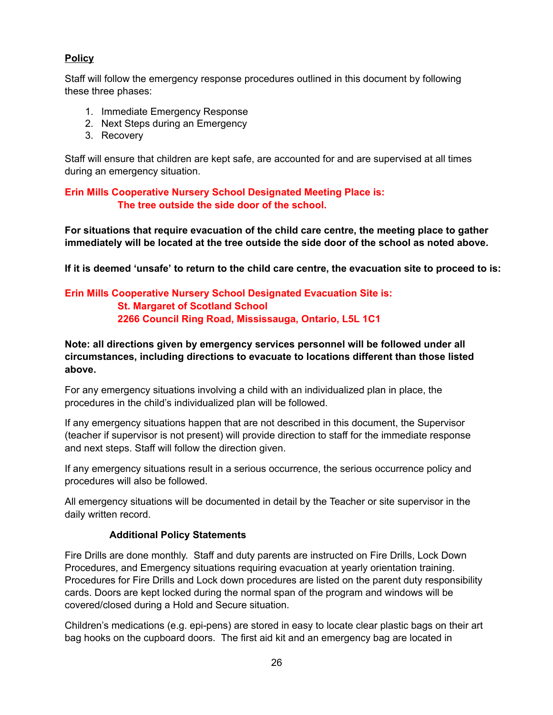## **Policy**

Staff will follow the emergency response procedures outlined in this document by following these three phases:

- 1. Immediate Emergency Response
- 2. Next Steps during an Emergency
- 3. Recovery

Staff will ensure that children are kept safe, are accounted for and are supervised at all times during an emergency situation.

**Erin Mills Cooperative Nursery School Designated Meeting Place is: The tree outside the side door of the school.**

**For situations that require evacuation of the child care centre, the meeting place to gather immediately will be located at the tree outside the side door of the school as noted above.**

If it is deemed 'unsafe' to return to the child care centre, the evacuation site to proceed to is:

#### **Erin Mills Cooperative Nursery School Designated Evacuation Site is: St. Margaret of Scotland School 2266 Council Ring Road, Mississauga, Ontario, L5L 1C1**

**Note: all directions given by emergency services personnel will be followed under all circumstances, including directions to evacuate to locations different than those listed above.**

For any emergency situations involving a child with an individualized plan in place, the procedures in the child's individualized plan will be followed.

If any emergency situations happen that are not described in this document, the Supervisor (teacher if supervisor is not present) will provide direction to staff for the immediate response and next steps. Staff will follow the direction given.

If any emergency situations result in a serious occurrence, the serious occurrence policy and procedures will also be followed.

All emergency situations will be documented in detail by the Teacher or site supervisor in the daily written record.

## **Additional Policy Statements**

Fire Drills are done monthly. Staff and duty parents are instructed on Fire Drills, Lock Down Procedures, and Emergency situations requiring evacuation at yearly orientation training. Procedures for Fire Drills and Lock down procedures are listed on the parent duty responsibility cards. Doors are kept locked during the normal span of the program and windows will be covered/closed during a Hold and Secure situation.

Children's medications (e.g. epi-pens) are stored in easy to locate clear plastic bags on their art bag hooks on the cupboard doors. The first aid kit and an emergency bag are located in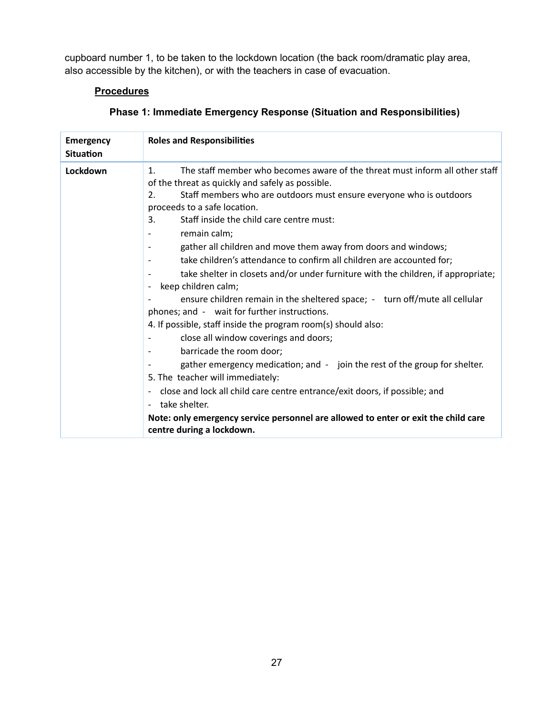cupboard number 1, to be taken to the lockdown location (the back room/dramatic play area, also accessible by the kitchen), or with the teachers in case of evacuation.

## **Procedures**

| <b>Emergency</b><br><b>Situation</b> | <b>Roles and Responsibilities</b>                                                                                                                                                                                                                                                                                                                                                                                                                                                                                                                                                                                                                                                                                                                                                                                                                                                                                                                                                                                                                                                                                                                                                                       |
|--------------------------------------|---------------------------------------------------------------------------------------------------------------------------------------------------------------------------------------------------------------------------------------------------------------------------------------------------------------------------------------------------------------------------------------------------------------------------------------------------------------------------------------------------------------------------------------------------------------------------------------------------------------------------------------------------------------------------------------------------------------------------------------------------------------------------------------------------------------------------------------------------------------------------------------------------------------------------------------------------------------------------------------------------------------------------------------------------------------------------------------------------------------------------------------------------------------------------------------------------------|
| Lockdown                             | The staff member who becomes aware of the threat must inform all other staff<br>1.<br>of the threat as quickly and safely as possible.<br>2.<br>Staff members who are outdoors must ensure everyone who is outdoors<br>proceeds to a safe location.<br>Staff inside the child care centre must:<br>3.<br>remain calm;<br>gather all children and move them away from doors and windows;<br>$\overline{a}$<br>take children's attendance to confirm all children are accounted for;<br>take shelter in closets and/or under furniture with the children, if appropriate;<br>keep children calm;<br>ensure children remain in the sheltered space; - turn off/mute all cellular<br>phones; and - wait for further instructions.<br>4. If possible, staff inside the program room(s) should also:<br>close all window coverings and doors;<br>barricade the room door;<br>gather emergency medication; and - join the rest of the group for shelter.<br>5. The teacher will immediately:<br>close and lock all child care centre entrance/exit doors, if possible; and<br>take shelter.<br>Note: only emergency service personnel are allowed to enter or exit the child care<br>centre during a lockdown. |

## **Phase 1: Immediate Emergency Response (Situation and Responsibilities)**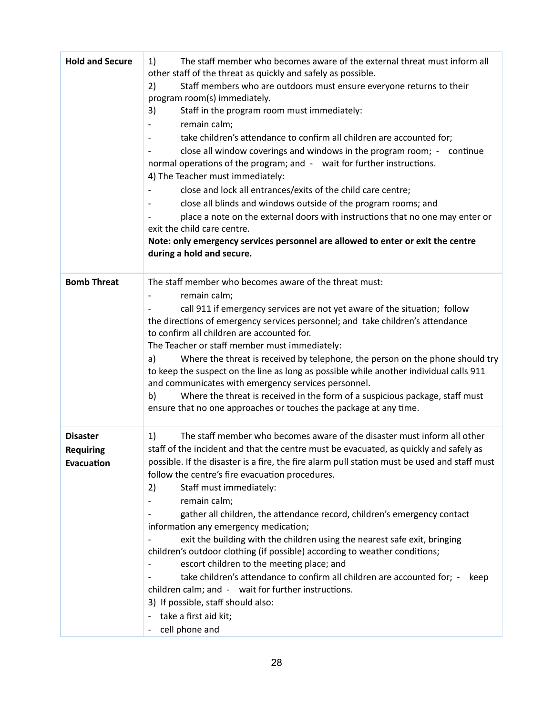| <b>Hold and Secure</b>                            | The staff member who becomes aware of the external threat must inform all<br>1)<br>other staff of the threat as quickly and safely as possible.<br>Staff members who are outdoors must ensure everyone returns to their<br>2)<br>program room(s) immediately.<br>3)<br>Staff in the program room must immediately:<br>remain calm;<br>take children's attendance to confirm all children are accounted for;<br>close all window coverings and windows in the program room; - continue<br>normal operations of the program; and - wait for further instructions.<br>4) The Teacher must immediately:<br>close and lock all entrances/exits of the child care centre;<br>close all blinds and windows outside of the program rooms; and<br>place a note on the external doors with instructions that no one may enter or<br>exit the child care centre.<br>Note: only emergency services personnel are allowed to enter or exit the centre<br>during a hold and secure. |
|---------------------------------------------------|-----------------------------------------------------------------------------------------------------------------------------------------------------------------------------------------------------------------------------------------------------------------------------------------------------------------------------------------------------------------------------------------------------------------------------------------------------------------------------------------------------------------------------------------------------------------------------------------------------------------------------------------------------------------------------------------------------------------------------------------------------------------------------------------------------------------------------------------------------------------------------------------------------------------------------------------------------------------------|
| <b>Bomb Threat</b>                                | The staff member who becomes aware of the threat must:<br>remain calm;<br>call 911 if emergency services are not yet aware of the situation; follow<br>the directions of emergency services personnel; and take children's attendance<br>to confirm all children are accounted for.<br>The Teacher or staff member must immediately:<br>Where the threat is received by telephone, the person on the phone should try<br>a)<br>to keep the suspect on the line as long as possible while another individual calls 911<br>and communicates with emergency services personnel.<br>Where the threat is received in the form of a suspicious package, staff must<br>b)<br>ensure that no one approaches or touches the package at any time.                                                                                                                                                                                                                               |
| <b>Disaster</b><br><b>Requiring</b><br>Evacuation | The staff member who becomes aware of the disaster must inform all other<br>1)<br>staff of the incident and that the centre must be evacuated, as quickly and safely as<br>possible. If the disaster is a fire, the fire alarm pull station must be used and staff must<br>follow the centre's fire evacuation procedures.<br>Staff must immediately:<br>2)<br>remain calm;<br>gather all children, the attendance record, children's emergency contact<br>information any emergency medication;<br>exit the building with the children using the nearest safe exit, bringing<br>children's outdoor clothing (if possible) according to weather conditions;<br>escort children to the meeting place; and<br>take children's attendance to confirm all children are accounted for; -<br>keep<br>children calm; and - wait for further instructions.<br>3) If possible, staff should also:<br>take a first aid kit;<br>cell phone and                                   |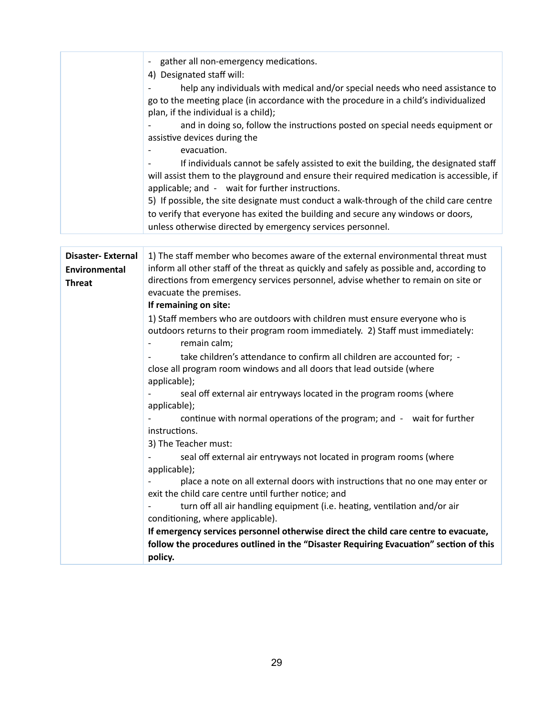|                          | gather all non-emergency medications.<br>$\overline{\phantom{a}}$                                                                                                                                                                         |
|--------------------------|-------------------------------------------------------------------------------------------------------------------------------------------------------------------------------------------------------------------------------------------|
|                          | 4) Designated staff will:                                                                                                                                                                                                                 |
|                          | help any individuals with medical and/or special needs who need assistance to<br>go to the meeting place (in accordance with the procedure in a child's individualized<br>plan, if the individual is a child);                            |
|                          | and in doing so, follow the instructions posted on special needs equipment or<br>assistive devices during the<br>evacuation.                                                                                                              |
|                          | If individuals cannot be safely assisted to exit the building, the designated staff<br>will assist them to the playground and ensure their required medication is accessible, if<br>applicable; and - wait for further instructions.      |
|                          | 5) If possible, the site designate must conduct a walk-through of the child care centre<br>to verify that everyone has exited the building and secure any windows or doors,<br>unless otherwise directed by emergency services personnel. |
|                          |                                                                                                                                                                                                                                           |
| <b>Disaster-External</b> | 1) The staff member who becomes aware of the external environmental threat must                                                                                                                                                           |
| <b>Environmental</b>     | inform all other staff of the threat as quickly and safely as possible and, according to                                                                                                                                                  |
| <b>Threat</b>            | directions from emergency services personnel, advise whether to remain on site or                                                                                                                                                         |
|                          | evacuate the premises.                                                                                                                                                                                                                    |
|                          | If remaining on site:                                                                                                                                                                                                                     |
|                          | 1) Staff members who are outdoors with children must ensure everyone who is                                                                                                                                                               |
|                          | outdoors returns to their program room immediately. 2) Staff must immediately:<br>remain calm;<br>$\overline{\phantom{0}}$                                                                                                                |
|                          | take children's attendance to confirm all children are accounted for; -                                                                                                                                                                   |
|                          | close all program room windows and all doors that lead outside (where                                                                                                                                                                     |
|                          | applicable);                                                                                                                                                                                                                              |
|                          | seal off external air entryways located in the program rooms (where<br>applicable);                                                                                                                                                       |
|                          | continue with normal operations of the program; and - wait for further<br>instructions.                                                                                                                                                   |
|                          | 3) The Teacher must:                                                                                                                                                                                                                      |
|                          | seal off external air entryways not located in program rooms (where                                                                                                                                                                       |
|                          | applicable);                                                                                                                                                                                                                              |
|                          | place a note on all external doors with instructions that no one may enter or<br>exit the child care centre until further notice; and                                                                                                     |
|                          | turn off all air handling equipment (i.e. heating, ventilation and/or air                                                                                                                                                                 |
|                          | conditioning, where applicable).                                                                                                                                                                                                          |
|                          | If emergency services personnel otherwise direct the child care centre to evacuate,                                                                                                                                                       |
|                          | follow the procedures outlined in the "Disaster Requiring Evacuation" section of this                                                                                                                                                     |
|                          | policy.                                                                                                                                                                                                                                   |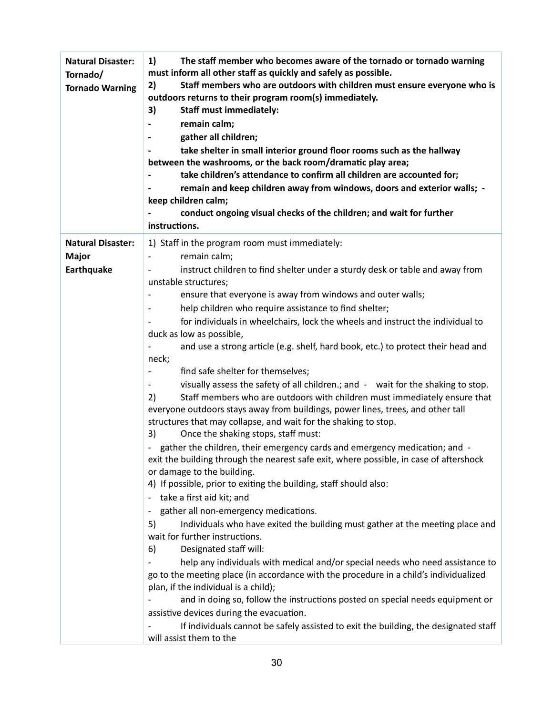| <b>Natural Disaster:</b><br>Tornado/<br><b>Tornado Warning</b> | The staff member who becomes aware of the tornado or tornado warning<br>1)<br>must inform all other staff as quickly and safely as possible.<br>Staff members who are outdoors with children must ensure everyone who is<br>2)<br>outdoors returns to their program room(s) immediately.<br>3)<br><b>Staff must immediately:</b><br>remain calm;<br>gather all children;<br>take shelter in small interior ground floor rooms such as the hallway<br>between the washrooms, or the back room/dramatic play area;<br>take children's attendance to confirm all children are accounted for;<br>remain and keep children away from windows, doors and exterior walls; -<br>keep children calm;<br>conduct ongoing visual checks of the children; and wait for further<br>instructions. |
|----------------------------------------------------------------|-------------------------------------------------------------------------------------------------------------------------------------------------------------------------------------------------------------------------------------------------------------------------------------------------------------------------------------------------------------------------------------------------------------------------------------------------------------------------------------------------------------------------------------------------------------------------------------------------------------------------------------------------------------------------------------------------------------------------------------------------------------------------------------|
| <b>Natural Disaster:</b>                                       | 1) Staff in the program room must immediately:                                                                                                                                                                                                                                                                                                                                                                                                                                                                                                                                                                                                                                                                                                                                      |
| <b>Major</b><br>Earthquake                                     | remain calm;<br>instruct children to find shelter under a sturdy desk or table and away from                                                                                                                                                                                                                                                                                                                                                                                                                                                                                                                                                                                                                                                                                        |
|                                                                | unstable structures;                                                                                                                                                                                                                                                                                                                                                                                                                                                                                                                                                                                                                                                                                                                                                                |
|                                                                | ensure that everyone is away from windows and outer walls;                                                                                                                                                                                                                                                                                                                                                                                                                                                                                                                                                                                                                                                                                                                          |
|                                                                | help children who require assistance to find shelter;                                                                                                                                                                                                                                                                                                                                                                                                                                                                                                                                                                                                                                                                                                                               |
|                                                                | for individuals in wheelchairs, lock the wheels and instruct the individual to                                                                                                                                                                                                                                                                                                                                                                                                                                                                                                                                                                                                                                                                                                      |
|                                                                | duck as low as possible,<br>and use a strong article (e.g. shelf, hard book, etc.) to protect their head and                                                                                                                                                                                                                                                                                                                                                                                                                                                                                                                                                                                                                                                                        |
|                                                                | neck;                                                                                                                                                                                                                                                                                                                                                                                                                                                                                                                                                                                                                                                                                                                                                                               |
|                                                                | find safe shelter for themselves;                                                                                                                                                                                                                                                                                                                                                                                                                                                                                                                                                                                                                                                                                                                                                   |
|                                                                | visually assess the safety of all children.; and - wait for the shaking to stop.                                                                                                                                                                                                                                                                                                                                                                                                                                                                                                                                                                                                                                                                                                    |
|                                                                | Staff members who are outdoors with children must immediately ensure that<br>2)                                                                                                                                                                                                                                                                                                                                                                                                                                                                                                                                                                                                                                                                                                     |
|                                                                | everyone outdoors stays away from buildings, power lines, trees, and other tall<br>structures that may collapse, and wait for the shaking to stop.                                                                                                                                                                                                                                                                                                                                                                                                                                                                                                                                                                                                                                  |
|                                                                | 3)<br>Once the shaking stops, staff must:                                                                                                                                                                                                                                                                                                                                                                                                                                                                                                                                                                                                                                                                                                                                           |
|                                                                | gather the children, their emergency cards and emergency medication; and -                                                                                                                                                                                                                                                                                                                                                                                                                                                                                                                                                                                                                                                                                                          |
|                                                                | exit the building through the nearest safe exit, where possible, in case of aftershock                                                                                                                                                                                                                                                                                                                                                                                                                                                                                                                                                                                                                                                                                              |
|                                                                | or damage to the building.<br>4) If possible, prior to exiting the building, staff should also:                                                                                                                                                                                                                                                                                                                                                                                                                                                                                                                                                                                                                                                                                     |
|                                                                | take a first aid kit; and                                                                                                                                                                                                                                                                                                                                                                                                                                                                                                                                                                                                                                                                                                                                                           |
|                                                                | gather all non-emergency medications.                                                                                                                                                                                                                                                                                                                                                                                                                                                                                                                                                                                                                                                                                                                                               |
|                                                                | Individuals who have exited the building must gather at the meeting place and<br>5)                                                                                                                                                                                                                                                                                                                                                                                                                                                                                                                                                                                                                                                                                                 |
|                                                                | wait for further instructions.                                                                                                                                                                                                                                                                                                                                                                                                                                                                                                                                                                                                                                                                                                                                                      |
|                                                                | Designated staff will:<br>6)                                                                                                                                                                                                                                                                                                                                                                                                                                                                                                                                                                                                                                                                                                                                                        |
|                                                                | help any individuals with medical and/or special needs who need assistance to<br>go to the meeting place (in accordance with the procedure in a child's individualized                                                                                                                                                                                                                                                                                                                                                                                                                                                                                                                                                                                                              |
|                                                                | plan, if the individual is a child);                                                                                                                                                                                                                                                                                                                                                                                                                                                                                                                                                                                                                                                                                                                                                |
|                                                                | and in doing so, follow the instructions posted on special needs equipment or                                                                                                                                                                                                                                                                                                                                                                                                                                                                                                                                                                                                                                                                                                       |
|                                                                | assistive devices during the evacuation.                                                                                                                                                                                                                                                                                                                                                                                                                                                                                                                                                                                                                                                                                                                                            |
|                                                                | If individuals cannot be safely assisted to exit the building, the designated staff                                                                                                                                                                                                                                                                                                                                                                                                                                                                                                                                                                                                                                                                                                 |
|                                                                | will assist them to the                                                                                                                                                                                                                                                                                                                                                                                                                                                                                                                                                                                                                                                                                                                                                             |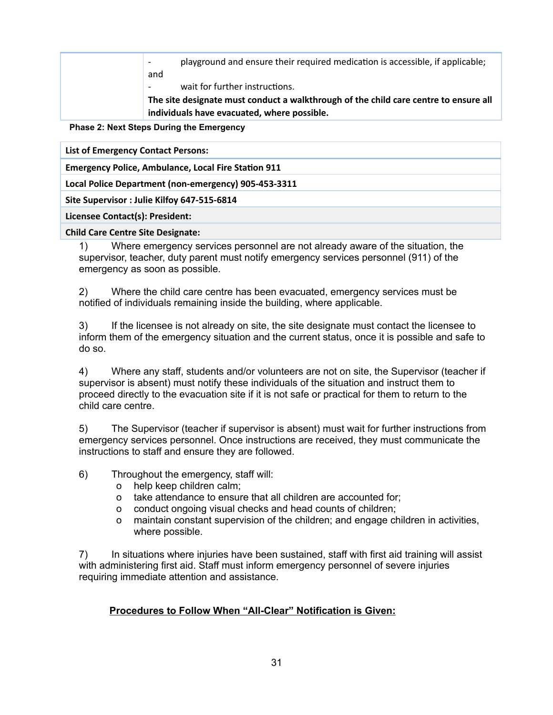playground and ensure their required medication is accessible, if applicable; and

wait for further instructions.

**The site designate must conduct a walkthrough of the child care centre to ensure all individuals have evacuated, where possible.**

**Phase 2: Next Steps During the Emergency**

**List of Emergency Contact Persons:**

**Emergency Police, Ambulance, Local Fire Station 911** 

**Local Police Department (non-emergency) 905-453-3311**

**Site Supervisor : Julie Kilfoy 647-515-6814**

**Licensee Contact(s): President:**

#### **Child Care Centre Site Designate:**

1) Where emergency services personnel are not already aware of the situation, the supervisor, teacher, duty parent must notify emergency services personnel (911) of the emergency as soon as possible.

2) Where the child care centre has been evacuated, emergency services must be notified of individuals remaining inside the building, where applicable.

3) If the licensee is not already on site, the site designate must contact the licensee to inform them of the emergency situation and the current status, once it is possible and safe to do so.

4) Where any staff, students and/or volunteers are not on site, the Supervisor (teacher if supervisor is absent) must notify these individuals of the situation and instruct them to proceed directly to the evacuation site if it is not safe or practical for them to return to the child care centre.

5) The Supervisor (teacher if supervisor is absent) must wait for further instructions from emergency services personnel. Once instructions are received, they must communicate the instructions to staff and ensure they are followed.

6) Throughout the emergency, staff will:

- o help keep children calm;
- o take attendance to ensure that all children are accounted for;
- o conduct ongoing visual checks and head counts of children;
- o maintain constant supervision of the children; and engage children in activities, where possible.

7) In situations where injuries have been sustained, staff with first aid training will assist with administering first aid. Staff must inform emergency personnel of severe injuries requiring immediate attention and assistance.

#### **Procedures to Follow When "All-Clear" Notification is Given:**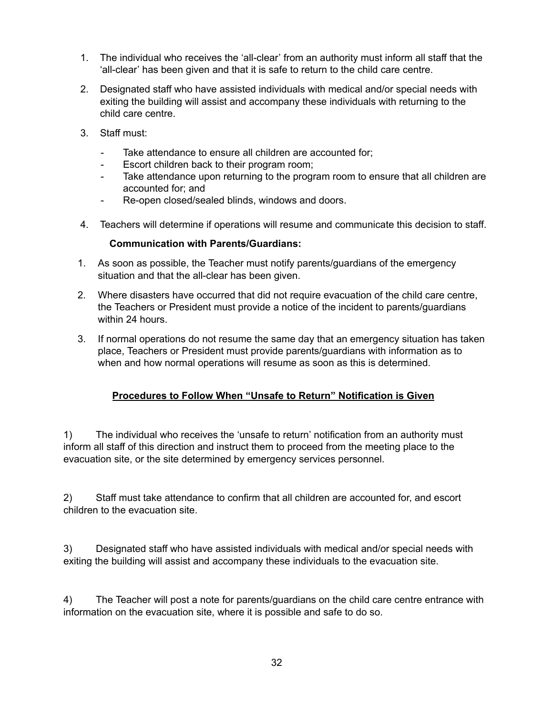- 1. The individual who receives the 'all-clear' from an authority must inform all staff that the 'all-clear' has been given and that it is safe to return to the child care centre.
- 2. Designated staff who have assisted individuals with medical and/or special needs with exiting the building will assist and accompany these individuals with returning to the child care centre.
- 3. Staff must:
	- Take attendance to ensure all children are accounted for;
	- Escort children back to their program room;
	- Take attendance upon returning to the program room to ensure that all children are accounted for; and
	- Re-open closed/sealed blinds, windows and doors.
- 4. Teachers will determine if operations will resume and communicate this decision to staff.

#### **Communication with Parents/Guardians:**

- 1. As soon as possible, the Teacher must notify parents/guardians of the emergency situation and that the all-clear has been given.
- 2. Where disasters have occurred that did not require evacuation of the child care centre, the Teachers or President must provide a notice of the incident to parents/guardians within 24 hours.
- 3. If normal operations do not resume the same day that an emergency situation has taken place, Teachers or President must provide parents/guardians with information as to when and how normal operations will resume as soon as this is determined.

## **Procedures to Follow When "Unsafe to Return" Notification is Given**

1) The individual who receives the 'unsafe to return' notification from an authority must inform all staff of this direction and instruct them to proceed from the meeting place to the evacuation site, or the site determined by emergency services personnel.

2) Staff must take attendance to confirm that all children are accounted for, and escort children to the evacuation site.

3) Designated staff who have assisted individuals with medical and/or special needs with exiting the building will assist and accompany these individuals to the evacuation site.

4) The Teacher will post a note for parents/guardians on the child care centre entrance with information on the evacuation site, where it is possible and safe to do so.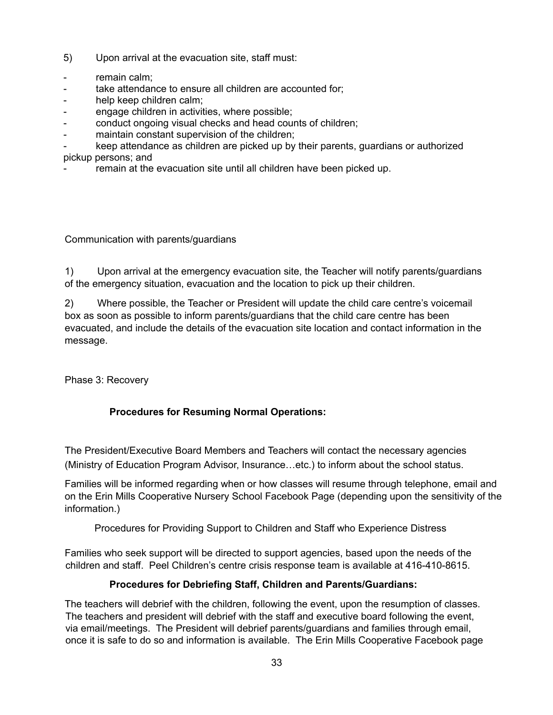- 5) Upon arrival at the evacuation site, staff must:
- remain calm:
- take attendance to ensure all children are accounted for;
- help keep children calm;
- engage children in activities, where possible;
- conduct ongoing visual checks and head counts of children;
- maintain constant supervision of the children;
- keep attendance as children are picked up by their parents, quardians or authorized pickup persons; and
- remain at the evacuation site until all children have been picked up.

Communication with parents/guardians

1) Upon arrival at the emergency evacuation site, the Teacher will notify parents/guardians of the emergency situation, evacuation and the location to pick up their children.

2) Where possible, the Teacher or President will update the child care centre's voicemail box as soon as possible to inform parents/guardians that the child care centre has been evacuated, and include the details of the evacuation site location and contact information in the message.

Phase 3: Recovery

## **Procedures for Resuming Normal Operations:**

The President/Executive Board Members and Teachers will contact the necessary agencies (Ministry of Education Program Advisor, Insurance…etc.) to inform about the school status.

Families will be informed regarding when or how classes will resume through telephone, email and on the Erin Mills Cooperative Nursery School Facebook Page (depending upon the sensitivity of the information.)

Procedures for Providing Support to Children and Staff who Experience Distress

Families who seek support will be directed to support agencies, based upon the needs of the children and staff. Peel Children's centre crisis response team is available at 416-410-8615.

## **Procedures for Debriefing Staff, Children and Parents/Guardians:**

The teachers will debrief with the children, following the event, upon the resumption of classes. The teachers and president will debrief with the staff and executive board following the event, via email/meetings. The President will debrief parents/guardians and families through email, once it is safe to do so and information is available. The Erin Mills Cooperative Facebook page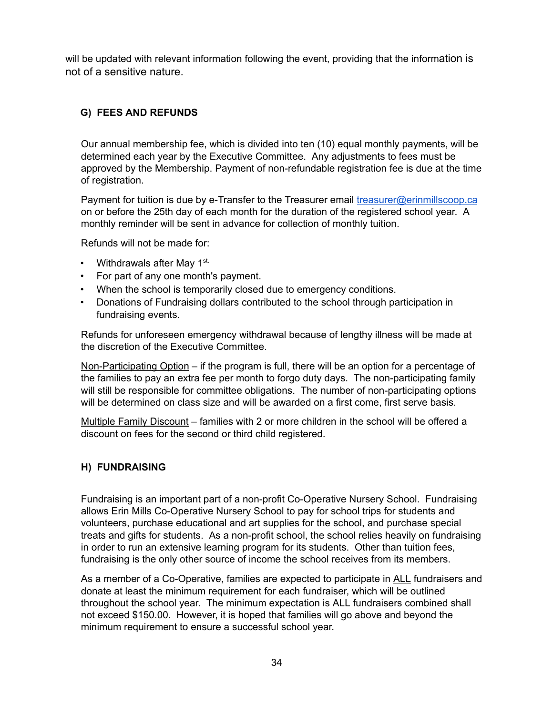will be updated with relevant information following the event, providing that the information is not of a sensitive nature.

## **G) FEES AND REFUNDS**

Our annual membership fee, which is divided into ten (10) equal monthly payments, will be determined each year by the Executive Committee. Any adjustments to fees must be approved by the Membership. Payment of non-refundable registration fee is due at the time of registration.

Payment for tuition is due by e-Transfer to the Treasurer email [treasurer@erinmillscoop.ca](mailto:treasurer@erinmillscoop.ca) on or before the 25th day of each month for the duration of the registered school year. A monthly reminder will be sent in advance for collection of monthly tuition.

Refunds will not be made for:

- Withdrawals after May 1<sup>st.</sup>
- For part of any one month's payment.
- When the school is temporarily closed due to emergency conditions.
- Donations of Fundraising dollars contributed to the school through participation in fundraising events.

Refunds for unforeseen emergency withdrawal because of lengthy illness will be made at the discretion of the Executive Committee.

Non-Participating Option – if the program is full, there will be an option for a percentage of the families to pay an extra fee per month to forgo duty days. The non-participating family will still be responsible for committee obligations. The number of non-participating options will be determined on class size and will be awarded on a first come, first serve basis.

Multiple Family Discount – families with 2 or more children in the school will be offered a discount on fees for the second or third child registered.

## **H) FUNDRAISING**

Fundraising is an important part of a non-profit Co-Operative Nursery School. Fundraising allows Erin Mills Co-Operative Nursery School to pay for school trips for students and volunteers, purchase educational and art supplies for the school, and purchase special treats and gifts for students. As a non-profit school, the school relies heavily on fundraising in order to run an extensive learning program for its students. Other than tuition fees, fundraising is the only other source of income the school receives from its members.

As a member of a Co-Operative, families are expected to participate in ALL fundraisers and donate at least the minimum requirement for each fundraiser, which will be outlined throughout the school year. The minimum expectation is ALL fundraisers combined shall not exceed \$150.00. However, it is hoped that families will go above and beyond the minimum requirement to ensure a successful school year.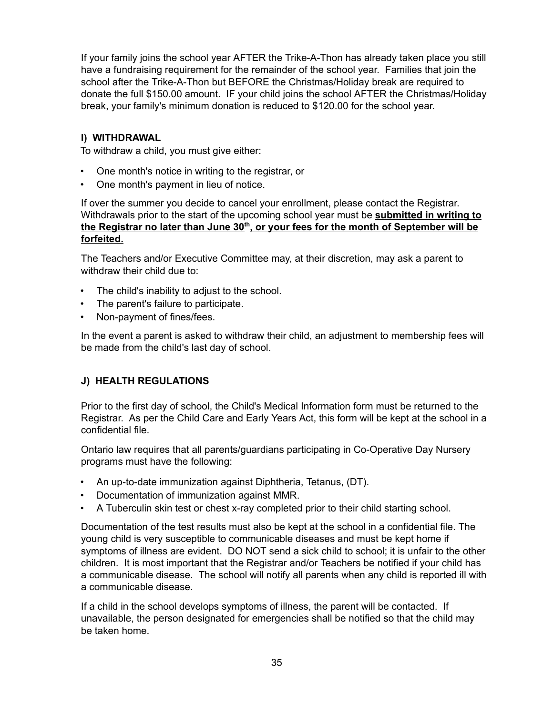If your family joins the school year AFTER the Trike-A-Thon has already taken place you still have a fundraising requirement for the remainder of the school year. Families that join the school after the Trike-A-Thon but BEFORE the Christmas/Holiday break are required to donate the full \$150.00 amount. IF your child joins the school AFTER the Christmas/Holiday break, your family's minimum donation is reduced to \$120.00 for the school year.

#### **I) WITHDRAWAL**

To withdraw a child, you must give either:

- One month's notice in writing to the registrar, or
- One month's payment in lieu of notice.

If over the summer you decide to cancel your enrollment, please contact the Registrar. Withdrawals prior to the start of the upcoming school year must be **submitted in writing to the Registrar no later than June 30 th , or your fees for the month of September will be forfeited.**

The Teachers and/or Executive Committee may, at their discretion, may ask a parent to withdraw their child due to:

- The child's inability to adjust to the school.
- The parent's failure to participate.
- Non-payment of fines/fees.

In the event a parent is asked to withdraw their child, an adjustment to membership fees will be made from the child's last day of school.

#### **J) HEALTH REGULATIONS**

Prior to the first day of school, the Child's Medical Information form must be returned to the Registrar. As per the Child Care and Early Years Act, this form will be kept at the school in a confidential file.

Ontario law requires that all parents/guardians participating in Co-Operative Day Nursery programs must have the following:

- An up-to-date immunization against Diphtheria, Tetanus, (DT).
- Documentation of immunization against MMR.
- A Tuberculin skin test or chest x-ray completed prior to their child starting school.

Documentation of the test results must also be kept at the school in a confidential file. The young child is very susceptible to communicable diseases and must be kept home if symptoms of illness are evident. DO NOT send a sick child to school; it is unfair to the other children. It is most important that the Registrar and/or Teachers be notified if your child has a communicable disease. The school will notify all parents when any child is reported ill with a communicable disease.

If a child in the school develops symptoms of illness, the parent will be contacted. If unavailable, the person designated for emergencies shall be notified so that the child may be taken home.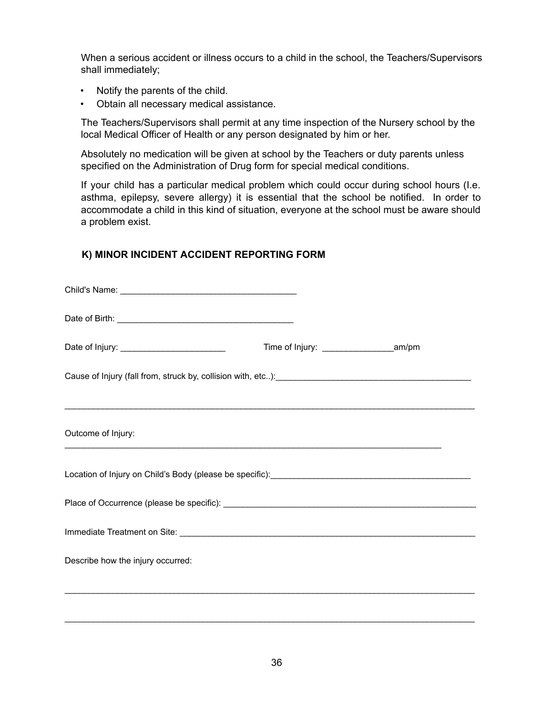When a serious accident or illness occurs to a child in the school, the Teachers/Supervisors shall immediately;

- Notify the parents of the child.
- Obtain all necessary medical assistance.

The Teachers/Supervisors shall permit at any time inspection of the Nursery school by the local Medical Officer of Health or any person designated by him or her.

Absolutely no medication will be given at school by the Teachers or duty parents unless specified on the Administration of Drug form for special medical conditions.

If your child has a particular medical problem which could occur during school hours (I.e. asthma, epilepsy, severe allergy) it is essential that the school be notified. In order to accommodate a child in this kind of situation, everyone at the school must be aware should a problem exist.

#### **K) MINOR INCIDENT ACCIDENT REPORTING FORM**

| Cause of Injury (fall from, struck by, collision with, etc): [14] Decrement and the product of Injury (fall from, struck by, collision with, etc): |  |  |
|----------------------------------------------------------------------------------------------------------------------------------------------------|--|--|
|                                                                                                                                                    |  |  |
| Outcome of Injury:<br>,我们也不能在这里的时候,我们也不能在这里的时候,我们也不能不能不能不能不能不能不能不能不能不能不能不能不能不能不能。""我们的是,我们也不能不能不能不能不能不能                                            |  |  |
| Location of Injury on Child's Body (please be specific): ________________________                                                                  |  |  |
|                                                                                                                                                    |  |  |
|                                                                                                                                                    |  |  |
| Describe how the injury occurred:                                                                                                                  |  |  |
|                                                                                                                                                    |  |  |
|                                                                                                                                                    |  |  |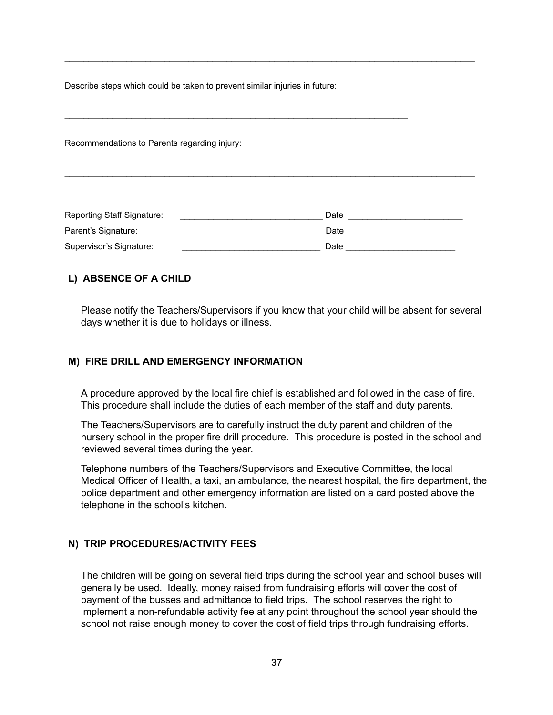Describe steps which could be taken to prevent similar injuries in future:

\_\_\_\_\_\_\_\_\_\_\_\_\_\_\_\_\_\_\_\_\_\_\_\_\_\_\_\_\_\_\_\_\_\_\_\_\_\_\_\_\_\_\_\_\_\_\_\_\_\_\_\_\_\_\_\_\_\_\_\_\_\_\_\_\_\_\_\_\_\_\_\_

Recommendations to Parents regarding injury:

| Reporting Staff Signature: | Date |
|----------------------------|------|
| Parent's Signature:        | Date |
| Supervisor's Signature:    | Date |

\_\_\_\_\_\_\_\_\_\_\_\_\_\_\_\_\_\_\_\_\_\_\_\_\_\_\_\_\_\_\_\_\_\_\_\_\_\_\_\_\_\_\_\_\_\_\_\_\_\_\_\_\_\_\_\_\_\_\_\_\_\_\_\_\_\_\_\_\_\_\_\_\_\_\_\_\_\_\_\_\_\_\_\_\_\_

 $\_$  . The contribution of the contribution of the contribution of the contribution of the contribution of the contribution of the contribution of the contribution of the contribution of the contribution of the contributio

#### **L) ABSENCE OF A CHILD**

Please notify the Teachers/Supervisors if you know that your child will be absent for several days whether it is due to holidays or illness.

#### **M) FIRE DRILL AND EMERGENCY INFORMATION**

A procedure approved by the local fire chief is established and followed in the case of fire. This procedure shall include the duties of each member of the staff and duty parents.

The Teachers/Supervisors are to carefully instruct the duty parent and children of the nursery school in the proper fire drill procedure. This procedure is posted in the school and reviewed several times during the year.

Telephone numbers of the Teachers/Supervisors and Executive Committee, the local Medical Officer of Health, a taxi, an ambulance, the nearest hospital, the fire department, the police department and other emergency information are listed on a card posted above the telephone in the school's kitchen.

#### **N) TRIP PROCEDURES/ACTIVITY FEES**

The children will be going on several field trips during the school year and school buses will generally be used. Ideally, money raised from fundraising efforts will cover the cost of payment of the busses and admittance to field trips. The school reserves the right to implement a non-refundable activity fee at any point throughout the school year should the school not raise enough money to cover the cost of field trips through fundraising efforts.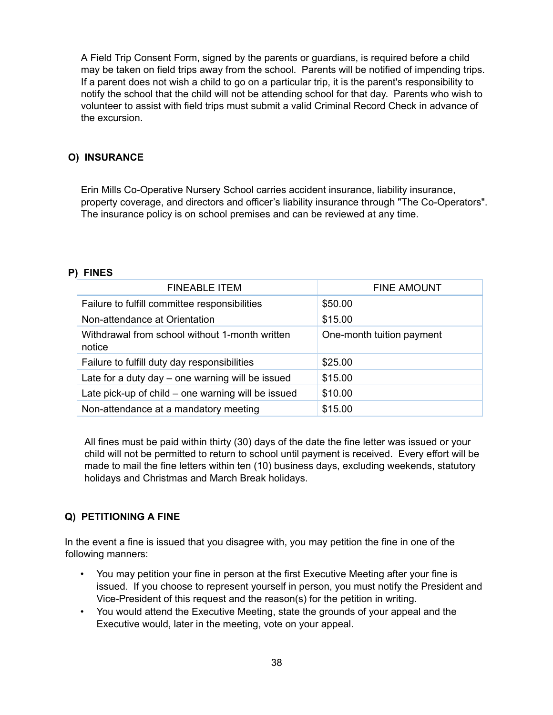A Field Trip Consent Form, signed by the parents or guardians, is required before a child may be taken on field trips away from the school. Parents will be notified of impending trips. If a parent does not wish a child to go on a particular trip, it is the parent's responsibility to notify the school that the child will not be attending school for that day. Parents who wish to volunteer to assist with field trips must submit a valid Criminal Record Check in advance of the excursion.

## **O) INSURANCE**

Erin Mills Co-Operative Nursery School carries accident insurance, liability insurance, property coverage, and directors and officer's liability insurance through "The Co-Operators". The insurance policy is on school premises and can be reviewed at any time.

#### **P) FINES**

| <b>FINEABLE ITEM</b>                                     | <b>FINE AMOUNT</b>        |
|----------------------------------------------------------|---------------------------|
| Failure to fulfill committee responsibilities            | \$50.00                   |
| Non-attendance at Orientation                            | \$15.00                   |
| Withdrawal from school without 1-month written<br>notice | One-month tuition payment |
| Failure to fulfill duty day responsibilities             | \$25.00                   |
| Late for a duty day $-$ one warning will be issued       | \$15.00                   |
| Late pick-up of child $-$ one warning will be issued     | \$10.00                   |
| Non-attendance at a mandatory meeting                    | \$15.00                   |

All fines must be paid within thirty (30) days of the date the fine letter was issued or your child will not be permitted to return to school until payment is received. Every effort will be made to mail the fine letters within ten (10) business days, excluding weekends, statutory holidays and Christmas and March Break holidays.

#### **Q) PETITIONING A FINE**

In the event a fine is issued that you disagree with, you may petition the fine in one of the following manners:

- You may petition your fine in person at the first Executive Meeting after your fine is issued. If you choose to represent yourself in person, you must notify the President and Vice-President of this request and the reason(s) for the petition in writing.
- You would attend the Executive Meeting, state the grounds of your appeal and the Executive would, later in the meeting, vote on your appeal.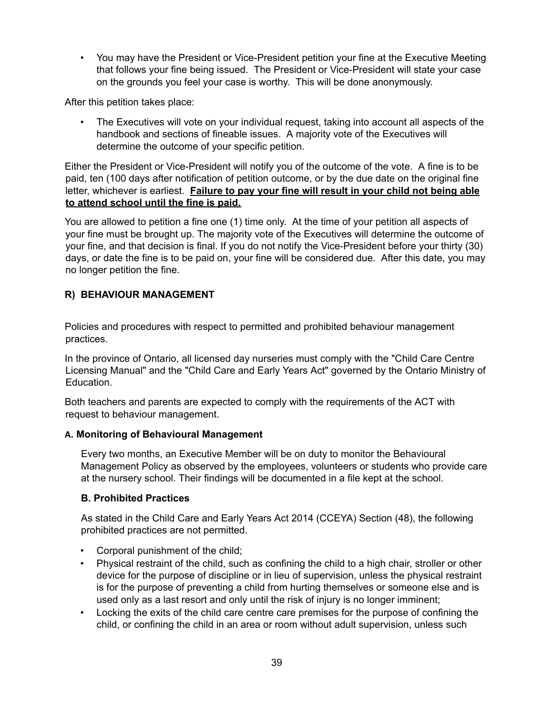• You may have the President or Vice-President petition your fine at the Executive Meeting that follows your fine being issued. The President or Vice-President will state your case on the grounds you feel your case is worthy. This will be done anonymously.

After this petition takes place:

• The Executives will vote on your individual request, taking into account all aspects of the handbook and sections of fineable issues. A majority vote of the Executives will determine the outcome of your specific petition.

Either the President or Vice-President will notify you of the outcome of the vote. A fine is to be paid, ten (100 days after notification of petition outcome, or by the due date on the original fine letter, whichever is earliest. **Failure to pay your fine will result in your child not being able to attend school until the fine is paid.**

You are allowed to petition a fine one (1) time only. At the time of your petition all aspects of your fine must be brought up. The majority vote of the Executives will determine the outcome of your fine, and that decision is final. If you do not notify the Vice-President before your thirty (30) days, or date the fine is to be paid on, your fine will be considered due. After this date, you may no longer petition the fine.

## **R) BEHAVIOUR MANAGEMENT**

Policies and procedures with respect to permitted and prohibited behaviour management practices.

In the province of Ontario, all licensed day nurseries must comply with the "Child Care Centre Licensing Manual" and the "Child Care and Early Years Act" governed by the Ontario Ministry of Education.

Both teachers and parents are expected to comply with the requirements of the ACT with request to behaviour management.

#### **A. Monitoring of Behavioural Management**

Every two months, an Executive Member will be on duty to monitor the Behavioural Management Policy as observed by the employees, volunteers or students who provide care at the nursery school. Their findings will be documented in a file kept at the school.

## **B. Prohibited Practices**

As stated in the Child Care and Early Years Act 2014 (CCEYA) Section (48), the following prohibited practices are not permitted.

- Corporal punishment of the child;
- Physical restraint of the child, such as confining the child to a high chair, stroller or other device for the purpose of discipline or in lieu of supervision, unless the physical restraint is for the purpose of preventing a child from hurting themselves or someone else and is used only as a last resort and only until the risk of injury is no longer imminent;
- Locking the exits of the child care centre care premises for the purpose of confining the child, or confining the child in an area or room without adult supervision, unless such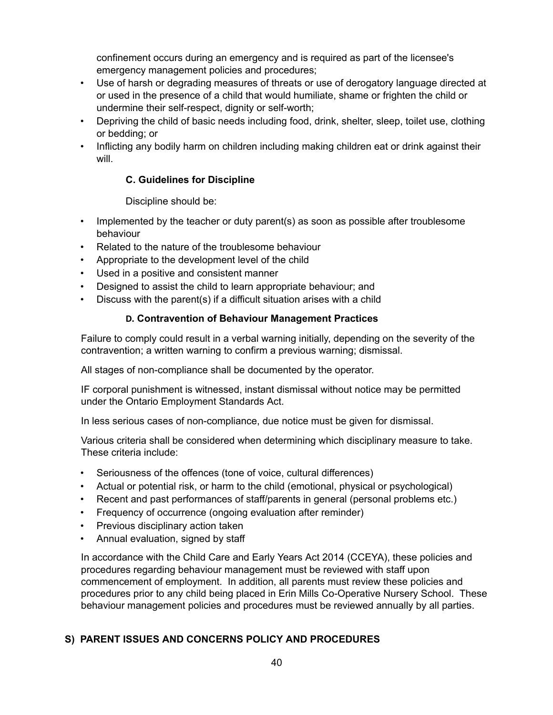confinement occurs during an emergency and is required as part of the licensee's emergency management policies and procedures;

- Use of harsh or degrading measures of threats or use of derogatory language directed at or used in the presence of a child that would humiliate, shame or frighten the child or undermine their self-respect, dignity or self-worth;
- Depriving the child of basic needs including food, drink, shelter, sleep, toilet use, clothing or bedding; or
- Inflicting any bodily harm on children including making children eat or drink against their will.

#### **C. Guidelines for Discipline**

Discipline should be:

- Implemented by the teacher or duty parent(s) as soon as possible after troublesome behaviour
- Related to the nature of the troublesome behaviour
- Appropriate to the development level of the child
- Used in a positive and consistent manner
- Designed to assist the child to learn appropriate behaviour; and
- Discuss with the parent(s) if a difficult situation arises with a child

## **D. Contravention of Behaviour Management Practices**

Failure to comply could result in a verbal warning initially, depending on the severity of the contravention; a written warning to confirm a previous warning; dismissal.

All stages of non-compliance shall be documented by the operator.

IF corporal punishment is witnessed, instant dismissal without notice may be permitted under the Ontario Employment Standards Act.

In less serious cases of non-compliance, due notice must be given for dismissal.

Various criteria shall be considered when determining which disciplinary measure to take. These criteria include:

- Seriousness of the offences (tone of voice, cultural differences)
- Actual or potential risk, or harm to the child (emotional, physical or psychological)
- Recent and past performances of staff/parents in general (personal problems etc.)
- Frequency of occurrence (ongoing evaluation after reminder)
- Previous disciplinary action taken
- Annual evaluation, signed by staff

In accordance with the Child Care and Early Years Act 2014 (CCEYA), these policies and procedures regarding behaviour management must be reviewed with staff upon commencement of employment. In addition, all parents must review these policies and procedures prior to any child being placed in Erin Mills Co-Operative Nursery School. These behaviour management policies and procedures must be reviewed annually by all parties.

## **S) PARENT ISSUES AND CONCERNS POLICY AND PROCEDURES**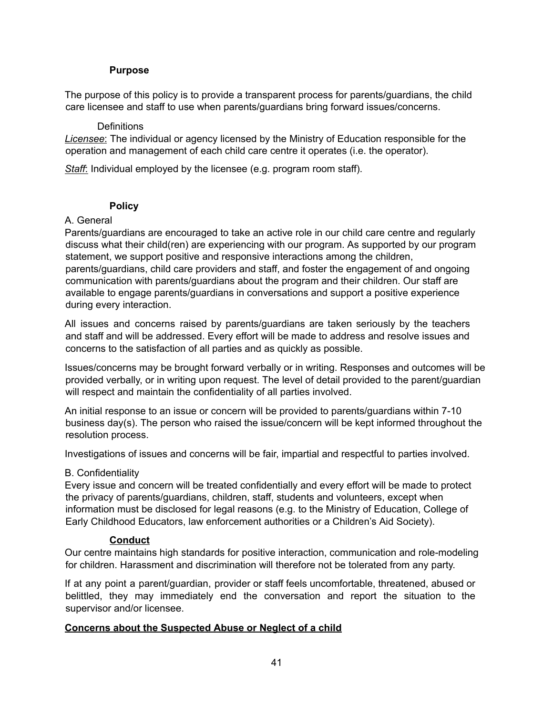#### **Purpose**

The purpose of this policy is to provide a transparent process for parents/guardians, the child care licensee and staff to use when parents/guardians bring forward issues/concerns.

#### **Definitions**

*Licensee*: The individual or agency licensed by the Ministry of Education responsible for the operation and management of each child care centre it operates (i.e. the operator).

*Staff*: Individual employed by the licensee (e.g. program room staff).

#### **Policy**

#### A. General

Parents/guardians are encouraged to take an active role in our child care centre and regularly discuss what their child(ren) are experiencing with our program. As supported by our program statement, we support positive and responsive interactions among the children, parents/guardians, child care providers and staff, and foster the engagement of and ongoing communication with parents/guardians about the program and their children. Our staff are available to engage parents/guardians in conversations and support a positive experience during every interaction.

All issues and concerns raised by parents/guardians are taken seriously by the teachers and staff and will be addressed. Every effort will be made to address and resolve issues and concerns to the satisfaction of all parties and as quickly as possible.

Issues/concerns may be brought forward verbally or in writing. Responses and outcomes will be provided verbally, or in writing upon request. The level of detail provided to the parent/guardian will respect and maintain the confidentiality of all parties involved.

An initial response to an issue or concern will be provided to parents/guardians within 7-10 business day(s). The person who raised the issue/concern will be kept informed throughout the resolution process.

Investigations of issues and concerns will be fair, impartial and respectful to parties involved.

#### B. Confidentiality

Every issue and concern will be treated confidentially and every effort will be made to protect the privacy of parents/guardians, children, staff, students and volunteers, except when information must be disclosed for legal reasons (e.g. to the Ministry of Education, College of Early Childhood Educators, law enforcement authorities or a Children's Aid Society).

#### **Conduct**

Our centre maintains high standards for positive interaction, communication and role-modeling for children. Harassment and discrimination will therefore not be tolerated from any party.

If at any point a parent/guardian, provider or staff feels uncomfortable, threatened, abused or belittled, they may immediately end the conversation and report the situation to the supervisor and/or licensee.

#### **Concerns about the Suspected Abuse or Neglect of a child**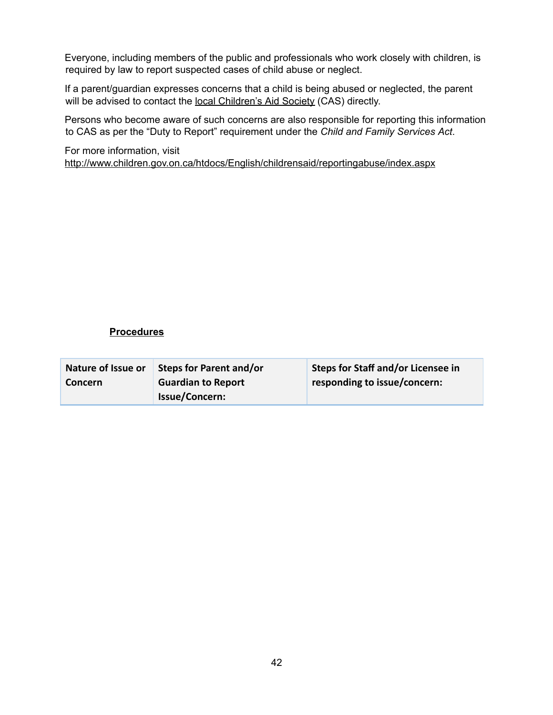Everyone, including members of the public and professionals who work closely with children, is required by law to report suspected cases of child abuse or neglect.

If a parent/guardian expresses concerns that a child is being abused or neglected, the parent will be advised to contact the local [Children's](http://www.children.gov.on.ca/htdocs/English/childrensaid/reportingabuse/CASLocations.aspx) Aid Society (CAS) directly.

Persons who become aware of such concerns are also responsible for reporting this information to CAS as per the "Duty to Report" requirement under the *Child and Family Services Act*.

For more information, visit <http://www.children.gov.on.ca/htdocs/English/childrensaid/reportingabuse/index.aspx>

#### **Procedures**

| Nature of Issue or | Steps for Parent and/or   | <b>Steps for Staff and/or Licensee in</b> |
|--------------------|---------------------------|-------------------------------------------|
| <b>Concern</b>     | <b>Guardian to Report</b> | responding to issue/concern:              |
|                    | <b>Issue/Concern:</b>     |                                           |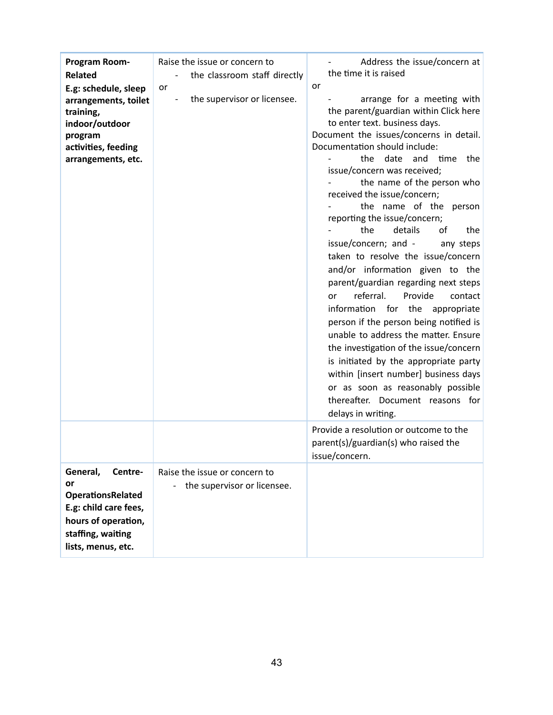| Program Room-<br>Related<br>E.g: schedule, sleep<br>arrangements, toilet<br>training,<br>indoor/outdoor<br>program<br>activities, feeding<br>arrangements, etc. | Raise the issue or concern to<br>the classroom staff directly<br>or<br>the supervisor or licensee. | Address the issue/concern at<br>the time it is raised<br>or<br>arrange for a meeting with<br>the parent/guardian within Click here<br>to enter text. business days.<br>Document the issues/concerns in detail.<br>Documentation should include:<br>the date and time the<br>issue/concern was received;<br>the name of the person who<br>received the issue/concern;<br>the name of the person<br>reporting the issue/concern;<br>the<br>details<br>of<br>the<br>issue/concern; and -<br>any steps<br>taken to resolve the issue/concern<br>and/or information given to the<br>parent/guardian regarding next steps<br>referral.<br>Provide<br>contact<br>or<br>information<br>for the appropriate<br>person if the person being notified is<br>unable to address the matter. Ensure<br>the investigation of the issue/concern<br>is initiated by the appropriate party<br>within [insert number] business days<br>or as soon as reasonably possible<br>thereafter. Document reasons for<br>delays in writing. |
|-----------------------------------------------------------------------------------------------------------------------------------------------------------------|----------------------------------------------------------------------------------------------------|----------------------------------------------------------------------------------------------------------------------------------------------------------------------------------------------------------------------------------------------------------------------------------------------------------------------------------------------------------------------------------------------------------------------------------------------------------------------------------------------------------------------------------------------------------------------------------------------------------------------------------------------------------------------------------------------------------------------------------------------------------------------------------------------------------------------------------------------------------------------------------------------------------------------------------------------------------------------------------------------------------------|
|                                                                                                                                                                 |                                                                                                    | Provide a resolution or outcome to the<br>parent(s)/guardian(s) who raised the<br>issue/concern.                                                                                                                                                                                                                                                                                                                                                                                                                                                                                                                                                                                                                                                                                                                                                                                                                                                                                                               |
| General,<br>Centre-<br>or<br><b>OperationsRelated</b><br>E.g: child care fees,<br>hours of operation,<br>staffing, waiting<br>lists, menus, etc.                | Raise the issue or concern to<br>the supervisor or licensee.                                       |                                                                                                                                                                                                                                                                                                                                                                                                                                                                                                                                                                                                                                                                                                                                                                                                                                                                                                                                                                                                                |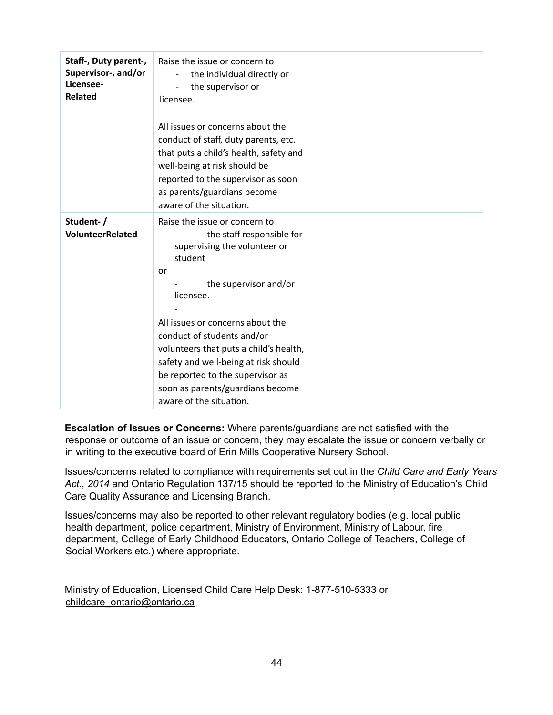| Staff-, Duty parent-,<br>Supervisor-, and/or<br>Licensee-<br><b>Related</b> | Raise the issue or concern to<br>the individual directly or<br>the supervisor or<br>$\overline{\phantom{0}}$<br>licensee.                                                                                                                                                                                                                                                                                |  |
|-----------------------------------------------------------------------------|----------------------------------------------------------------------------------------------------------------------------------------------------------------------------------------------------------------------------------------------------------------------------------------------------------------------------------------------------------------------------------------------------------|--|
|                                                                             | All issues or concerns about the<br>conduct of staff, duty parents, etc.<br>that puts a child's health, safety and<br>well-being at risk should be<br>reported to the supervisor as soon<br>as parents/guardians become<br>aware of the situation.                                                                                                                                                       |  |
| Student-/<br><b>VolunteerRelated</b>                                        | Raise the issue or concern to<br>the staff responsible for<br>supervising the volunteer or<br>student<br>or<br>the supervisor and/or<br>licensee.<br>All issues or concerns about the<br>conduct of students and/or<br>volunteers that puts a child's health,<br>safety and well-being at risk should<br>be reported to the supervisor as<br>soon as parents/guardians become<br>aware of the situation. |  |

**Escalation of Issues or Concerns:** Where parents/guardians are not satisfied with the response or outcome of an issue or concern, they may escalate the issue or concern verbally or in writing to the executive board of Erin Mills Cooperative Nursery School.

Issues/concerns related to compliance with requirements set out in the *Child Care and Early Years Act., 2014* and Ontario Regulation 137/15 should be reported to the Ministry of Education's Child Care Quality Assurance and Licensing Branch.

Issues/concerns may also be reported to other relevant regulatory bodies (e.g. local public health department, police department, Ministry of Environment, Ministry of Labour, fire department, College of Early Childhood Educators, Ontario College of Teachers, College of Social Workers etc.) where appropriate.

Ministry of Education, Licensed Child Care Help Desk: 1-877-510-5333 or childcare\_ontario@ontario.ca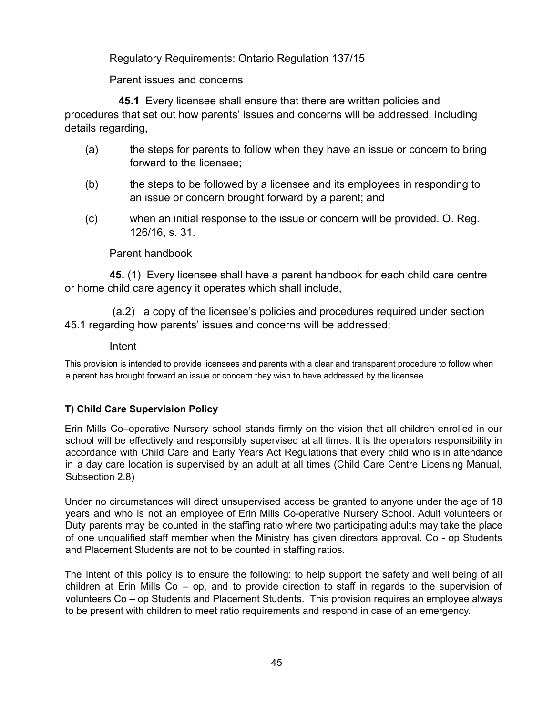Regulatory Requirements: Ontario Regulation 137/15

Parent issues and concerns

**45.1** Every licensee shall ensure that there are written policies and procedures that set out how parents' issues and concerns will be addressed, including details regarding,

- (a) the steps for parents to follow when they have an issue or concern to bring forward to the licensee;
- (b) the steps to be followed by a licensee and its employees in responding to an issue or concern brought forward by a parent; and
- (c) when an initial response to the issue or concern will be provided. O. Reg. 126/16, s. 31.

## Parent handbook

**45.** (1) Every licensee shall have a parent handbook for each child care centre or home child care agency it operates which shall include,

(a.2) a copy of the licensee's policies and procedures required under section 45.1 regarding how parents' issues and concerns will be addressed;

## Intent

This provision is intended to provide licensees and parents with a clear and transparent procedure to follow when a parent has brought forward an issue or concern they wish to have addressed by the licensee.

## **T) Child Care Supervision Policy**

Erin Mills Co–operative Nursery school stands firmly on the vision that all children enrolled in our school will be effectively and responsibly supervised at all times. It is the operators responsibility in accordance with Child Care and Early Years Act Regulations that every child who is in attendance in a day care location is supervised by an adult at all times (Child Care Centre Licensing Manual, Subsection 2.8)

Under no circumstances will direct unsupervised access be granted to anyone under the age of 18 years and who is not an employee of Erin Mills Co-operative Nursery School. Adult volunteers or Duty parents may be counted in the staffing ratio where two participating adults may take the place of one unqualified staff member when the Ministry has given directors approval. Co - op Students and Placement Students are not to be counted in staffing ratios.

The intent of this policy is to ensure the following: to help support the safety and well being of all children at Erin Mills Co  $-$  op, and to provide direction to staff in regards to the supervision of volunteers Co – op Students and Placement Students. This provision requires an employee always to be present with children to meet ratio requirements and respond in case of an emergency.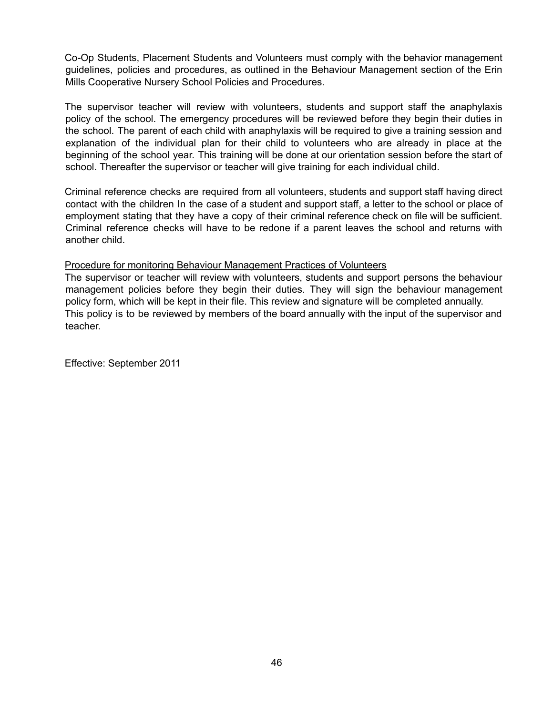Co-Op Students, Placement Students and Volunteers must comply with the behavior management guidelines, policies and procedures, as outlined in the Behaviour Management section of the Erin Mills Cooperative Nursery School Policies and Procedures.

The supervisor teacher will review with volunteers, students and support staff the anaphylaxis policy of the school. The emergency procedures will be reviewed before they begin their duties in the school. The parent of each child with anaphylaxis will be required to give a training session and explanation of the individual plan for their child to volunteers who are already in place at the beginning of the school year. This training will be done at our orientation session before the start of school. Thereafter the supervisor or teacher will give training for each individual child.

Criminal reference checks are required from all volunteers, students and support staff having direct contact with the children In the case of a student and support staff, a letter to the school or place of employment stating that they have a copy of their criminal reference check on file will be sufficient. Criminal reference checks will have to be redone if a parent leaves the school and returns with another child.

#### Procedure for monitoring Behaviour Management Practices of Volunteers

The supervisor or teacher will review with volunteers, students and support persons the behaviour management policies before they begin their duties. They will sign the behaviour management policy form, which will be kept in their file. This review and signature will be completed annually. This policy is to be reviewed by members of the board annually with the input of the supervisor and teacher.

Effective: September 2011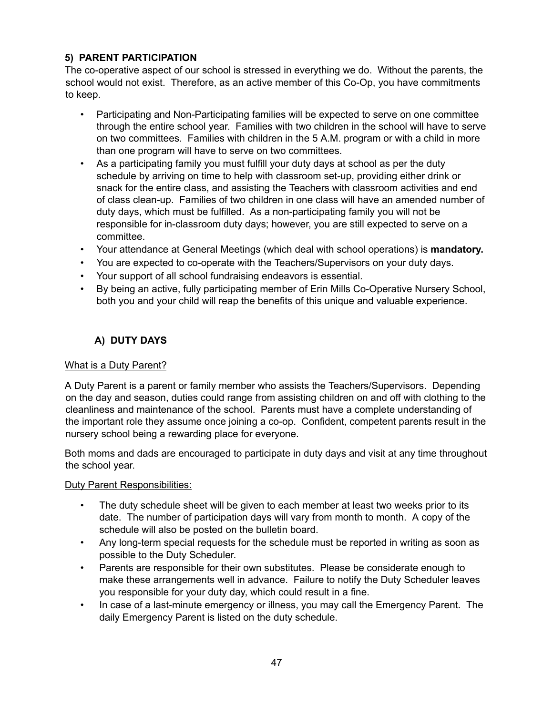## **5) PARENT PARTICIPATION**

The co-operative aspect of our school is stressed in everything we do. Without the parents, the school would not exist. Therefore, as an active member of this Co-Op, you have commitments to keep.

- Participating and Non-Participating families will be expected to serve on one committee through the entire school year. Families with two children in the school will have to serve on two committees. Families with children in the 5 A.M. program or with a child in more than one program will have to serve on two committees.
- As a participating family you must fulfill your duty days at school as per the duty schedule by arriving on time to help with classroom set-up, providing either drink or snack for the entire class, and assisting the Teachers with classroom activities and end of class clean-up. Families of two children in one class will have an amended number of duty days, which must be fulfilled. As a non-participating family you will not be responsible for in-classroom duty days; however, you are still expected to serve on a committee.
- Your attendance at General Meetings (which deal with school operations) is **mandatory.**
- You are expected to co-operate with the Teachers/Supervisors on your duty days.
- Your support of all school fundraising endeavors is essential.
- By being an active, fully participating member of Erin Mills Co-Operative Nursery School, both you and your child will reap the benefits of this unique and valuable experience.

## **A) DUTY DAYS**

## What is a Duty Parent?

A Duty Parent is a parent or family member who assists the Teachers/Supervisors. Depending on the day and season, duties could range from assisting children on and off with clothing to the cleanliness and maintenance of the school. Parents must have a complete understanding of the important role they assume once joining a co-op. Confident, competent parents result in the nursery school being a rewarding place for everyone.

Both moms and dads are encouraged to participate in duty days and visit at any time throughout the school year.

Duty Parent Responsibilities:

- The duty schedule sheet will be given to each member at least two weeks prior to its date. The number of participation days will vary from month to month. A copy of the schedule will also be posted on the bulletin board.
- Any long-term special requests for the schedule must be reported in writing as soon as possible to the Duty Scheduler.
- Parents are responsible for their own substitutes. Please be considerate enough to make these arrangements well in advance. Failure to notify the Duty Scheduler leaves you responsible for your duty day, which could result in a fine.
- In case of a last-minute emergency or illness, you may call the Emergency Parent. The daily Emergency Parent is listed on the duty schedule.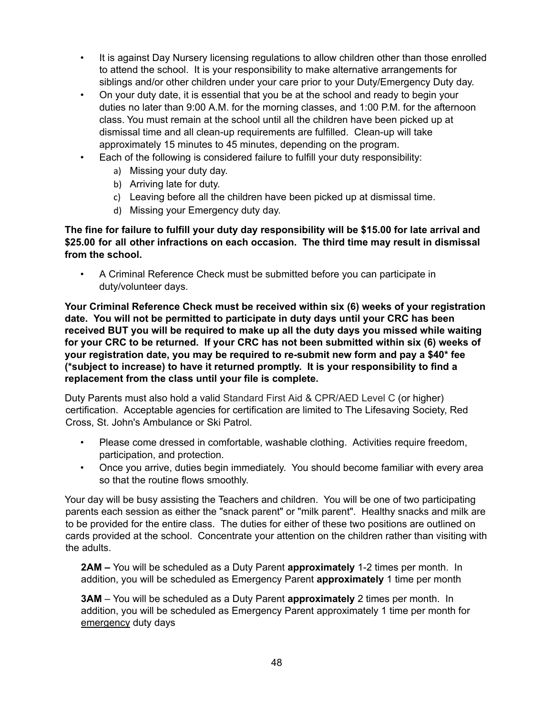- It is against Day Nursery licensing regulations to allow children other than those enrolled to attend the school. It is your responsibility to make alternative arrangements for siblings and/or other children under your care prior to your Duty/Emergency Duty day.
- On your duty date, it is essential that you be at the school and ready to begin your duties no later than 9:00 A.M. for the morning classes, and 1:00 P.M. for the afternoon class. You must remain at the school until all the children have been picked up at dismissal time and all clean-up requirements are fulfilled. Clean-up will take approximately 15 minutes to 45 minutes, depending on the program.
- Each of the following is considered failure to fulfill your duty responsibility:
	- a) Missing your duty day.
	- b) Arriving late for duty.
	- c) Leaving before all the children have been picked up at dismissal time.
	- d) Missing your Emergency duty day.

**The fine for failure to fulfill your duty day responsibility will be \$15.00 for late arrival and \$25.00 for all other infractions on each occasion. The third time may result in dismissal from the school.**

• A Criminal Reference Check must be submitted before you can participate in duty/volunteer days.

**Your Criminal Reference Check must be received within six (6) weeks of your registration date. You will not be permitted to participate in duty days until your CRC has been received BUT you will be required to make up all the duty days you missed while waiting for your CRC to be returned. If your CRC has not been submitted within six (6) weeks of your registration date, you may be required to re-submit new form and pay a \$40\* fee (\*subject to increase) to have it returned promptly. It is your responsibility to find a replacement from the class until your file is complete.**

Duty Parents must also hold a valid Standard First Aid & CPR/AED Level C (or higher) certification. Acceptable agencies for certification are limited to The Lifesaving Society, Red Cross, St. John's Ambulance or Ski Patrol.

- Please come dressed in comfortable, washable clothing. Activities require freedom, participation, and protection.
- Once you arrive, duties begin immediately. You should become familiar with every area so that the routine flows smoothly.

Your day will be busy assisting the Teachers and children. You will be one of two participating parents each session as either the "snack parent" or "milk parent". Healthy snacks and milk are to be provided for the entire class. The duties for either of these two positions are outlined on cards provided at the school. Concentrate your attention on the children rather than visiting with the adults.

**2AM –** You will be scheduled as a Duty Parent **approximately** 1-2 times per month. In addition, you will be scheduled as Emergency Parent **approximately** 1 time per month

**3AM** – You will be scheduled as a Duty Parent **approximately** 2 times per month. In addition, you will be scheduled as Emergency Parent approximately 1 time per month for emergency duty days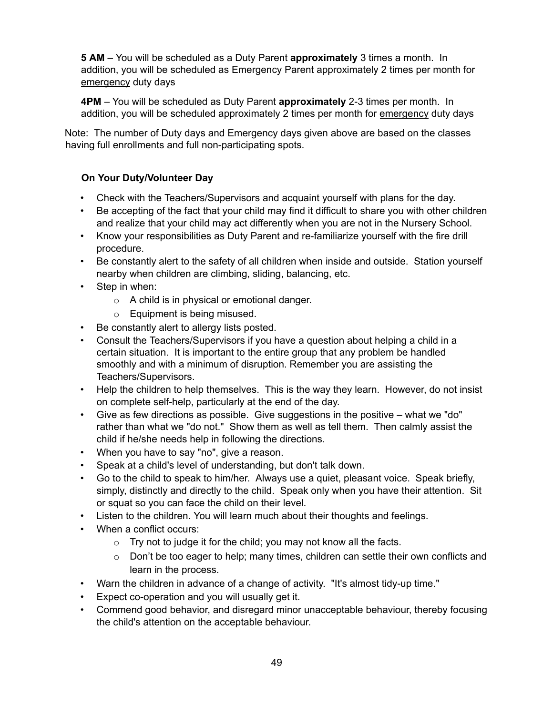**5 AM** – You will be scheduled as a Duty Parent **approximately** 3 times a month. In addition, you will be scheduled as Emergency Parent approximately 2 times per month for emergency duty days

**4PM** – You will be scheduled as Duty Parent **approximately** 2-3 times per month. In addition, you will be scheduled approximately 2 times per month for emergency duty days

Note: The number of Duty days and Emergency days given above are based on the classes having full enrollments and full non-participating spots.

## **On Your Duty/Volunteer Day**

- Check with the Teachers/Supervisors and acquaint yourself with plans for the day.
- Be accepting of the fact that your child may find it difficult to share you with other children and realize that your child may act differently when you are not in the Nursery School.
- Know your responsibilities as Duty Parent and re-familiarize yourself with the fire drill procedure.
- Be constantly alert to the safety of all children when inside and outside. Station yourself nearby when children are climbing, sliding, balancing, etc.
- Step in when:
	- o A child is in physical or emotional danger.
	- o Equipment is being misused.
- Be constantly alert to allergy lists posted.
- Consult the Teachers/Supervisors if you have a question about helping a child in a certain situation. It is important to the entire group that any problem be handled smoothly and with a minimum of disruption. Remember you are assisting the Teachers/Supervisors.
- Help the children to help themselves. This is the way they learn. However, do not insist on complete self-help, particularly at the end of the day.
- Give as few directions as possible. Give suggestions in the positive what we "do" rather than what we "do not." Show them as well as tell them. Then calmly assist the child if he/she needs help in following the directions.
- When you have to say "no", give a reason.
- Speak at a child's level of understanding, but don't talk down.
- Go to the child to speak to him/her. Always use a quiet, pleasant voice. Speak briefly, simply, distinctly and directly to the child. Speak only when you have their attention. Sit or squat so you can face the child on their level.
- Listen to the children. You will learn much about their thoughts and feelings.
- When a conflict occurs:
	- $\circ$  Try not to judge it for the child; you may not know all the facts.
	- $\circ$  Don't be too eager to help; many times, children can settle their own conflicts and learn in the process.
- Warn the children in advance of a change of activity. "It's almost tidy-up time."
- Expect co-operation and you will usually get it.
- Commend good behavior, and disregard minor unacceptable behaviour, thereby focusing the child's attention on the acceptable behaviour.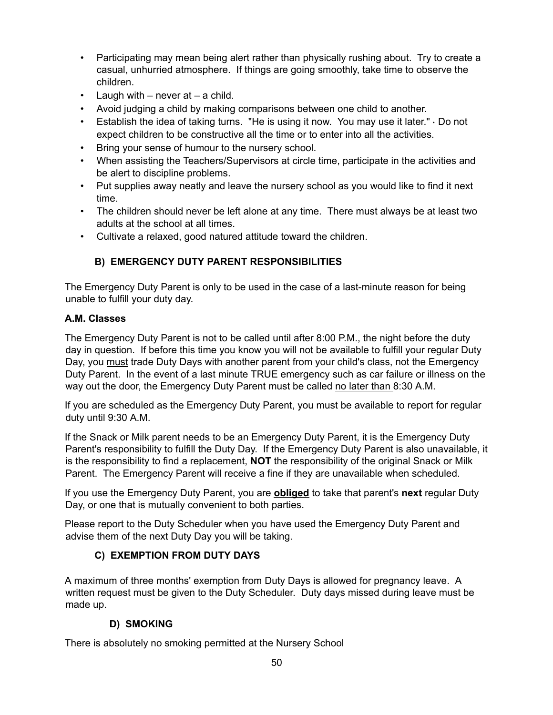- Participating may mean being alert rather than physically rushing about. Try to create a casual, unhurried atmosphere. If things are going smoothly, take time to observe the children.
- Laugh with  $-$  never at  $-$  a child.
- Avoid judging a child by making comparisons between one child to another.
- Establish the idea of taking turns. "He is using it now. You may use it later." Do not expect children to be constructive all the time or to enter into all the activities.
- Bring your sense of humour to the nursery school.
- When assisting the Teachers/Supervisors at circle time, participate in the activities and be alert to discipline problems.
- Put supplies away neatly and leave the nursery school as you would like to find it next time.
- The children should never be left alone at any time. There must always be at least two adults at the school at all times.
- Cultivate a relaxed, good natured attitude toward the children.

## **B) EMERGENCY DUTY PARENT RESPONSIBILITIES**

The Emergency Duty Parent is only to be used in the case of a last-minute reason for being unable to fulfill your duty day.

## **A.M. Classes**

The Emergency Duty Parent is not to be called until after 8:00 P.M., the night before the duty day in question. If before this time you know you will not be available to fulfill your regular Duty Day, you must trade Duty Days with another parent from your child's class, not the Emergency Duty Parent. In the event of a last minute TRUE emergency such as car failure or illness on the way out the door, the Emergency Duty Parent must be called no later than 8:30 A.M.

If you are scheduled as the Emergency Duty Parent, you must be available to report for regular duty until 9:30 A.M.

If the Snack or Milk parent needs to be an Emergency Duty Parent, it is the Emergency Duty Parent's responsibility to fulfill the Duty Day. If the Emergency Duty Parent is also unavailable, it is the responsibility to find a replacement, **NOT** the responsibility of the original Snack or Milk Parent. The Emergency Parent will receive a fine if they are unavailable when scheduled.

If you use the Emergency Duty Parent, you are **obliged** to take that parent's **next** regular Duty Day, or one that is mutually convenient to both parties.

Please report to the Duty Scheduler when you have used the Emergency Duty Parent and advise them of the next Duty Day you will be taking.

## **C) EXEMPTION FROM DUTY DAYS**

A maximum of three months' exemption from Duty Days is allowed for pregnancy leave. A written request must be given to the Duty Scheduler. Duty days missed during leave must be made up.

## **D) SMOKING**

There is absolutely no smoking permitted at the Nursery School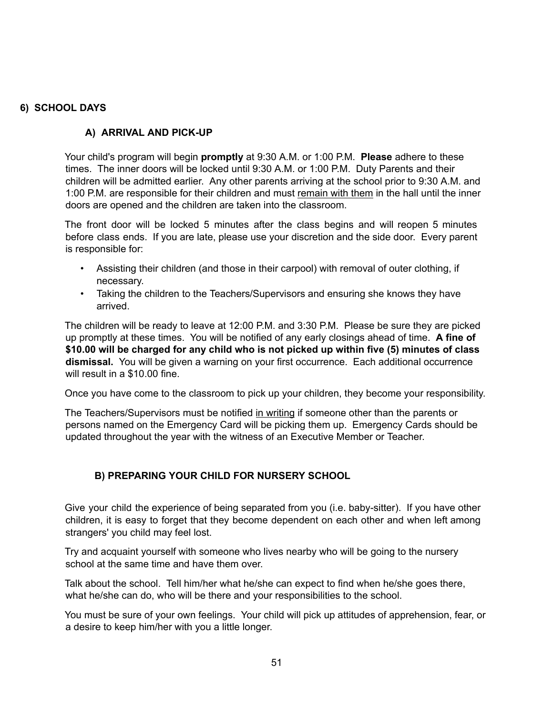#### **6) SCHOOL DAYS**

## **A) ARRIVAL AND PICK-UP**

Your child's program will begin **promptly** at 9:30 A.M. or 1:00 P.M. **Please** adhere to these times. The inner doors will be locked until 9:30 A.M. or 1:00 P.M. Duty Parents and their children will be admitted earlier. Any other parents arriving at the school prior to 9:30 A.M. and 1:00 P.M. are responsible for their children and must remain with them in the hall until the inner doors are opened and the children are taken into the classroom.

The front door will be locked 5 minutes after the class begins and will reopen 5 minutes before class ends. If you are late, please use your discretion and the side door. Every parent is responsible for:

- Assisting their children (and those in their carpool) with removal of outer clothing, if necessary.
- Taking the children to the Teachers/Supervisors and ensuring she knows they have arrived.

The children will be ready to leave at 12:00 P.M. and 3:30 P.M. Please be sure they are picked up promptly at these times. You will be notified of any early closings ahead of time. **A fine of \$10.00 will be charged for any child who is not picked up within five (5) minutes of class dismissal.** You will be given a warning on your first occurrence. Each additional occurrence will result in a \$10.00 fine.

Once you have come to the classroom to pick up your children, they become your responsibility.

The Teachers/Supervisors must be notified in writing if someone other than the parents or persons named on the Emergency Card will be picking them up. Emergency Cards should be updated throughout the year with the witness of an Executive Member or Teacher.

## **B) PREPARING YOUR CHILD FOR NURSERY SCHOOL**

Give your child the experience of being separated from you (i.e. baby-sitter). If you have other children, it is easy to forget that they become dependent on each other and when left among strangers' you child may feel lost.

Try and acquaint yourself with someone who lives nearby who will be going to the nursery school at the same time and have them over.

Talk about the school. Tell him/her what he/she can expect to find when he/she goes there, what he/she can do, who will be there and your responsibilities to the school.

You must be sure of your own feelings. Your child will pick up attitudes of apprehension, fear, or a desire to keep him/her with you a little longer.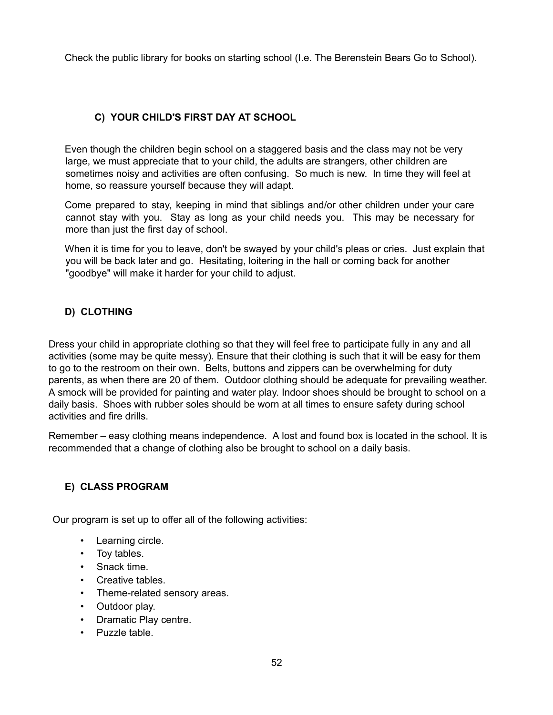Check the public library for books on starting school (I.e. The Berenstein Bears Go to School).

## **C) YOUR CHILD'S FIRST DAY AT SCHOOL**

Even though the children begin school on a staggered basis and the class may not be very large, we must appreciate that to your child, the adults are strangers, other children are sometimes noisy and activities are often confusing. So much is new. In time they will feel at home, so reassure yourself because they will adapt.

Come prepared to stay, keeping in mind that siblings and/or other children under your care cannot stay with you. Stay as long as your child needs you. This may be necessary for more than just the first day of school.

When it is time for you to leave, don't be swayed by your child's pleas or cries. Just explain that you will be back later and go. Hesitating, loitering in the hall or coming back for another "goodbye" will make it harder for your child to adjust.

## **D) CLOTHING**

Dress your child in appropriate clothing so that they will feel free to participate fully in any and all activities (some may be quite messy). Ensure that their clothing is such that it will be easy for them to go to the restroom on their own. Belts, buttons and zippers can be overwhelming for duty parents, as when there are 20 of them. Outdoor clothing should be adequate for prevailing weather. A smock will be provided for painting and water play. Indoor shoes should be brought to school on a daily basis. Shoes with rubber soles should be worn at all times to ensure safety during school activities and fire drills.

Remember – easy clothing means independence. A lost and found box is located in the school. It is recommended that a change of clothing also be brought to school on a daily basis.

## **E) CLASS PROGRAM**

Our program is set up to offer all of the following activities:

- Learning circle.
- Toy tables.
- Snack time.
- Creative tables.
- Theme-related sensory areas.
- Outdoor play.
- Dramatic Play centre.
- Puzzle table.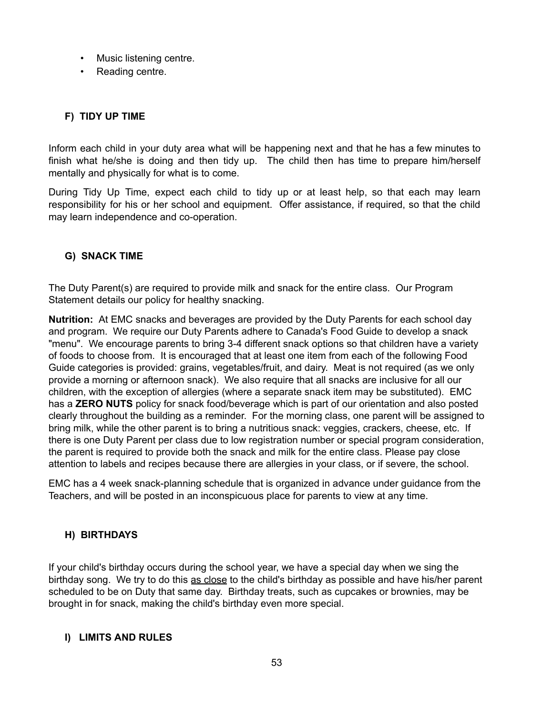- Music listening centre.
- Reading centre.

## **F) TIDY UP TIME**

Inform each child in your duty area what will be happening next and that he has a few minutes to finish what he/she is doing and then tidy up. The child then has time to prepare him/herself mentally and physically for what is to come.

During Tidy Up Time, expect each child to tidy up or at least help, so that each may learn responsibility for his or her school and equipment. Offer assistance, if required, so that the child may learn independence and co-operation.

## **G) SNACK TIME**

The Duty Parent(s) are required to provide milk and snack for the entire class. Our Program Statement details our policy for healthy snacking.

**Nutrition:** At EMC snacks and beverages are provided by the Duty Parents for each school day and program. We require our Duty Parents adhere to Canada's Food Guide to develop a snack "menu". We encourage parents to bring 3-4 different snack options so that children have a variety of foods to choose from. It is encouraged that at least one item from each of the following Food Guide categories is provided: grains, vegetables/fruit, and dairy. Meat is not required (as we only provide a morning or afternoon snack). We also require that all snacks are inclusive for all our children, with the exception of allergies (where a separate snack item may be substituted). EMC has a **ZERO NUTS** policy for snack food/beverage which is part of our orientation and also posted clearly throughout the building as a reminder. For the morning class, one parent will be assigned to bring milk, while the other parent is to bring a nutritious snack: veggies, crackers, cheese, etc. If there is one Duty Parent per class due to low registration number or special program consideration, the parent is required to provide both the snack and milk for the entire class. Please pay close attention to labels and recipes because there are allergies in your class, or if severe, the school.

EMC has a 4 week snack-planning schedule that is organized in advance under guidance from the Teachers, and will be posted in an inconspicuous place for parents to view at any time.

#### **H) BIRTHDAYS**

If your child's birthday occurs during the school year, we have a special day when we sing the birthday song. We try to do this as close to the child's birthday as possible and have his/her parent scheduled to be on Duty that same day. Birthday treats, such as cupcakes or brownies, may be brought in for snack, making the child's birthday even more special.

#### **I) LIMITS AND RULES**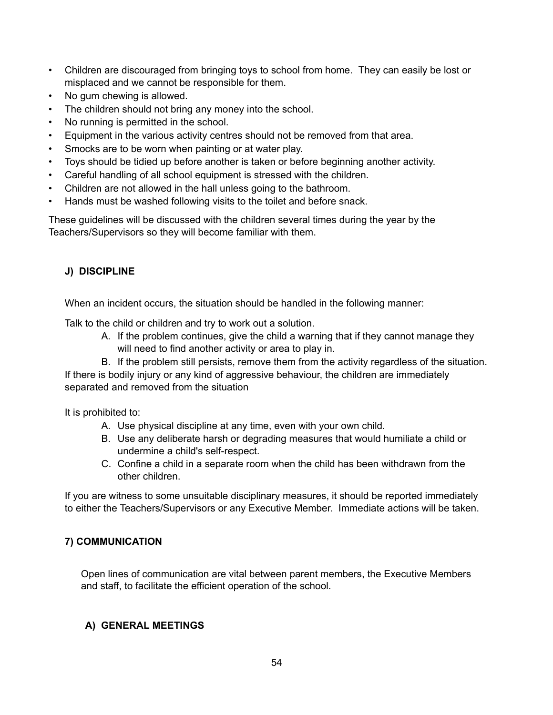- Children are discouraged from bringing toys to school from home. They can easily be lost or misplaced and we cannot be responsible for them.
- No gum chewing is allowed.
- The children should not bring any money into the school.
- No running is permitted in the school.
- Equipment in the various activity centres should not be removed from that area.
- Smocks are to be worn when painting or at water play.
- Toys should be tidied up before another is taken or before beginning another activity.
- Careful handling of all school equipment is stressed with the children.
- Children are not allowed in the hall unless going to the bathroom.
- Hands must be washed following visits to the toilet and before snack.

These guidelines will be discussed with the children several times during the year by the Teachers/Supervisors so they will become familiar with them.

## **J) DISCIPLINE**

When an incident occurs, the situation should be handled in the following manner:

Talk to the child or children and try to work out a solution.

- A. If the problem continues, give the child a warning that if they cannot manage they will need to find another activity or area to play in.
- B. If the problem still persists, remove them from the activity regardless of the situation.

If there is bodily injury or any kind of aggressive behaviour, the children are immediately separated and removed from the situation

It is prohibited to:

- A. Use physical discipline at any time, even with your own child.
- B. Use any deliberate harsh or degrading measures that would humiliate a child or undermine a child's self-respect.
- C. Confine a child in a separate room when the child has been withdrawn from the other children.

If you are witness to some unsuitable disciplinary measures, it should be reported immediately to either the Teachers/Supervisors or any Executive Member. Immediate actions will be taken.

## **7) COMMUNICATION**

Open lines of communication are vital between parent members, the Executive Members and staff, to facilitate the efficient operation of the school.

## **A) GENERAL MEETINGS**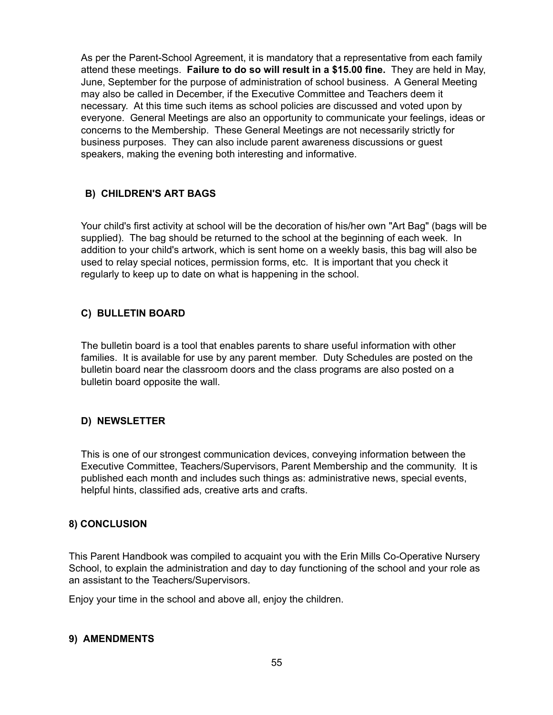As per the Parent-School Agreement, it is mandatory that a representative from each family attend these meetings. **Failure to do so will result in a \$15.00 fine.** They are held in May, June, September for the purpose of administration of school business. A General Meeting may also be called in December, if the Executive Committee and Teachers deem it necessary. At this time such items as school policies are discussed and voted upon by everyone. General Meetings are also an opportunity to communicate your feelings, ideas or concerns to the Membership. These General Meetings are not necessarily strictly for business purposes. They can also include parent awareness discussions or guest speakers, making the evening both interesting and informative.

## **B) CHILDREN'S ART BAGS**

Your child's first activity at school will be the decoration of his/her own "Art Bag" (bags will be supplied). The bag should be returned to the school at the beginning of each week. In addition to your child's artwork, which is sent home on a weekly basis, this bag will also be used to relay special notices, permission forms, etc. It is important that you check it regularly to keep up to date on what is happening in the school.

#### **C) BULLETIN BOARD**

The bulletin board is a tool that enables parents to share useful information with other families. It is available for use by any parent member. Duty Schedules are posted on the bulletin board near the classroom doors and the class programs are also posted on a bulletin board opposite the wall.

## **D) NEWSLETTER**

This is one of our strongest communication devices, conveying information between the Executive Committee, Teachers/Supervisors, Parent Membership and the community. It is published each month and includes such things as: administrative news, special events, helpful hints, classified ads, creative arts and crafts.

#### **8) CONCLUSION**

This Parent Handbook was compiled to acquaint you with the Erin Mills Co-Operative Nursery School, to explain the administration and day to day functioning of the school and your role as an assistant to the Teachers/Supervisors.

Enjoy your time in the school and above all, enjoy the children.

#### **9) AMENDMENTS**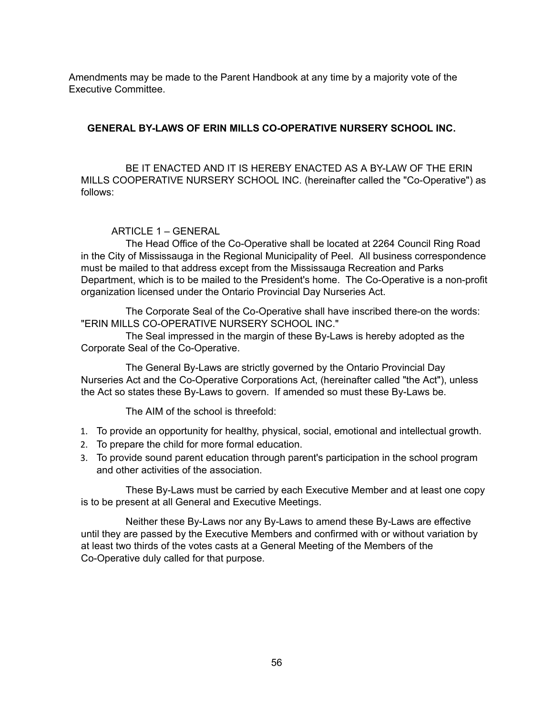Amendments may be made to the Parent Handbook at any time by a majority vote of the Executive Committee.

#### **GENERAL BY-LAWS OF ERIN MILLS CO-OPERATIVE NURSERY SCHOOL INC.**

BE IT ENACTED AND IT IS HEREBY ENACTED AS A BY-LAW OF THE ERIN MILLS COOPERATIVE NURSERY SCHOOL INC. (hereinafter called the "Co-Operative") as follows:

#### ARTICLE 1 – GENERAL

The Head Office of the Co-Operative shall be located at 2264 Council Ring Road in the City of Mississauga in the Regional Municipality of Peel. All business correspondence must be mailed to that address except from the Mississauga Recreation and Parks Department, which is to be mailed to the President's home. The Co-Operative is a non-profit organization licensed under the Ontario Provincial Day Nurseries Act.

The Corporate Seal of the Co-Operative shall have inscribed there-on the words: "ERIN MILLS CO-OPERATIVE NURSERY SCHOOL INC."

The Seal impressed in the margin of these By-Laws is hereby adopted as the Corporate Seal of the Co-Operative.

The General By-Laws are strictly governed by the Ontario Provincial Day Nurseries Act and the Co-Operative Corporations Act, (hereinafter called "the Act"), unless the Act so states these By-Laws to govern. If amended so must these By-Laws be.

The AIM of the school is threefold:

- 1. To provide an opportunity for healthy, physical, social, emotional and intellectual growth.
- 2. To prepare the child for more formal education.
- 3. To provide sound parent education through parent's participation in the school program and other activities of the association.

These By-Laws must be carried by each Executive Member and at least one copy is to be present at all General and Executive Meetings.

Neither these By-Laws nor any By-Laws to amend these By-Laws are effective until they are passed by the Executive Members and confirmed with or without variation by at least two thirds of the votes casts at a General Meeting of the Members of the Co-Operative duly called for that purpose.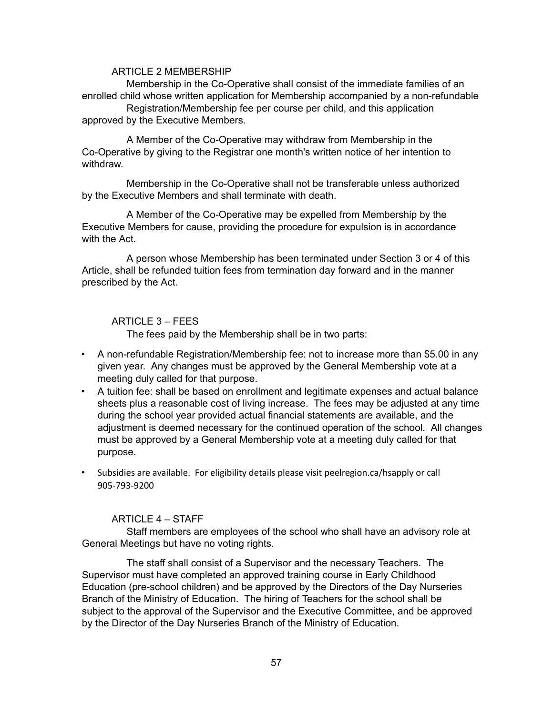#### ARTICLE 2 MEMBERSHIP

Membership in the Co-Operative shall consist of the immediate families of an enrolled child whose written application for Membership accompanied by a non-refundable Registration/Membership fee per course per child, and this application approved by the Executive Members.

A Member of the Co-Operative may withdraw from Membership in the Co-Operative by giving to the Registrar one month's written notice of her intention to withdraw.

Membership in the Co-Operative shall not be transferable unless authorized by the Executive Members and shall terminate with death.

A Member of the Co-Operative may be expelled from Membership by the Executive Members for cause, providing the procedure for expulsion is in accordance with the Act.

A person whose Membership has been terminated under Section 3 or 4 of this Article, shall be refunded tuition fees from termination day forward and in the manner prescribed by the Act.

#### ARTICLE 3 – FEES

The fees paid by the Membership shall be in two parts:

- A non-refundable Registration/Membership fee: not to increase more than \$5.00 in any given year. Any changes must be approved by the General Membership vote at a meeting duly called for that purpose.
- A tuition fee: shall be based on enrollment and legitimate expenses and actual balance sheets plus a reasonable cost of living increase. The fees may be adjusted at any time during the school year provided actual financial statements are available, and the adjustment is deemed necessary for the continued operation of the school. All changes must be approved by a General Membership vote at a meeting duly called for that purpose.
- Subsidies are available. For eligibility details please visit peelregion.ca/hsapply or call 905-793-9200

#### ARTICLE 4 – STAFF

Staff members are employees of the school who shall have an advisory role at General Meetings but have no voting rights.

The staff shall consist of a Supervisor and the necessary Teachers. The Supervisor must have completed an approved training course in Early Childhood Education (pre-school children) and be approved by the Directors of the Day Nurseries Branch of the Ministry of Education. The hiring of Teachers for the school shall be subject to the approval of the Supervisor and the Executive Committee, and be approved by the Director of the Day Nurseries Branch of the Ministry of Education.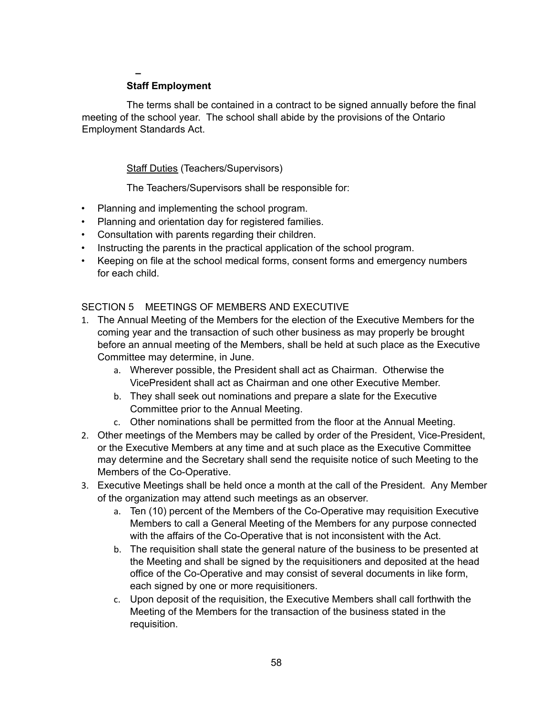## **–**

#### **Staff Employment**

The terms shall be contained in a contract to be signed annually before the final meeting of the school year. The school shall abide by the provisions of the Ontario Employment Standards Act.

#### **Staff Duties (Teachers/Supervisors)**

The Teachers/Supervisors shall be responsible for:

- Planning and implementing the school program.
- Planning and orientation day for registered families.
- Consultation with parents regarding their children.
- Instructing the parents in the practical application of the school program.
- Keeping on file at the school medical forms, consent forms and emergency numbers for each child.

#### SECTION 5 MEETINGS OF MEMBERS AND EXECUTIVE

- 1. The Annual Meeting of the Members for the election of the Executive Members for the coming year and the transaction of such other business as may properly be brought before an annual meeting of the Members, shall be held at such place as the Executive Committee may determine, in June.
	- a. Wherever possible, the President shall act as Chairman. Otherwise the VicePresident shall act as Chairman and one other Executive Member.
	- b. They shall seek out nominations and prepare a slate for the Executive Committee prior to the Annual Meeting.
	- c. Other nominations shall be permitted from the floor at the Annual Meeting.
- 2. Other meetings of the Members may be called by order of the President, Vice-President, or the Executive Members at any time and at such place as the Executive Committee may determine and the Secretary shall send the requisite notice of such Meeting to the Members of the Co-Operative.
- 3. Executive Meetings shall be held once a month at the call of the President. Any Member of the organization may attend such meetings as an observer.
	- a. Ten (10) percent of the Members of the Co-Operative may requisition Executive Members to call a General Meeting of the Members for any purpose connected with the affairs of the Co-Operative that is not inconsistent with the Act.
	- b. The requisition shall state the general nature of the business to be presented at the Meeting and shall be signed by the requisitioners and deposited at the head office of the Co-Operative and may consist of several documents in like form, each signed by one or more requisitioners.
	- c. Upon deposit of the requisition, the Executive Members shall call forthwith the Meeting of the Members for the transaction of the business stated in the requisition.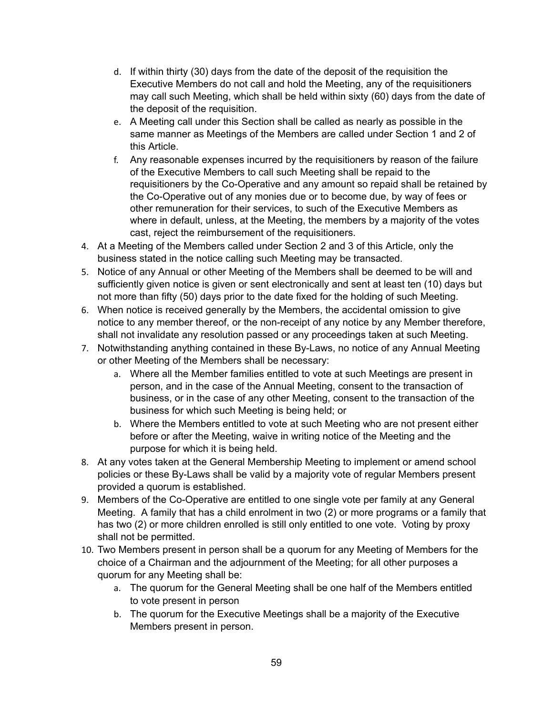- d. If within thirty (30) days from the date of the deposit of the requisition the Executive Members do not call and hold the Meeting, any of the requisitioners may call such Meeting, which shall be held within sixty (60) days from the date of the deposit of the requisition.
- e. A Meeting call under this Section shall be called as nearly as possible in the same manner as Meetings of the Members are called under Section 1 and 2 of this Article.
- f. Any reasonable expenses incurred by the requisitioners by reason of the failure of the Executive Members to call such Meeting shall be repaid to the requisitioners by the Co-Operative and any amount so repaid shall be retained by the Co-Operative out of any monies due or to become due, by way of fees or other remuneration for their services, to such of the Executive Members as where in default, unless, at the Meeting, the members by a majority of the votes cast, reject the reimbursement of the requisitioners.
- 4. At a Meeting of the Members called under Section 2 and 3 of this Article, only the business stated in the notice calling such Meeting may be transacted.
- 5. Notice of any Annual or other Meeting of the Members shall be deemed to be will and sufficiently given notice is given or sent electronically and sent at least ten (10) days but not more than fifty (50) days prior to the date fixed for the holding of such Meeting.
- 6. When notice is received generally by the Members, the accidental omission to give notice to any member thereof, or the non-receipt of any notice by any Member therefore, shall not invalidate any resolution passed or any proceedings taken at such Meeting.
- 7. Notwithstanding anything contained in these By-Laws, no notice of any Annual Meeting or other Meeting of the Members shall be necessary:
	- a. Where all the Member families entitled to vote at such Meetings are present in person, and in the case of the Annual Meeting, consent to the transaction of business, or in the case of any other Meeting, consent to the transaction of the business for which such Meeting is being held; or
	- b. Where the Members entitled to vote at such Meeting who are not present either before or after the Meeting, waive in writing notice of the Meeting and the purpose for which it is being held.
- 8. At any votes taken at the General Membership Meeting to implement or amend school policies or these By-Laws shall be valid by a majority vote of regular Members present provided a quorum is established.
- 9. Members of the Co-Operative are entitled to one single vote per family at any General Meeting. A family that has a child enrolment in two (2) or more programs or a family that has two (2) or more children enrolled is still only entitled to one vote. Voting by proxy shall not be permitted.
- 10. Two Members present in person shall be a quorum for any Meeting of Members for the choice of a Chairman and the adjournment of the Meeting; for all other purposes a quorum for any Meeting shall be:
	- a. The quorum for the General Meeting shall be one half of the Members entitled to vote present in person
	- b. The quorum for the Executive Meetings shall be a majority of the Executive Members present in person.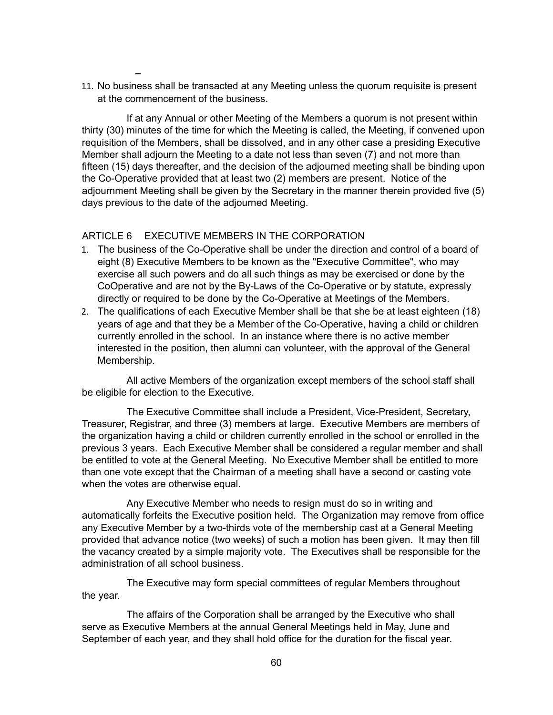- **–**
- 11. No business shall be transacted at any Meeting unless the quorum requisite is present at the commencement of the business.

If at any Annual or other Meeting of the Members a quorum is not present within thirty (30) minutes of the time for which the Meeting is called, the Meeting, if convened upon requisition of the Members, shall be dissolved, and in any other case a presiding Executive Member shall adjourn the Meeting to a date not less than seven (7) and not more than fifteen (15) days thereafter, and the decision of the adjourned meeting shall be binding upon the Co-Operative provided that at least two (2) members are present. Notice of the adjournment Meeting shall be given by the Secretary in the manner therein provided five (5) days previous to the date of the adjourned Meeting.

#### ARTICLE 6 EXECUTIVE MEMBERS IN THE CORPORATION

- 1. The business of the Co-Operative shall be under the direction and control of a board of eight (8) Executive Members to be known as the "Executive Committee", who may exercise all such powers and do all such things as may be exercised or done by the CoOperative and are not by the By-Laws of the Co-Operative or by statute, expressly directly or required to be done by the Co-Operative at Meetings of the Members.
- 2. The qualifications of each Executive Member shall be that she be at least eighteen (18) years of age and that they be a Member of the Co-Operative, having a child or children currently enrolled in the school. In an instance where there is no active member interested in the position, then alumni can volunteer, with the approval of the General Membership.

All active Members of the organization except members of the school staff shall be eligible for election to the Executive.

The Executive Committee shall include a President, Vice-President, Secretary, Treasurer, Registrar, and three (3) members at large. Executive Members are members of the organization having a child or children currently enrolled in the school or enrolled in the previous 3 years. Each Executive Member shall be considered a regular member and shall be entitled to vote at the General Meeting. No Executive Member shall be entitled to more than one vote except that the Chairman of a meeting shall have a second or casting vote when the votes are otherwise equal.

Any Executive Member who needs to resign must do so in writing and automatically forfeits the Executive position held. The Organization may remove from office any Executive Member by a two-thirds vote of the membership cast at a General Meeting provided that advance notice (two weeks) of such a motion has been given. It may then fill the vacancy created by a simple majority vote. The Executives shall be responsible for the administration of all school business.

The Executive may form special committees of regular Members throughout the year.

The affairs of the Corporation shall be arranged by the Executive who shall serve as Executive Members at the annual General Meetings held in May, June and September of each year, and they shall hold office for the duration for the fiscal year.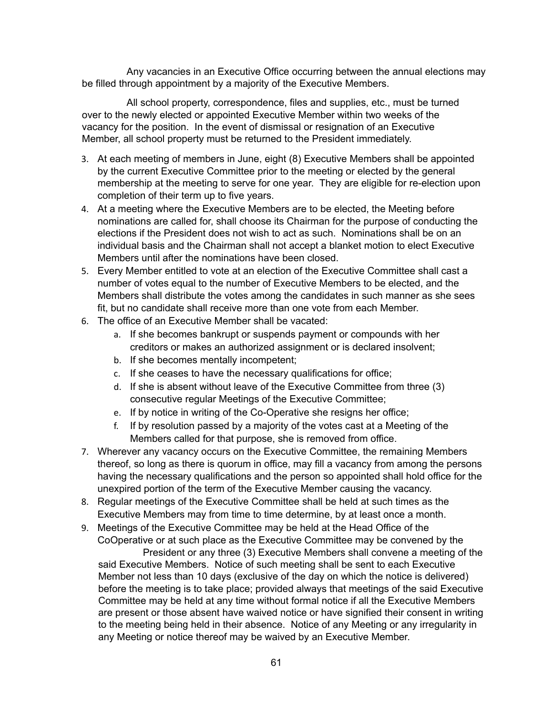Any vacancies in an Executive Office occurring between the annual elections may be filled through appointment by a majority of the Executive Members.

All school property, correspondence, files and supplies, etc., must be turned over to the newly elected or appointed Executive Member within two weeks of the vacancy for the position. In the event of dismissal or resignation of an Executive Member, all school property must be returned to the President immediately.

- 3. At each meeting of members in June, eight (8) Executive Members shall be appointed by the current Executive Committee prior to the meeting or elected by the general membership at the meeting to serve for one year. They are eligible for re-election upon completion of their term up to five years.
- 4. At a meeting where the Executive Members are to be elected, the Meeting before nominations are called for, shall choose its Chairman for the purpose of conducting the elections if the President does not wish to act as such. Nominations shall be on an individual basis and the Chairman shall not accept a blanket motion to elect Executive Members until after the nominations have been closed.
- 5. Every Member entitled to vote at an election of the Executive Committee shall cast a number of votes equal to the number of Executive Members to be elected, and the Members shall distribute the votes among the candidates in such manner as she sees fit, but no candidate shall receive more than one vote from each Member.
- 6. The office of an Executive Member shall be vacated:
	- a. If she becomes bankrupt or suspends payment or compounds with her creditors or makes an authorized assignment or is declared insolvent;
	- b. If she becomes mentally incompetent;
	- c. If she ceases to have the necessary qualifications for office;
	- d. If she is absent without leave of the Executive Committee from three (3) consecutive regular Meetings of the Executive Committee;
	- e. If by notice in writing of the Co-Operative she resigns her office;
	- f. If by resolution passed by a majority of the votes cast at a Meeting of the Members called for that purpose, she is removed from office.
- 7. Wherever any vacancy occurs on the Executive Committee, the remaining Members thereof, so long as there is quorum in office, may fill a vacancy from among the persons having the necessary qualifications and the person so appointed shall hold office for the unexpired portion of the term of the Executive Member causing the vacancy.
- 8. Regular meetings of the Executive Committee shall be held at such times as the Executive Members may from time to time determine, by at least once a month.
- 9. Meetings of the Executive Committee may be held at the Head Office of the CoOperative or at such place as the Executive Committee may be convened by the President or any three (3) Executive Members shall convene a meeting of the said Executive Members. Notice of such meeting shall be sent to each Executive Member not less than 10 days (exclusive of the day on which the notice is delivered) before the meeting is to take place; provided always that meetings of the said Executive Committee may be held at any time without formal notice if all the Executive Members are present or those absent have waived notice or have signified their consent in writing to the meeting being held in their absence. Notice of any Meeting or any irregularity in any Meeting or notice thereof may be waived by an Executive Member.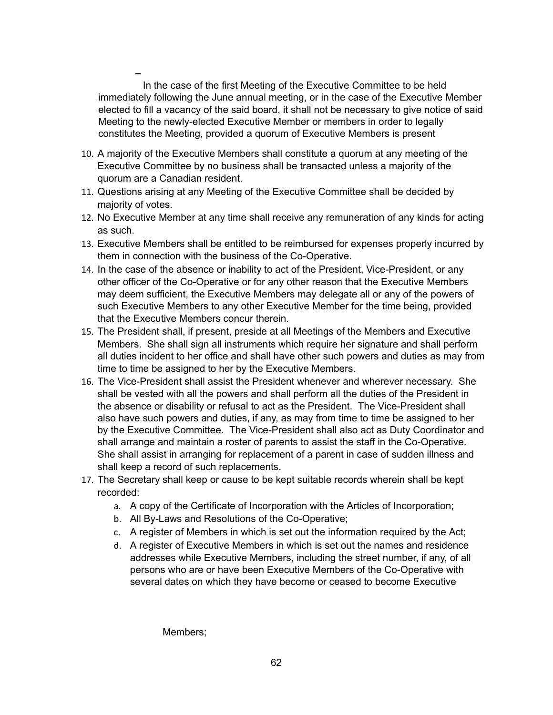**–** In the case of the first Meeting of the Executive Committee to be held immediately following the June annual meeting, or in the case of the Executive Member elected to fill a vacancy of the said board, it shall not be necessary to give notice of said Meeting to the newly-elected Executive Member or members in order to legally constitutes the Meeting, provided a quorum of Executive Members is present

- 10. A majority of the Executive Members shall constitute a quorum at any meeting of the Executive Committee by no business shall be transacted unless a majority of the quorum are a Canadian resident.
- 11. Questions arising at any Meeting of the Executive Committee shall be decided by majority of votes.
- 12. No Executive Member at any time shall receive any remuneration of any kinds for acting as such.
- 13. Executive Members shall be entitled to be reimbursed for expenses properly incurred by them in connection with the business of the Co-Operative.
- 14. In the case of the absence or inability to act of the President, Vice-President, or any other officer of the Co-Operative or for any other reason that the Executive Members may deem sufficient, the Executive Members may delegate all or any of the powers of such Executive Members to any other Executive Member for the time being, provided that the Executive Members concur therein.
- 15. The President shall, if present, preside at all Meetings of the Members and Executive Members. She shall sign all instruments which require her signature and shall perform all duties incident to her office and shall have other such powers and duties as may from time to time be assigned to her by the Executive Members.
- 16. The Vice-President shall assist the President whenever and wherever necessary. She shall be vested with all the powers and shall perform all the duties of the President in the absence or disability or refusal to act as the President. The Vice-President shall also have such powers and duties, if any, as may from time to time be assigned to her by the Executive Committee. The Vice-President shall also act as Duty Coordinator and shall arrange and maintain a roster of parents to assist the staff in the Co-Operative. She shall assist in arranging for replacement of a parent in case of sudden illness and shall keep a record of such replacements.
- 17. The Secretary shall keep or cause to be kept suitable records wherein shall be kept recorded:
	- a. A copy of the Certificate of Incorporation with the Articles of Incorporation;
	- b. All By-Laws and Resolutions of the Co-Operative;
	- c. A register of Members in which is set out the information required by the Act;
	- d. A register of Executive Members in which is set out the names and residence addresses while Executive Members, including the street number, if any, of all persons who are or have been Executive Members of the Co-Operative with several dates on which they have become or ceased to become Executive

Members;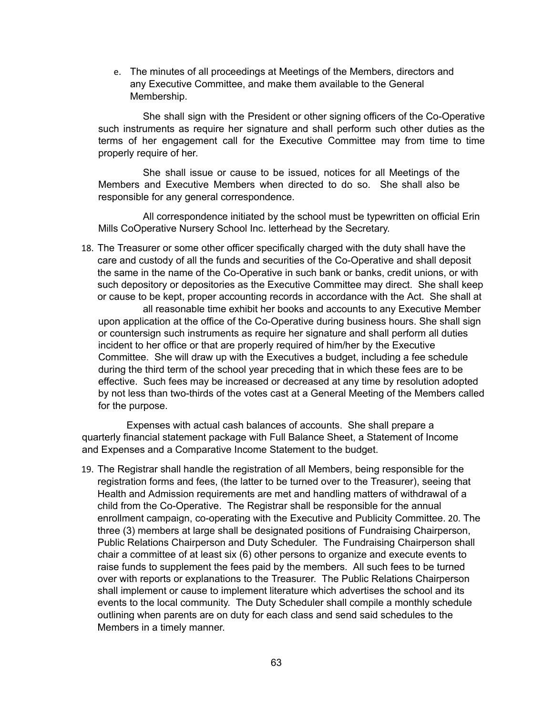e. The minutes of all proceedings at Meetings of the Members, directors and any Executive Committee, and make them available to the General Membership.

She shall sign with the President or other signing officers of the Co-Operative such instruments as require her signature and shall perform such other duties as the terms of her engagement call for the Executive Committee may from time to time properly require of her.

She shall issue or cause to be issued, notices for all Meetings of the Members and Executive Members when directed to do so. She shall also be responsible for any general correspondence.

All correspondence initiated by the school must be typewritten on official Erin Mills CoOperative Nursery School Inc. letterhead by the Secretary.

18. The Treasurer or some other officer specifically charged with the duty shall have the care and custody of all the funds and securities of the Co-Operative and shall deposit the same in the name of the Co-Operative in such bank or banks, credit unions, or with such depository or depositories as the Executive Committee may direct. She shall keep or cause to be kept, proper accounting records in accordance with the Act. She shall at

all reasonable time exhibit her books and accounts to any Executive Member upon application at the office of the Co-Operative during business hours. She shall sign or countersign such instruments as require her signature and shall perform all duties incident to her office or that are properly required of him/her by the Executive Committee. She will draw up with the Executives a budget, including a fee schedule during the third term of the school year preceding that in which these fees are to be effective. Such fees may be increased or decreased at any time by resolution adopted by not less than two-thirds of the votes cast at a General Meeting of the Members called for the purpose.

Expenses with actual cash balances of accounts. She shall prepare a quarterly financial statement package with Full Balance Sheet, a Statement of Income and Expenses and a Comparative Income Statement to the budget.

19. The Registrar shall handle the registration of all Members, being responsible for the registration forms and fees, (the latter to be turned over to the Treasurer), seeing that Health and Admission requirements are met and handling matters of withdrawal of a child from the Co-Operative. The Registrar shall be responsible for the annual enrollment campaign, co-operating with the Executive and Publicity Committee. 20. The three (3) members at large shall be designated positions of Fundraising Chairperson, Public Relations Chairperson and Duty Scheduler. The Fundraising Chairperson shall chair a committee of at least six (6) other persons to organize and execute events to raise funds to supplement the fees paid by the members. All such fees to be turned over with reports or explanations to the Treasurer. The Public Relations Chairperson shall implement or cause to implement literature which advertises the school and its events to the local community. The Duty Scheduler shall compile a monthly schedule outlining when parents are on duty for each class and send said schedules to the Members in a timely manner.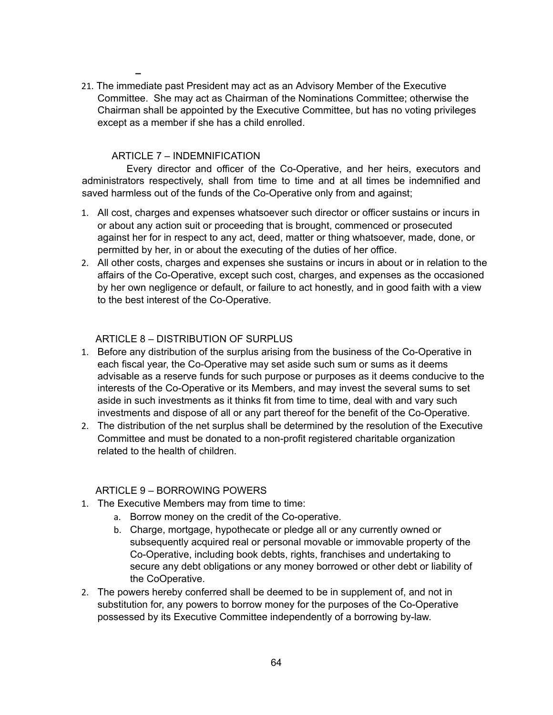21. The immediate past President may act as an Advisory Member of the Executive Committee. She may act as Chairman of the Nominations Committee; otherwise the Chairman shall be appointed by the Executive Committee, but has no voting privileges except as a member if she has a child enrolled.

#### ARTICLE 7 – INDEMNIFICATION

**–**

Every director and officer of the Co-Operative, and her heirs, executors and administrators respectively, shall from time to time and at all times be indemnified and saved harmless out of the funds of the Co-Operative only from and against;

- 1. All cost, charges and expenses whatsoever such director or officer sustains or incurs in or about any action suit or proceeding that is brought, commenced or prosecuted against her for in respect to any act, deed, matter or thing whatsoever, made, done, or permitted by her, in or about the executing of the duties of her office.
- 2. All other costs, charges and expenses she sustains or incurs in about or in relation to the affairs of the Co-Operative, except such cost, charges, and expenses as the occasioned by her own negligence or default, or failure to act honestly, and in good faith with a view to the best interest of the Co-Operative.

#### ARTICLE 8 – DISTRIBUTION OF SURPLUS

- 1. Before any distribution of the surplus arising from the business of the Co-Operative in each fiscal year, the Co-Operative may set aside such sum or sums as it deems advisable as a reserve funds for such purpose or purposes as it deems conducive to the interests of the Co-Operative or its Members, and may invest the several sums to set aside in such investments as it thinks fit from time to time, deal with and vary such investments and dispose of all or any part thereof for the benefit of the Co-Operative.
- 2. The distribution of the net surplus shall be determined by the resolution of the Executive Committee and must be donated to a non-profit registered charitable organization related to the health of children.

#### ARTICLE 9 – BORROWING POWERS

- 1. The Executive Members may from time to time:
	- a. Borrow money on the credit of the Co-operative.
		- b. Charge, mortgage, hypothecate or pledge all or any currently owned or subsequently acquired real or personal movable or immovable property of the Co-Operative, including book debts, rights, franchises and undertaking to secure any debt obligations or any money borrowed or other debt or liability of the CoOperative.
- 2. The powers hereby conferred shall be deemed to be in supplement of, and not in substitution for, any powers to borrow money for the purposes of the Co-Operative possessed by its Executive Committee independently of a borrowing by-law.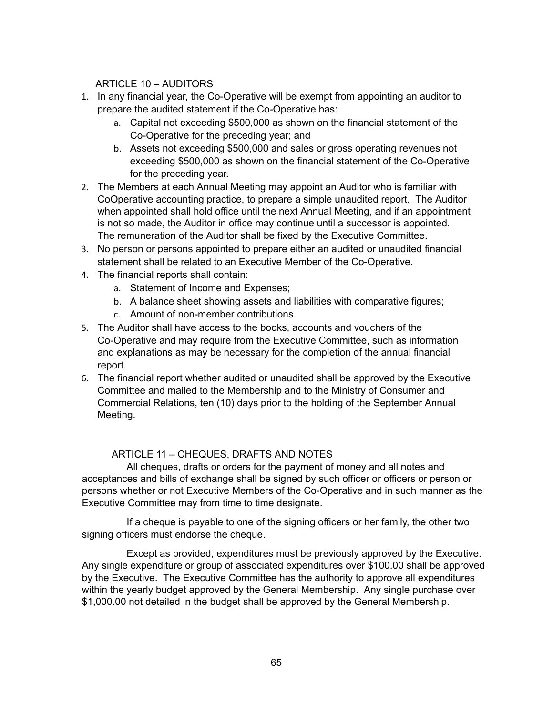ARTICLE 10 – AUDITORS

- 1. In any financial year, the Co-Operative will be exempt from appointing an auditor to prepare the audited statement if the Co-Operative has:
	- a. Capital not exceeding \$500,000 as shown on the financial statement of the Co-Operative for the preceding year; and
	- b. Assets not exceeding \$500,000 and sales or gross operating revenues not exceeding \$500,000 as shown on the financial statement of the Co-Operative for the preceding year.
- 2. The Members at each Annual Meeting may appoint an Auditor who is familiar with CoOperative accounting practice, to prepare a simple unaudited report. The Auditor when appointed shall hold office until the next Annual Meeting, and if an appointment is not so made, the Auditor in office may continue until a successor is appointed. The remuneration of the Auditor shall be fixed by the Executive Committee.
- 3. No person or persons appointed to prepare either an audited or unaudited financial statement shall be related to an Executive Member of the Co-Operative.
- 4. The financial reports shall contain:
	- a. Statement of Income and Expenses;
	- b. A balance sheet showing assets and liabilities with comparative figures;
	- c. Amount of non-member contributions.
- 5. The Auditor shall have access to the books, accounts and vouchers of the Co-Operative and may require from the Executive Committee, such as information and explanations as may be necessary for the completion of the annual financial report.
- 6. The financial report whether audited or unaudited shall be approved by the Executive Committee and mailed to the Membership and to the Ministry of Consumer and Commercial Relations, ten (10) days prior to the holding of the September Annual Meeting.

## ARTICLE 11 – CHEQUES, DRAFTS AND NOTES

All cheques, drafts or orders for the payment of money and all notes and acceptances and bills of exchange shall be signed by such officer or officers or person or persons whether or not Executive Members of the Co-Operative and in such manner as the Executive Committee may from time to time designate.

If a cheque is payable to one of the signing officers or her family, the other two signing officers must endorse the cheque.

Except as provided, expenditures must be previously approved by the Executive. Any single expenditure or group of associated expenditures over \$100.00 shall be approved by the Executive. The Executive Committee has the authority to approve all expenditures within the yearly budget approved by the General Membership. Any single purchase over \$1,000.00 not detailed in the budget shall be approved by the General Membership.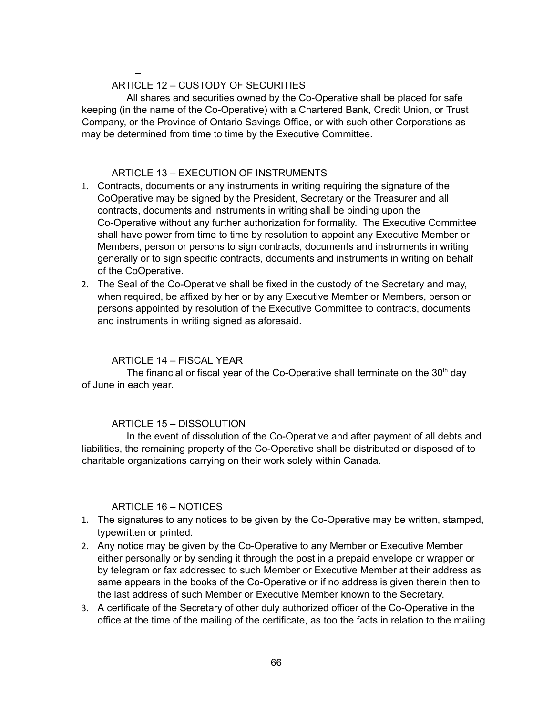#### **–** ARTICLE 12 – CUSTODY OF SECURITIES

All shares and securities owned by the Co-Operative shall be placed for safe keeping (in the name of the Co-Operative) with a Chartered Bank, Credit Union, or Trust Company, or the Province of Ontario Savings Office, or with such other Corporations as may be determined from time to time by the Executive Committee.

#### ARTICLE 13 – EXECUTION OF INSTRUMENTS

- 1. Contracts, documents or any instruments in writing requiring the signature of the CoOperative may be signed by the President, Secretary or the Treasurer and all contracts, documents and instruments in writing shall be binding upon the Co-Operative without any further authorization for formality. The Executive Committee shall have power from time to time by resolution to appoint any Executive Member or Members, person or persons to sign contracts, documents and instruments in writing generally or to sign specific contracts, documents and instruments in writing on behalf of the CoOperative.
- 2. The Seal of the Co-Operative shall be fixed in the custody of the Secretary and may, when required, be affixed by her or by any Executive Member or Members, person or persons appointed by resolution of the Executive Committee to contracts, documents and instruments in writing signed as aforesaid.

### ARTICLE 14 – FISCAL YEAR

The financial or fiscal year of the Co-Operative shall terminate on the 30<sup>th</sup> day of June in each year.

## ARTICLE 15 – DISSOLUTION

In the event of dissolution of the Co-Operative and after payment of all debts and liabilities, the remaining property of the Co-Operative shall be distributed or disposed of to charitable organizations carrying on their work solely within Canada.

#### ARTICLE 16 – NOTICES

- 1. The signatures to any notices to be given by the Co-Operative may be written, stamped, typewritten or printed.
- 2. Any notice may be given by the Co-Operative to any Member or Executive Member either personally or by sending it through the post in a prepaid envelope or wrapper or by telegram or fax addressed to such Member or Executive Member at their address as same appears in the books of the Co-Operative or if no address is given therein then to the last address of such Member or Executive Member known to the Secretary.
- 3. A certificate of the Secretary of other duly authorized officer of the Co-Operative in the office at the time of the mailing of the certificate, as too the facts in relation to the mailing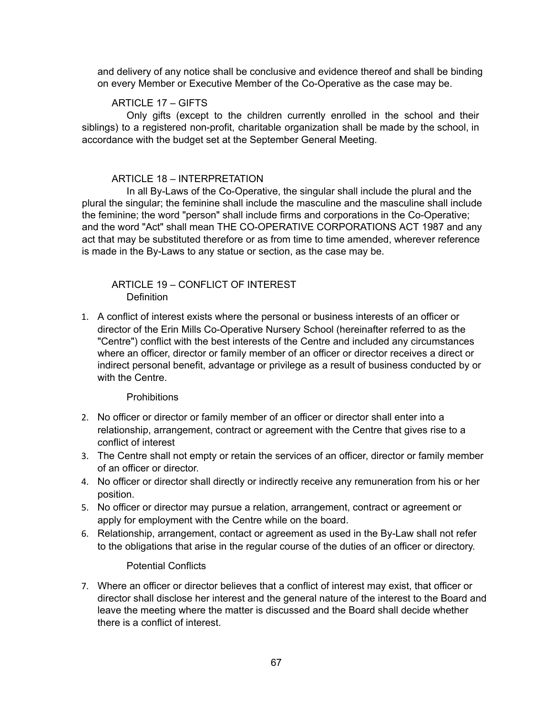and delivery of any notice shall be conclusive and evidence thereof and shall be binding on every Member or Executive Member of the Co-Operative as the case may be.

#### ARTICLE 17 – GIFTS

Only gifts (except to the children currently enrolled in the school and their siblings) to a registered non-profit, charitable organization shall be made by the school, in accordance with the budget set at the September General Meeting.

#### ARTICLE 18 – INTERPRETATION

In all By-Laws of the Co-Operative, the singular shall include the plural and the plural the singular; the feminine shall include the masculine and the masculine shall include the feminine; the word "person" shall include firms and corporations in the Co-Operative; and the word "Act" shall mean THE CO-OPERATIVE CORPORATIONS ACT 1987 and any act that may be substituted therefore or as from time to time amended, wherever reference is made in the By-Laws to any statue or section, as the case may be.

#### ARTICLE 19 – CONFLICT OF INTEREST **Definition**

1. A conflict of interest exists where the personal or business interests of an officer or director of the Erin Mills Co-Operative Nursery School (hereinafter referred to as the "Centre") conflict with the best interests of the Centre and included any circumstances where an officer, director or family member of an officer or director receives a direct or indirect personal benefit, advantage or privilege as a result of business conducted by or with the Centre.

#### **Prohibitions**

- 2. No officer or director or family member of an officer or director shall enter into a relationship, arrangement, contract or agreement with the Centre that gives rise to a conflict of interest
- 3. The Centre shall not empty or retain the services of an officer, director or family member of an officer or director.
- 4. No officer or director shall directly or indirectly receive any remuneration from his or her position.
- 5. No officer or director may pursue a relation, arrangement, contract or agreement or apply for employment with the Centre while on the board.
- 6. Relationship, arrangement, contact or agreement as used in the By-Law shall not refer to the obligations that arise in the regular course of the duties of an officer or directory.

#### Potential Conflicts

7. Where an officer or director believes that a conflict of interest may exist, that officer or director shall disclose her interest and the general nature of the interest to the Board and leave the meeting where the matter is discussed and the Board shall decide whether there is a conflict of interest.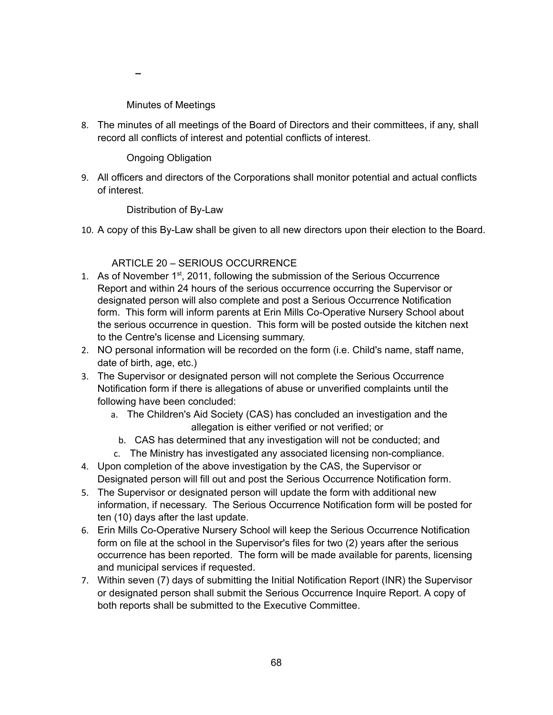**–**

Minutes of Meetings

8. The minutes of all meetings of the Board of Directors and their committees, if any, shall record all conflicts of interest and potential conflicts of interest.

Ongoing Obligation

9. All officers and directors of the Corporations shall monitor potential and actual conflicts of interest.

Distribution of By-Law

10. A copy of this By-Law shall be given to all new directors upon their election to the Board.

## ARTICLE 20 – SERIOUS OCCURRENCE

- 1. As of November 1<sup>st</sup>, 2011, following the submission of the Serious Occurrence Report and within 24 hours of the serious occurrence occurring the Supervisor or designated person will also complete and post a Serious Occurrence Notification form. This form will inform parents at Erin Mills Co-Operative Nursery School about the serious occurrence in question. This form will be posted outside the kitchen next to the Centre's license and Licensing summary.
- 2. NO personal information will be recorded on the form (i.e. Child's name, staff name, date of birth, age, etc.)
- 3. The Supervisor or designated person will not complete the Serious Occurrence Notification form if there is allegations of abuse or unverified complaints until the following have been concluded:
	- a. The Children's Aid Society (CAS) has concluded an investigation and the allegation is either verified or not verified; or
		- b. CAS has determined that any investigation will not be conducted; and
	- c. The Ministry has investigated any associated licensing non-compliance.
- 4. Upon completion of the above investigation by the CAS, the Supervisor or Designated person will fill out and post the Serious Occurrence Notification form.
- 5. The Supervisor or designated person will update the form with additional new information, if necessary. The Serious Occurrence Notification form will be posted for ten (10) days after the last update.
- 6. Erin Mills Co-Operative Nursery School will keep the Serious Occurrence Notification form on file at the school in the Supervisor's files for two (2) years after the serious occurrence has been reported. The form will be made available for parents, licensing and municipal services if requested.
- 7. Within seven (7) days of submitting the Initial Notification Report (INR) the Supervisor or designated person shall submit the Serious Occurrence Inquire Report. A copy of both reports shall be submitted to the Executive Committee.